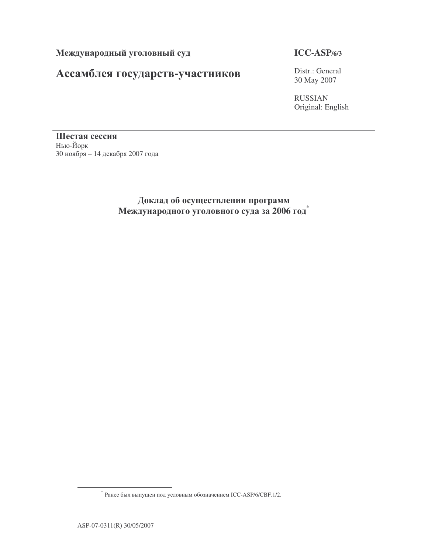# Ассамблея государств-участников

## **ICC-ASP/6/3**

Distr.: General 30 May 2007

RUSSIAN Original: English

Шестая сессия Нью-Йорк 30 ноября – 14 декабря 2007 года

## Доклад об осуществлении программ Международного уголовного суда за 2006 год<sup>\*</sup>

 $*$  Ранее был выпущен под условным обозначением ICC-ASP/6/CBF.1/2.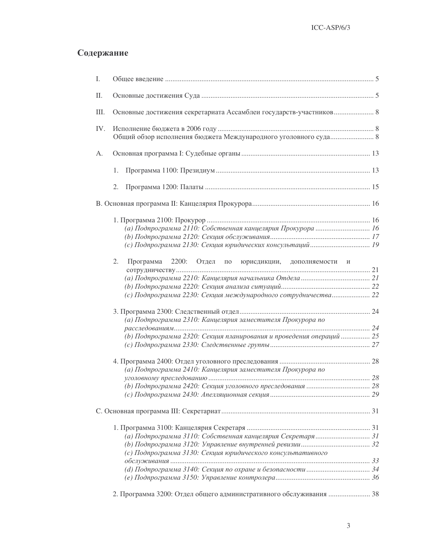# Содержание

| Ι.  |                                                                      |  |
|-----|----------------------------------------------------------------------|--|
| Π.  |                                                                      |  |
| Ш.  | Основные достижения секретариата Ассамблеи государств-участников 8   |  |
| IV. | Общий обзор исполнения бюджета Международного уголовного суда 8      |  |
| А.  |                                                                      |  |
|     | 1.                                                                   |  |
|     | 2.                                                                   |  |
|     |                                                                      |  |
|     |                                                                      |  |
|     | (а) Подпрограмма 2110: Собственная канцелярия Прокурора  16          |  |
|     |                                                                      |  |
|     |                                                                      |  |
|     |                                                                      |  |
|     | 2.<br>2200: Отдел по юрисдикции, дополняемости и<br>Программа        |  |
|     |                                                                      |  |
|     |                                                                      |  |
|     | (с) Подпрограмма 2230: Секция международного сотрудничества 22       |  |
|     |                                                                      |  |
|     | (а) Подпрограмма 2310: Канцелярия заместителя Прокурора по           |  |
|     |                                                                      |  |
|     | (b) Подпрограмма 2320: Секция планирования и проведения операций  25 |  |
|     |                                                                      |  |
|     | (а) Подпрограмма 2410: Канцелярия заместителя Прокурора по           |  |
|     |                                                                      |  |
|     |                                                                      |  |
|     |                                                                      |  |
|     |                                                                      |  |
|     |                                                                      |  |
|     |                                                                      |  |
|     |                                                                      |  |
|     | (с) Подпрограмма 3130: Секция юридического консультативного          |  |
|     |                                                                      |  |
|     |                                                                      |  |
|     |                                                                      |  |
|     | 2. Программа 3200: Отдел общего административного обслуживания  38   |  |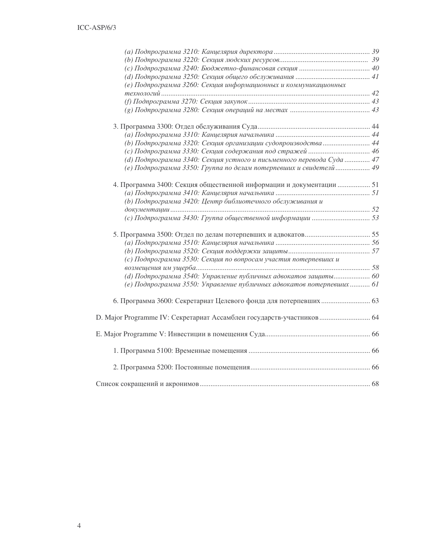| (е) Подпрограмма 3260: Секция информационных и коммуникационных        |  |
|------------------------------------------------------------------------|--|
|                                                                        |  |
|                                                                        |  |
|                                                                        |  |
|                                                                        |  |
|                                                                        |  |
| (b) Подпрограмма 3320: Секция организации судопроизводства  44         |  |
|                                                                        |  |
| (d) Подпрограмма 3340: Секция устного и письменного перевода Суда  47  |  |
| (е) Подпрограмма 3350: Группа по делам потерпевших и свидетелй  49     |  |
|                                                                        |  |
| 4. Программа 3400: Секция общественной информации и документации  51   |  |
|                                                                        |  |
| (b) Подпрограмма 3420: Центр библиотечного обслуживания и              |  |
|                                                                        |  |
|                                                                        |  |
|                                                                        |  |
|                                                                        |  |
|                                                                        |  |
|                                                                        |  |
| (с) Подпрограмма 3530: Секция по вопросам участия потерпевших и        |  |
|                                                                        |  |
| (d) Подпрограмма 3540: Управление публичных адвокатов защиты 60        |  |
| (е) Подпрограмма 3550: Управление публичных адвокатов потерпевших  61  |  |
|                                                                        |  |
| D. Major Programme IV: Секретариат Ассамблеи государств-участников  64 |  |
|                                                                        |  |
|                                                                        |  |
|                                                                        |  |
|                                                                        |  |
|                                                                        |  |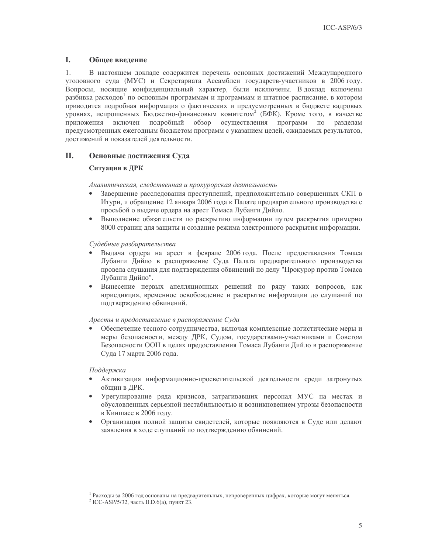#### L. Обшее ввеление

 $1<sub>1</sub>$ В настоящем докладе содержится перечень основных достижений Международного уголовного суда (МУС) и Секретариата Ассамблеи государств-участников в 2006 году. Вопросы, носящие конфиденциальный характер, были исключены. В доклад включены разбивка расходов<sup>1</sup> по основным программам и программам и штатное расписание, в котором приводится подробная информация о фактических и предусмотренных в бюджете кадровых уровнях, испрошенных Бюджетно-финансовым комитетом<sup>2</sup> (БФК). Кроме того, в качестве приложения включен подробный обзор осуществления программ  $\Pi 0$ разделам предусмотренных ежегодным бюджетом программ с указанием целей, ожидаемых результатов, достижений и показателей деятельности.

#### **II.** Основные достижения Суда

## Ситуация в ДРК

Аналитическая, следственная и прокурорская деятельность

- Завершение расследования преступлений, предположительно совершенных СКП в Итури, и обращение 12 января 2006 года к Палате предварительного производства с просьбой о выдаче ордера на арест Томаса Лубанги Дийло.
- Выполнение обязательств по раскрытию информации путем раскрытия примерно  $\bullet$ 8000 страниц для защиты и создание режима электронного раскрытия информации.

## Судебные разбирательства

- Выдача ордера на арест в феврале 2006 года. После предоставления Томаса Лубанги Дийло в распоряжение Суда Палата предварительного производства провела слушания для подтверждения обвинений по делу "Прокурор против Томаса Лубанги Лийло".
- Вынесение первых апелляционных решений по ряду таких вопросов, как юрисдикция, временное освобождение и раскрытие информации до слушаний по подтверждению обвинений.

## Аресты и предоставление в распоряжение Суда

Обеспечение тесного сотрудничества, включая комплексные логистические меры и меры безопасности, между ДРК, Судом, государствами-участниками и Советом Безопасности ООН в целях предоставления Томаса Лубанги Дийло в распоряжение Суда 17 марта 2006 года.

## Поддержка

- $\bullet$ Активизация информационно-просветительской деятельности среди затронутых общин в ДРК.
- Урегулирование ряда кризисов, затрагивавших персонал МУС на местах и обусловленных серьезной нестабильностью и возникновением угрозы безопасности в Киншасе в 2006 году.
- $\bullet$ Организация полной защиты свидетелей, которые появляются в Суде или делают заявления в ходе слушаний по подтверждению обвинений.

<sup>&</sup>lt;sup>1</sup> Расходы за 2006 год основаны на предварительных, непроверенных цифрах, которые могут меняться.

<sup>&</sup>lt;sup>2</sup> ICC-ASP/5/32, часть II.D.6(а), пункт 23.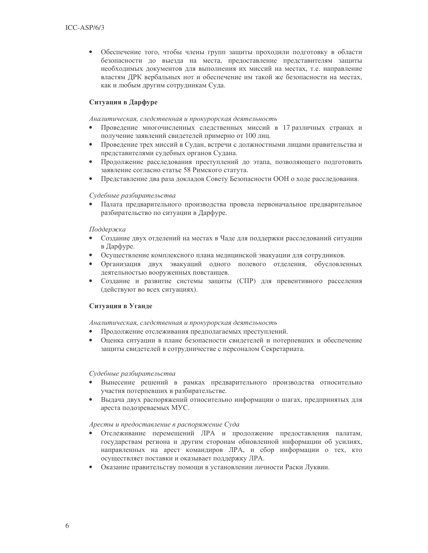Обеспечение того, чтобы члены групп защиты проходили подготовку в области безопасности до выезда на места, предоставление представителям защиты необходимых документов для выполнения их миссий на местах, т.е. направление властям ДРК вербальных нот и обеспечение им такой же безопасности на местах, как и любым другим сотрудникам Суда.

## Ситуация в Дарфуре

Аналитическая, следственная и прокурорская деятельность

- Проведение многочисленных следственных миссий в 17 различных странах и получение заявлений свидетелей примерно от 100 лиц.
- Проведение трех миссий в Судан, встречи с должностными лицами правительства и  $\bullet$ представителями судебных органов Судана.
- Продолжение расследования преступлений до этапа, позволяющего подготовить  $\bullet$ заявление согласно статье 58 Римского статута.
- Представление два раза докладов Совету Безопасности ООН о ходе расследования.  $\bullet$

### Судебные разбирательства

Палата предварительного производства провела первоначальное предварительное разбирательство по ситуации в Дарфуре.

### Поддержка

- $\bullet$ Создание двух отделений на местах в Чаде для поддержки расследований ситуации в Дарфуре.
- Осуществление комплексного плана медицинской эвакуации для сотрудников.
- Организация двух эвакуаций одного полевого отделения, обусловленных деятельностью вооруженных повстанцев.
- Создание и развитие системы защиты (СПР) для превентивного расселения  $\bullet$ (действуют во всех ситуациях).

## Ситуация в Уганде

Аналитическая, следственная и прокурорская деятельность

- Продолжение отслеживания предполагаемых преступлений.
- $\bullet$ Оценка ситуации в плане безопасности свидетелей и потерпевших и обеспечение защиты свидетелей в сотрудничестве с персоналом Секретариата.

### Судебные разбирательства

- Вынесение решений в рамках предварительного производства относительно участия потерпевших в разбирательстве.
- Выдача двух распоряжений относительно информации о шагах, предпринятых для  $\bullet$ ареста подозреваемых МУС.

### Аресты и предоставление в распоряжение Суда

- Отслеживание перемещений ЛРА и продолжение предоставления палатам, государствам региона и другим сторонам обновленной информации об усилиях, направленных на арест командиров ЛРА, и сбор информации о тех, кто осуществляет поставки и оказывает поддержку ЛРА.
- Оказание правительству помощи в установлении личности Раски Луквии.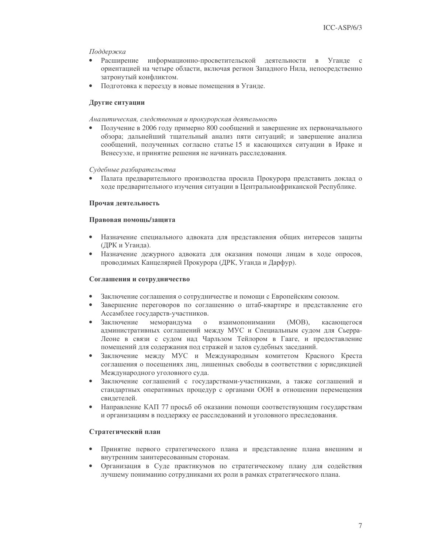### Поддержка

- $\bullet$ Расширение информационно-просветительской деятельности в Уганде с ориентацией на четыре области, включая регион Западного Нила, непосредственно затронутый конфликтом.
- Подготовка к переезду в новые помещения в Уганде.

## Другие ситуации

### Аналитическая, следственная и прокурорская деятельность

 $\bullet$ Получение в 2006 году примерно 800 сообщений и завершение их первоначального обзора: дальнейший тшательный анализ пяти ситуаций: и завершение анализа сообщений, полученных согласно статье 15 и касающихся ситуации в Ираке и Венесуэле, и принятие решения не начинать расследования.

### Судебные разбирательства

Палата предварительного производства просила Прокурора представить доклад о ходе предварительного изучения ситуации в Центральноафриканской Республике.

### Прочая деятельность

### Правовая помощь/защита

- Назначение специального адвоката для представления общих интересов защиты (ДРК и Уганда).
- $\bullet$ Назначение дежурного адвоката для оказания помощи лицам в ходе опросов, проводимых Канцелярией Прокурора (ДРК, Уганда и Дарфур).

### Соглашения и сотрудничество

- Заключение соглашения о сотрудничестве и помощи с Европейским союзом.
- Завершение переговоров по соглашению о штаб-квартире и представление его  $\bullet$ Ассамблее государств-участников.
- Заключение меморандума  $\mathbf{O}$ взаимопонимании  $(MOB)$ , касающегося административных соглашений между МУС и Специальным судом для Сьерра-Леоне в связи с судом над Чарльзом Тейлором в Гааге, и предоставление помещений для содержания под стражей и залов судебных заседаний.
- Заключение между МУС и Международным комитетом Красного Креста соглашения о посещениях лиц, лишенных свободы в соответствии с юрисдикцией Международного уголовного суда.
- Заключение соглашений с госуларствами-участниками, а также соглашений и стандартных оперативных процедур с органами ООН в отношении перемещения свидетелей.
- Направление КАП 77 просьб об оказании помощи соответствующим государствам и организациям в поддержку ее расследований и уголовного преследования.

## Стратегический план

- Принятие первого стратегического плана и представление плана внешним и  $\bullet$ внутренним заинтересованным сторонам.
- $\bullet$ Организация в Суде практикумов по стратегическому плану для содействия лучшему пониманию сотрудниками их роли в рамках стратегического плана.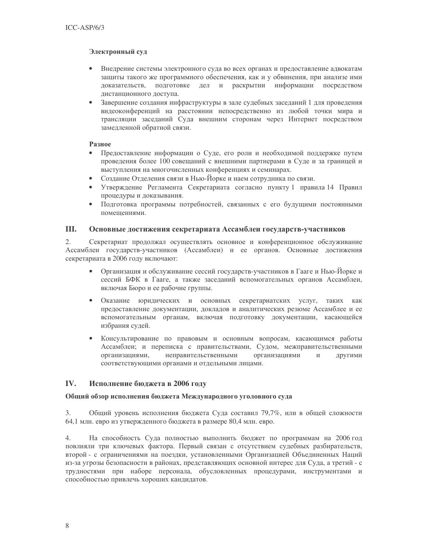## Электронный суд

- Внедрение системы электронного суда во всех органах и предоставление адвокатам защиты такого же программного обеспечения, как и у обвинения, при анализе ими доказательств, подготовке дел и раскрытии информации посредством дистанционного доступа.
- Завершение создания инфраструктуры в зале судебных заседаний 1 для проведения  $\bullet$ видеоконференций на расстоянии непосредственно из любой точки мира и трансляции заседаний Суда внешним сторонам через Интернет посредством замедленной обратной связи.

## Разное

- $\bullet$ Предоставление информации о Суде, его роли и необходимой поддержке путем проведения более 100 совещаний с внешними партнерами в Суде и за границей и выступления на многочисленных конференциях и семинарах.
- Создание Отделения связи в Нью-Йорке и наем сотрудника по связи.
- Утверждение Регламента Секретариата согласно пункту 1 правила 14 Правил  $\bullet$ процедуры и доказывания.
- Подготовка программы потребностей, связанных с его будущими постоянными  $\bullet$ помешениями.

#### III. Основные достижения секретариата Ассамблеи государств-участников

 $2.$ Секретариат продолжал осуществлять основное и конференционное обслуживание Ассамблеи государств-участников (Ассамблеи) и ее органов. Основные достижения секретариата в 2006 году включают:

- Организация и обслуживание сессий государств-участников в Гааге и Нью-Йорке и сессий БФК в Гааге, а также заседаний вспомогательных органов Ассамблеи, включая Бюро и ее рабочие группы.
- $\bullet$ Оказание юридических и основных секретариатских услуг, таких как предоставление документации, докладов и аналитических резюме Ассамблее и ее вспомогательным органам, включая подготовку документации, касающейся избрания судей.
- Консультирование по правовым и основным вопросам, касающимся работы  $\bullet$ Ассамблеи; и переписка с правительствами, Судом, межправительственными организациями неправительственными организациями,  $\mathbf{M}$ другими соответствующими органами и отдельными лицами.

#### $IV.$ Исполнение бюджета в 2006 году

## Общий обзор исполнения бюджета Международного уголовного суда

3. Общий уровень исполнения бюджета Суда составил 79,7%, или в общей сложности 64,1 млн. евро из утвержденного бюджета в размере 80,4 млн. евро.

На способность Суда полностью выполнить бюджет по программам на 2006 год 4. повлияли три ключевых фактора. Первый связан с отсутствием судебных разбирательств, второй - с ограничениями на поездки, установленными Организацией Объединенных Наций из-за угрозы безопасности в районах, представляющих основной интерес для Суда, а третий - с трудностями при наборе персонала, обусловленных процедурами, инструментами и способностью привлечь хороших кандидатов.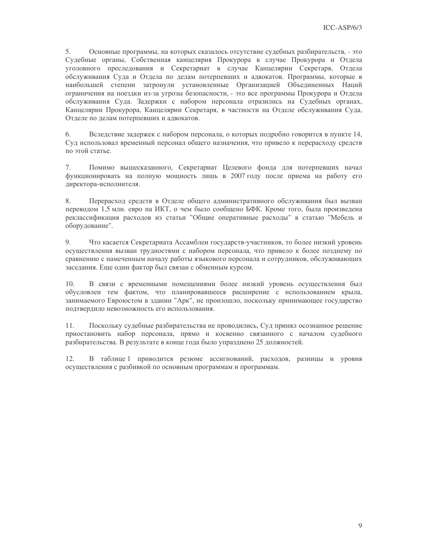5. Основные программы, на которых сказалось отсутствие судебных разбирательств, - это Судебные органы, Собственная канцелярия Прокурора в случае Прокурора и Отдела уголовного преследования и Секретариат в случае Канцелярии Секретаря, Отдела обслуживания Суда и Отдела по делам потерпевших и адвокатов. Программы, которые в наибольшей степени затронули установленные Организацией Объединенных Наций ограничения на поездки из-за угрозы безопасности, - это все программы Прокурора и Отдела обслуживания Суда. Задержки с набором персонала отразились на Судебных органах, Канцелярии Прокурора, Канцелярии Секретаря, в частности на Отделе обслуживания Суда, Отделе по делам потерпевших и адвокатов.

Вследствие задержек с набором персонала, о которых подробно говорится в пункте 14, 6. Суд использовал временный персонал общего назначения, что привело к перерасходу средств по этой статье.

 $7.$ Помимо вышесказанного, Секретариат Целевого фонда для потерпевших начал функционировать на полную мощность лишь в 2007 году после приема на работу его директора-исполнителя.

8. Перерасход средств в Отделе общего алминистративного обслуживания был вызван переводом 1,5 млн. евро на ИКТ, о чем было сообщено БФК. Кроме того, была произведена реклассификация расходов из статьи "Общие оперативные расходы" в статью "Мебель и оборудование".

9. Что касается Секретариата Ассамблеи государств-участников, то более низкий уровень осуществления вызван трудностями с набором персонала, что привело к более позднему по сравнению с намеченным началу работы языкового персонала и сотрудников, обслуживающих заседания. Еще один фактор был связан с обменным курсом.

10. В связи с временными помещениями более низкий уровень осуществления был обусловлен тем фактом, что планировавшееся расширение с использованием крыла, занимаемого Евроюстом в здании "Арк", не произошло, поскольку принимающее государство подтвердило невозможность его использования.

11. Поскольку судебные разбирательства не проводились, Суд принял осознанное решение приостановить набор персонала, прямо и косвенно связанного с началом судебного разбирательства. В результате в конце года было упразднено 25 должностей.

 $12.$ В таблице 1 приводится резюме ассигнований, расходов, разницы и уровня осуществления с разбивкой по основным программам и программам.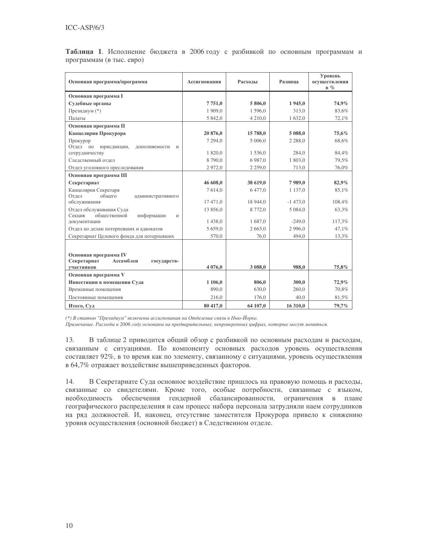| Основная программа/программа                                         | Ассигнования | Расходы     | Разница     | Уровень<br>осуществления |
|----------------------------------------------------------------------|--------------|-------------|-------------|--------------------------|
|                                                                      |              |             |             | $B \%$                   |
| Основная программа I                                                 |              |             |             |                          |
| Судебные органы                                                      | 7751,0       | 5 806,0     | 1945,0      | 74,9%                    |
| Президиум (*)                                                        | 1 909,0      | 1596,0      | 313,0       | 83,6%                    |
| Палаты                                                               | 5 842,0      | 4 2 1 0 , 0 | 1 632,0     | 72,1%                    |
| Основная программа П                                                 |              |             |             |                          |
| Канцелярия Прокурора                                                 | 20 876,0     | 15 788,0    | 5 088,0     | 75,6%                    |
| Прокурор                                                             | 7 294,0      | 5 006.0     | 2 2 8 8 , 0 | 68,6%                    |
| Отдел по<br>юрисдикции,<br>дополняемости<br>И                        |              |             |             |                          |
| сотрудничеству                                                       | 1 820,0      | 1536,0      | 284,0       | 84,4%                    |
| Следственный отдел                                                   | 8790,0       | 6987,0      | 1 803,0     | 79,5%                    |
| Отдел уголовного преследования                                       | 2972,0       | 2 2 5 9 , 0 | 713,0       | 76,0%                    |
| Основная программа III                                               |              |             |             |                          |
| Секретариат                                                          | 46 608,0     | 38 619,0    | 7989,0      | 82,9%                    |
| Канцелярия Секретаря                                                 | 7614,0       | 6477,0      | 1 1 3 7 0   | 85,1%                    |
| Отдел<br>обшего<br>административного                                 |              |             |             |                          |
| обслуживания                                                         | 17 471,0     | 18 944,0    | $-1473,0$   | 108,4%                   |
| Отдел обслуживания Суда<br>Секция<br>общественной<br>информации<br>И | 13 856,0     | 8772,0      | 5 0 8 4 0   | 63,3%                    |
| документации                                                         | 1 438.0      | 1687.0      | $-249.0$    | 117,3%                   |
| Отдел по делам потерпевших и адвокатов                               | 5 659,0      | 2 663,0     | 2 9 9 6.0   | 47,1%                    |
| Секретариат Целевого фонда для потерпевших                           | 570,0        | 76,0        | 494,0       | 13,3%                    |
|                                                                      |              |             |             |                          |
|                                                                      |              |             |             |                          |
| Основная программа IV                                                |              |             |             |                          |
| Секретариат<br>Ассамблеи<br>государств-                              |              |             |             |                          |
| участников                                                           | 4 0 76,0     | 3 088.0     | 988.0       | 75,8%                    |
| Основная программа V                                                 |              |             |             |                          |
| Инвестиции в помещения Суда                                          | 1 106,0      | 806,0       | 300,0       | 72,9%                    |
| Временные помещения                                                  | 890,0        | 630,0       | 260,0       | 70,8%                    |
| Постоянные помещения                                                 | 216,0        | 176,0       | 40.0        | 81,5%                    |
| Итого, Суд                                                           | 80 417,0     | 64 107,0    | 16 310,0    | 79,7%                    |

Таблица 1. Исполнение бюджета в 2006 году с разбивкой по основным программам и программам (в тыс. евро)

(\*) В статью "Президиум" включены ассигнования на Отделение связи в Нью-Йорке.

Примечание. Расходы в 2006 году основаны на предварительных, непроверенных цифрах, которые могут меняться.

13. В таблице 2 приводится общий обзор с разбивкой по основным расходам и расходам, связанным с ситуациями. По компоненту основных расходов уровень осуществления составляет 92%, в то время как по элементу, связанному с ситуациями, уровень осуществления в 64,7% отражает воздействие вышеприведенных факторов.

14. В Секретариате Суда основное воздействие пришлось на правовую помощь и расходы, связанные со свидетелями. Кроме того, особые потребности, связанные с языком, необходимость обеспечения гендерной сбалансированности, ограничения в плане географического распределения и сам процесс набора персонала затрудняли наем сотрудников на ряд должностей. И, наконец, отсутствие заместителя Прокурора привело к снижению уровня осуществления (основной бюджет) в Следственном отделе.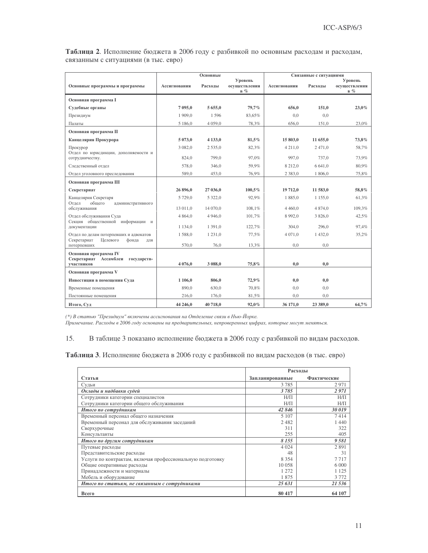Таблица 2. Исполнение бюджета в 2006 году с разбивкой по основным расходам и расходам, связанным с ситуациями (в тыс. евро)

|                                                              |              | Основные    |                                   |              | Связанные с ситуациями |                                   |
|--------------------------------------------------------------|--------------|-------------|-----------------------------------|--------------|------------------------|-----------------------------------|
| Основные программы и программы                               | Ассигнования | Расхолы     | Уровень<br>осуществления<br>$B\%$ | Ассигнования | Расхолы                | Уровень<br>осуществления<br>$B\%$ |
| Основная программа I                                         |              |             |                                   |              |                        |                                   |
| Судебные органы                                              | 7 095,0      | 5 655,0     | 79,7%                             | 656,0        | 151,0                  | 23,0%                             |
| Президиум                                                    | 1 909.0      | 1596        | 83.65%                            | 0.0          | 0.0                    |                                   |
| Палаты                                                       | 5 186,0      | 4 0 5 9 . 0 | 78,3%                             | 656.0        | 151,0                  | 23,0%                             |
| Основная программа II                                        |              |             |                                   |              |                        |                                   |
| Канцелярия Прокурора                                         | 5 073.0      | 4 1 3 3 .0  | 81.5%                             | 15 803.0     | 11 655.0               | 73.8%                             |
| Прокурор                                                     | 3 0 8 2 . 0  | 2 5 3 5 .0  | 82,3%                             | 4 2 1 1 .0   | 2471.0                 | 58,7%                             |
| Отдел по юрисдикции, дополняемости и<br>сотрудничеству.      | 824,0        | 799,0       | 97,0%                             | 997.0        | 737.0                  | 73,9%                             |
| Следственный отдел                                           | 578,0        | 346.0       | 59,9%                             | 8 212.0      | 6 641.0                | 80,9%                             |
| Отдел уголовного преследования                               | 589,0        | 453,0       | 76,9%                             | 2 3 8 3 , 0  | 1 806,0                | 75,8%                             |
| Основная программа III                                       |              |             |                                   |              |                        |                                   |
| Секретариат                                                  | 26 896.0     | 27 036,0    | 100,5%                            | 19 712.0     | 11 583,0               | 58,8%                             |
| Канцелярия Секретаря<br>Отдел<br>общего<br>административного | 5 729,0      | 5 3 2 2 , 0 | 92,9%                             | 1885,0       | 1 1 5 5 0              | 61,3%                             |
| обслуживания                                                 | 13 011,0     | 14 070.0    | 108,1%                            | 4 4 6 0.0    | 4 874.0                | 109,3%                            |
| Отдел обслуживания Суда<br>Секция общественной информации и  | 4 8 6 4 , 0  | 4 9 4 6 .0  | 101,7%                            | 8 9 9 2 , 0  | 3 826,0                | 42,5%                             |
| документации                                                 | 1 1 3 4 .0   | 1 3 9 1 .0  | 122,7%                            | 304.0        | 296.0                  | 97,4%                             |
| Отдел по делам потерпевших и адвокатов<br>Целевого           | 1588,0       | 1 2 3 1 , 0 | 77,5%                             | 4 0 7 1 , 0  | 1 432,0                | 35,2%                             |
| Секретариат<br>фонда<br>ДЛЯ<br>потерпевших                   | 570,0        | 76,0        | 13,3%                             | 0,0          | 0.0                    |                                   |
| Основная программа IV                                        |              |             |                                   |              |                        |                                   |
| Секретариат Ассамблеи<br>государств-<br>участников           | 4 0 76,0     | 3 088,0     | 75,8%                             | 0.0          | 0.0                    |                                   |
| Основная программа V                                         |              |             |                                   |              |                        |                                   |
| Инвестиции в помещения Суда                                  | 1 106,0      | 806,0       | 72,9%                             | 0,0          | 0,0                    |                                   |
| Временные помещения                                          | 890.0        | 630.0       | 70.8%                             | 0.0          | 0.0                    |                                   |
| Постоянные помешения                                         | 216.0        | 176.0       | 81,5%                             | 0.0          | 0.0                    |                                   |
| Итого, Суд                                                   | 44 246,0     | 40718.0     | 92,0%                             | 36 171,0     | 23 389.0               | 64,7%                             |

(\*) В статью "Президиум" включены ассигнования на Отделение связи в Нью-Йорке.

Примечание. Расходы в 2006 году основаны на предварительных, непроверенных цифрах, которые могут меняться.

#### 15. В таблице 3 показано исполнение бюджета в 2006 году с разбивкой по видам расходов.

Таблица 3. Исполнение бюджета в 2006 году с разбивкой по видам расходов (в тыс. евро)

|                                                           | Расходы         |             |  |
|-----------------------------------------------------------|-----------------|-------------|--|
| Статья                                                    | Запланированные | Фактические |  |
| Судьи                                                     | 3785            | 2971        |  |
| Оклады и надбавки судей                                   | 3785            | 2971        |  |
| Сотрудники категории специалистов                         | $H/\Pi$         | $H/\Pi$     |  |
| Сотрудники категории общего обслуживания                  | $H/\Pi$         | $H/\Pi$     |  |
| Итого по сотрудникам                                      | 42846           | 30019       |  |
| Временный персонал общего назначения                      | 5 1 0 7         | 7414        |  |
| Временный персонал для обслуживания заседаний             | 2482            | 1 4 4 0     |  |
| Сверхурочные                                              | 311             | 322         |  |
| Консультанты                                              | 255             | 405         |  |
| Итого по другим сотрудникам                               | 8 1 5 5         | 9581        |  |
| Путевые расходы                                           | 4 0 24          | 2891        |  |
| Представительские расходы                                 | 48              | 31          |  |
| Услуги по контрактам, включая профессиональную подготовку | 8 3 5 4         | 7717        |  |
| Общие оперативные расходы                                 | 10 058          | 6.000       |  |
| Принадлежности и материалы                                | 1 2 7 2         | 1 1 2 5     |  |
| Мебель и оборудование                                     | 1875            | 3772        |  |
| Итого по статьям, не связанным с сотрудниками             | 25 631          | 21 536      |  |
| Всего                                                     | 80 417          | 64 107      |  |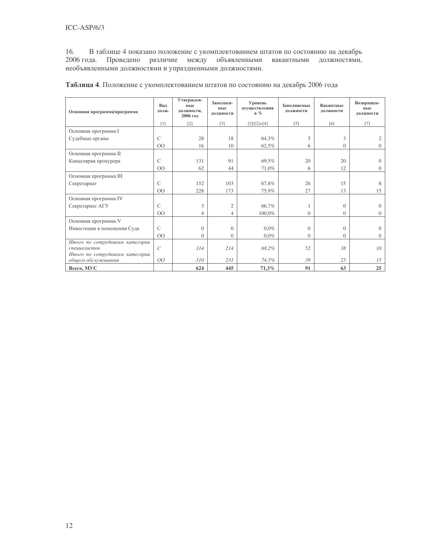16. В таблице 4 показано положение с укомплектованием штатов по состоянию на декабрь 2006 года. Проведено различие между объявленными вакантными должностями, необъявленными должностями и упраздненными должностями.

| Основная программа/программа                                                     | Вил<br>долж.   | Утвержден-<br>ные<br>должности,<br>2006 год | Заполнен-<br>ные<br>должности | Уровень<br>осуществления<br>$B\%$ | Заполняемые<br>должности | Вакантные<br>должности | Возвращен-<br>ные<br>должности |
|----------------------------------------------------------------------------------|----------------|---------------------------------------------|-------------------------------|-----------------------------------|--------------------------|------------------------|--------------------------------|
|                                                                                  | [1]            | $[2]$                                       | $[3]$                         | $[3]/[2]=[4]$                     | $\lceil 5 \rceil$        | [6]                    | $[7]$                          |
| Основная программа I                                                             |                |                                             |                               |                                   |                          |                        |                                |
| Судебные органы                                                                  | $\mathcal{C}$  | 28                                          | 18                            | 64,3%                             | 5                        | 3                      |                                |
|                                                                                  | $00\,$         | 16                                          | 10                            | 62,5%                             | 6                        | $\Omega$               | $\Omega$                       |
| Основная программа II                                                            |                |                                             |                               |                                   |                          |                        |                                |
| Канцелярия прокурора                                                             | $\mathcal{C}$  | 131                                         | 91                            | 69,5%                             | 20                       | 20                     | $\Omega$                       |
|                                                                                  | 00             | 62                                          | 44                            | 71,0%                             | 6                        | 12                     | $\Omega$                       |
| Основная программа III                                                           |                |                                             |                               |                                   |                          |                        |                                |
| Секретариат                                                                      | $\mathcal{C}$  | 152                                         | 103                           | 67,8%                             | 26                       | 15                     | 8                              |
|                                                                                  | O <sub>O</sub> | 228                                         | 173                           | 75,9%                             | 27                       | 13                     | 15                             |
| Основная программа IV                                                            |                |                                             |                               |                                   |                          |                        |                                |
| Секретариат АГУ                                                                  | $\mathcal{C}$  | 3                                           | $\overline{2}$                | 66,7%                             |                          | $\theta$               | $\Omega$                       |
|                                                                                  | $00\,$         | 4                                           | 4                             | 100,0%                            | $\Omega$                 | $\Omega$               | $\Omega$                       |
| Основная программа V                                                             |                |                                             |                               |                                   |                          |                        |                                |
| Инвестиции в помещения Суда                                                      | $\mathcal{C}$  | $\overline{0}$                              | $\Omega$                      | $0.0\%$                           | $\Omega$                 | $\Omega$               | $\Omega$                       |
|                                                                                  | $00\,$         | $\overline{0}$                              | $\overline{0}$                | $0.0\%$                           | $\theta$                 | $\mathbf{0}$           | $\overline{0}$                 |
| Итого по сотрудникам категории<br>специалистов<br>Итого по сотрудникам категории | $\mathcal{C}$  | 314                                         | 214                           | 68.2%                             | 52                       | 38                     | 10                             |
| общего обслуживания                                                              | 00             | 310                                         | 231                           | 74,5%                             | 39                       | 25                     | 15                             |
| Bcero, MYC                                                                       |                | 624                                         | 445                           | 71,3%                             | 91                       | 63                     | 25                             |

Таблица 4. Положение с укомплектованием штатов по состоянию на декабрь 2006 года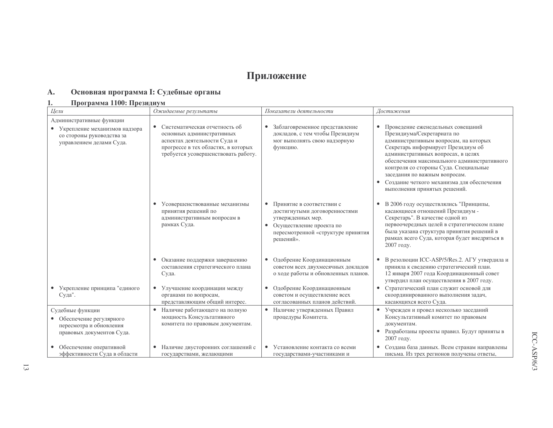# Приложение

#### Основная программа І: Судебные органы  $\mathbf{A}$ .

#### Программа 1100: Президиум  $1.$

| Цели<br>Ожидаемые результаты                                                                                         |                                                                                                                                                                                       | Показатели деятельности                                                                                                                                                                                                         | Достижения                                                                                                                                                                                                                                                                                                                                                                                               |
|----------------------------------------------------------------------------------------------------------------------|---------------------------------------------------------------------------------------------------------------------------------------------------------------------------------------|---------------------------------------------------------------------------------------------------------------------------------------------------------------------------------------------------------------------------------|----------------------------------------------------------------------------------------------------------------------------------------------------------------------------------------------------------------------------------------------------------------------------------------------------------------------------------------------------------------------------------------------------------|
| Административные функции<br>• Укрепление механизмов надзора<br>со стороны руководства за<br>управлением делами Суда. | Систематическая отчетность об<br>$\bullet$<br>основных административных<br>аспектах деятельности Суда и<br>прогрессе в тех областях, в которых<br>требуется усовершенствовать работу. | Заблаговременное представление<br>$\bullet$<br>докладов, с тем чтобы Президиум<br>мог выполнять свою надзорную<br>функцию.                                                                                                      | Проведение еженедельных совещаний<br>$\bullet$<br>Президиума/Секретариата по<br>административным вопросам, на которых<br>Секретарь информирует Президиум об<br>административных вопросах, в целях<br>обеспечения максимального административного<br>контроля со стороны Суда. Специальные<br>заседания по важным вопросам.<br>Создание четкого механизма для обеспечения<br>выполнения принятых решений. |
|                                                                                                                      | Усовершенствованные механизмы<br>$\bullet$<br>принятия решений по<br>административным вопросам в<br>рамках Суда.                                                                      | Принятие в соответствии с<br>$\bullet$<br>достигнутыми договоренностями<br>утвержденных мер.<br>Осуществление проекта по<br>$\bullet$<br>пересмотренной «структуре принятия<br>решений».                                        | В 2006 году осуществлялись "Принципы,<br>касающиеся отношений Президиум -<br>Секретарь". В качестве одной из<br>первоочередных целей в стратегическом плане<br>была указана структура принятия решений в<br>рамках всего Суда, которая будет внедряться в<br>2007 году.                                                                                                                                  |
| • Укрепление принципа "единого<br>Суда".                                                                             | Оказание поддержки завершению<br>$\bullet$<br>составления стратегического плана<br>Суда.<br>• Улучшение координации между<br>органами по вопросам,<br>представляющим общий интерес.   | Одобрение Координационным<br>$\bullet$<br>советом всех двухмесячных докладов<br>о ходе работы и обновленных планов.<br>Одобрение Координационным<br>$\bullet$<br>советом и осуществление всех<br>согласованных планов действий. | В резолюции ICC-ASP/5/Res.2. АГУ утвердила и<br>$\bullet$<br>приняла к сведению стратегический план.<br>12 января 2007 года Координационный совет<br>утвердил план осуществления в 2007 году.<br>Стратегический план служит основой для<br>$\bullet$<br>скоординированного выполнения задач,<br>касающихся всего Суда.                                                                                   |
| Судебные функции<br>• Обеспечение регулярного<br>пересмотра и обновления<br>правовых документов Суда.                | • Наличие работающего на полную<br>мощность Консультативного<br>комитета по правовым документам.                                                                                      | Наличие утвержденных Правил<br>$\bullet$<br>процедуры Комитета.                                                                                                                                                                 | • Учрежден и провел несколько заседаний<br>Консультативный комитет по правовым<br>документам.<br>Разработаны проекты правил. Будут приняты в<br>2007 году.                                                                                                                                                                                                                                               |
| • Обеспечение оперативной<br>эффективности Суда в области                                                            | Наличие двусторонних соглашений с<br>$\bullet$<br>государствами, желающими                                                                                                            | Установление контакта со всеми<br>$\bullet$<br>государствами-участниками и                                                                                                                                                      | Создана база данных. Всем странам направлены<br>$\bullet$<br>письма. Из трех регионов получены ответы,                                                                                                                                                                                                                                                                                                   |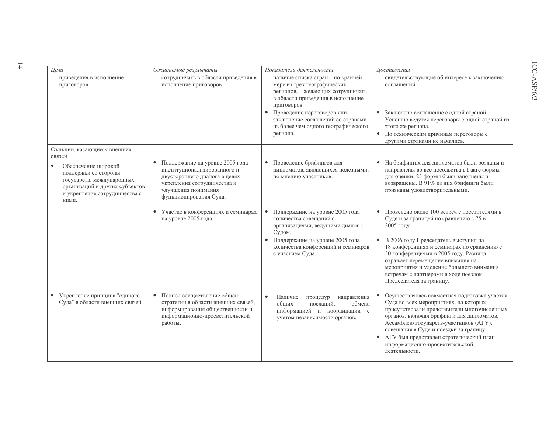| Цели                                                                                                                                                 | Ожидаемые результаты                                                                                                                                                                         | Показатели деятельности                                                                                                                                                                                                                                                                      | Достижения                                                                                                                                                                                                                                                                                                                                                            |
|------------------------------------------------------------------------------------------------------------------------------------------------------|----------------------------------------------------------------------------------------------------------------------------------------------------------------------------------------------|----------------------------------------------------------------------------------------------------------------------------------------------------------------------------------------------------------------------------------------------------------------------------------------------|-----------------------------------------------------------------------------------------------------------------------------------------------------------------------------------------------------------------------------------------------------------------------------------------------------------------------------------------------------------------------|
| приведения в исполнение<br>приговоров.                                                                                                               | сотрудничать в области приведения в<br>исполнение приговоров.                                                                                                                                | наличие списка стран - по крайней<br>мере из трех географических<br>регионов, - желающих сотрудничать<br>в области приведения в исполнение<br>приговоров.<br>Проведение переговоров или<br>$\bullet$<br>заключение соглашений со странами<br>из более чем одного географического<br>региона. | свидетельствующие об интересе к заключению<br>соглашений.<br>Заключено соглашение с одной страной.<br>Успешно ведутся переговоры с одной страной из<br>этого же региона.<br>• По техническим причинам переговоры с<br>другими странами не начались.                                                                                                                   |
| Функции, касающиеся внешних<br>связей                                                                                                                |                                                                                                                                                                                              |                                                                                                                                                                                                                                                                                              |                                                                                                                                                                                                                                                                                                                                                                       |
| Обеспечение широкой<br>поддержки со стороны<br>государств, международных<br>организаций и других субъектов<br>и укрепление сотрудничества с<br>ними. | Поддержание на уровне 2005 года<br>$\bullet$<br>институционализированного и<br>двустороннего диалога в целях<br>укрепления сотрудничества и<br>улучшения понимания<br>функционирования Суда. | Проведение брифингов для<br>$\bullet$<br>дипломатов, являющихся полезными,<br>по мнению участников.                                                                                                                                                                                          | На брифингах для дипломатов были розданы и<br>направлены во все посольства в Гааге формы<br>для оценки. 23 формы были заполнены и<br>возвращены. В 91% из них брифинги были<br>признаны удовлетворительными.                                                                                                                                                          |
|                                                                                                                                                      | • Участие в конференциях и семинарах<br>на уровне 2005 года.                                                                                                                                 | Поддержание на уровне 2005 года<br>$\bullet$<br>количества совещаний с<br>организациями, ведущими диалог с<br>Судом.                                                                                                                                                                         | Проведено около 100 встреч с посетителями в<br>$\bullet$<br>Суде и за границей по сравнению с 75 в<br>2005 году.                                                                                                                                                                                                                                                      |
|                                                                                                                                                      |                                                                                                                                                                                              | • Поддержание на уровне 2005 года<br>количества конференций и семинаров<br>с участием Суда.                                                                                                                                                                                                  | • В 2006 году Председатель выступил на<br>18 конференциях и семинарах по сравнению с<br>30 конференциями в 2005 году. Разница<br>отражает перемещение внимания на<br>мероприятия и уделение большего внимания<br>встречам с партнерами в ходе поездок<br>Председателя за границу.                                                                                     |
| Укрепление принципа "единого<br>$\bullet$<br>Суда" в области внешних связей.                                                                         | • Полное осуществление общей<br>стратегии в области внешних связей,<br>информирования общественности и<br>информационно-просветительской<br>работы.                                          | Наличие<br>$\bullet$<br>процедур<br>направления<br>посланий,<br>обших<br>обмена<br>информацией и координации с<br>учетом независимости органов.                                                                                                                                              | Осуществлялась совместная подготовка участия<br>Суда во всех мероприятиях, на которых<br>присутствовали представители многочисленных<br>органов, включая брифинги для дипломатов,<br>Ассамблею государств-участников (АГУ),<br>совещания в Суде и поездки за границу.<br>• АГУ был представлен стратегический план<br>информационно-просветительской<br>деятельности. |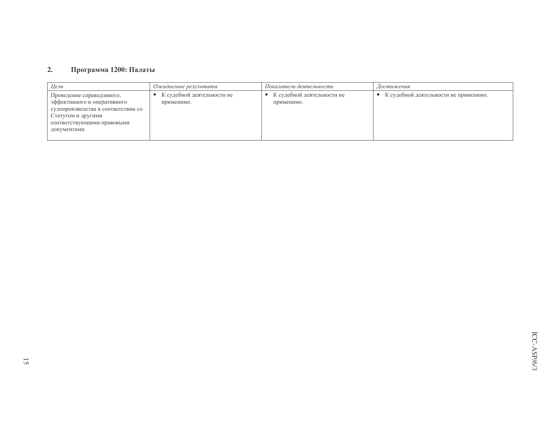#### Программа 1200: Палаты  $2.$

| Цели                                                                                                                                                               | Ожидаемые результаты                     | Показатели деятельности                    | Достижения                              |
|--------------------------------------------------------------------------------------------------------------------------------------------------------------------|------------------------------------------|--------------------------------------------|-----------------------------------------|
| Проведение справедливого,<br>эффективного и оперативного<br>судопроизводства в соответствии со<br>Статутом и другими<br>соответствующими правовыми<br>документами. | К судебной деятельности не<br>применимо. | • К судебной деятельности не<br>применимо. | • К судебной деятельности не применимо. |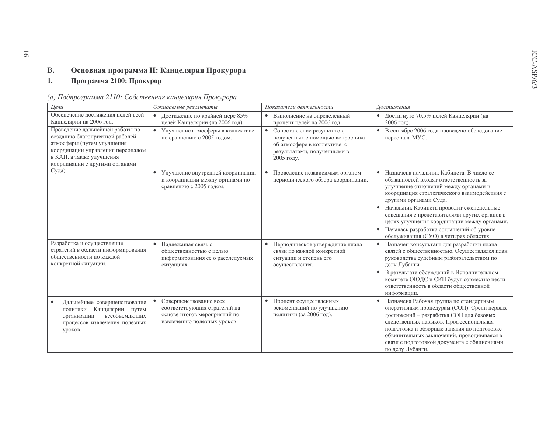#### $B.$ Основная программа II: Канцелярия Прокурора

#### Программа 2100: Прокурор  $1.$

| Цели                                                                                                                                                                                               | Показатели деятельности<br>Ожидаемые результаты                                                                       |                                                                                                                                              | Достижения                                                                                                                                                                                                                                                                                                                                                                                                                                |
|----------------------------------------------------------------------------------------------------------------------------------------------------------------------------------------------------|-----------------------------------------------------------------------------------------------------------------------|----------------------------------------------------------------------------------------------------------------------------------------------|-------------------------------------------------------------------------------------------------------------------------------------------------------------------------------------------------------------------------------------------------------------------------------------------------------------------------------------------------------------------------------------------------------------------------------------------|
| Обеспечение достижения целей всей<br>Канцелярии на 2006 год.                                                                                                                                       | Достижение по крайней мере 85%<br>$\bullet$<br>целей Канцелярии (на 2006 год).                                        | Выполнение на определенный<br>$\bullet$<br>процент целей на 2006 год.                                                                        | Достигнуто 70,5% целей Канцелярии (на<br>$2006$ год).                                                                                                                                                                                                                                                                                                                                                                                     |
| Проведение дальнейшей работы по<br>созданию благоприятной рабочей<br>атмосферы (путем улучшения<br>координации управления персоналом<br>в КАП, а также улучшения<br>координации с другими органами | • Улучшение атмосферы в коллективе<br>по сравнению с 2005 годом.                                                      | • Сопоставление результатов,<br>полученных с помощью вопросника<br>об атмосфере в коллективе, с<br>результатами, полученными в<br>2005 году. | В сентябре 2006 года проведено обследование<br>$\bullet$<br>персонала МУС.                                                                                                                                                                                                                                                                                                                                                                |
| Суда).                                                                                                                                                                                             | Улучшение внутренней координации<br>$\bullet$<br>и координации между органами по<br>сравнению с 2005 годом.           | Проведение независимым органом<br>$\bullet$<br>периодического обзора координации.                                                            | Назначена начальник Кабинета. В число ее<br>обязанностей входят ответственность за<br>улучшение отношений между органами и<br>координация стратегического взаимодействия с<br>другими органами Суда.<br>• Начальник Кабинета проводит еженедельные<br>совещания с представителями других органов в<br>целях улучшения координации между органами.<br>• Началась разработка соглашений об уровне<br>обслуживания (СУО) в четырех областях. |
| Разработка и осуществление<br>стратегий в области информирования<br>общественности по каждой<br>конкретной ситуации.                                                                               | $\bullet$<br>Надлежащая связь с<br>общественностью с целью<br>информирования ее о расследуемых<br>ситуациях.          | Периодическое утверждение плана<br>связи по каждой конкретной<br>ситуации и степень его<br>осуществления.                                    | Назначен консультант для разработки плана<br>$\bullet$<br>связей с общественностью. Осуществлялся план<br>руководства судебным разбирательством по<br>делу Лубанги.<br>В результате обсуждений в Исполнительном<br>$\bullet$<br>комитете ОЮДС и СКП будут совместно нести<br>ответственность в области общественной<br>информации.                                                                                                        |
| Дальнейшее совершенствование<br>Канцелярии путем<br>политики<br>всеобъемлющих<br>организации<br>процессов извлечения полезных<br>уроков.                                                           | Совершенствование всех<br>соответствующих стратегий на<br>основе итогов мероприятий по<br>извлечению полезных уроков. | Процент осуществленных<br>$\bullet$<br>рекомендаций по улучшению<br>политики (за 2006 год).                                                  | • Назначена Рабочая группа по стандартным<br>оперативным процедурам (СОП). Среди первых<br>достижений - разработка СОП для базовых<br>следственных навыков. Профессиональная<br>подготовка и обзорные занятия по подготовке<br>обвинительных заключений, проводившаяся в<br>связи с подготовкой документа с обвинениями<br>по делу Лубанги.                                                                                               |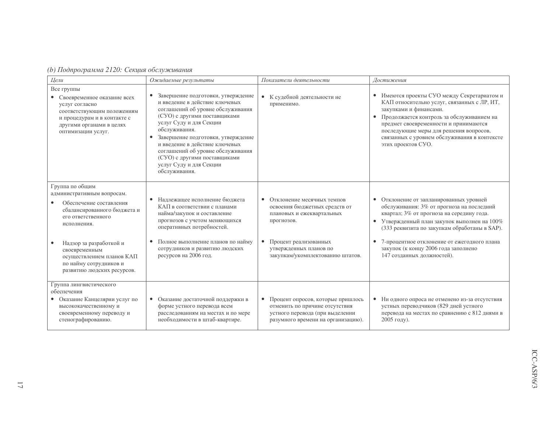|  | (b) Подпрограмма 2120: Секция обслуживания |
|--|--------------------------------------------|
|--|--------------------------------------------|

| Цели                                                                                                                                                                                                                                            | Ожидаемые результаты                                                                                                                                                                                                                                                                                                                                                                          | Показатели деятельности                                                                                                                                                                         | Достижения                                                                                                                                                                                                                                                                                                                                              |
|-------------------------------------------------------------------------------------------------------------------------------------------------------------------------------------------------------------------------------------------------|-----------------------------------------------------------------------------------------------------------------------------------------------------------------------------------------------------------------------------------------------------------------------------------------------------------------------------------------------------------------------------------------------|-------------------------------------------------------------------------------------------------------------------------------------------------------------------------------------------------|---------------------------------------------------------------------------------------------------------------------------------------------------------------------------------------------------------------------------------------------------------------------------------------------------------------------------------------------------------|
| Все группы<br>• Своевременное оказание всех<br>услуг согласно<br>соответствующим положениям<br>и процедурам и в контакте с<br>другими органами в целях<br>оптимизации услуг.                                                                    | Завершение подготовки, утверждение<br>$\bullet$<br>и введение в действие ключевых<br>соглашений об уровне обслуживания<br>(СУО) с другими поставщиками<br>услуг Суду и для Секции<br>обслуживания.<br>• Завершение подготовки, утверждение<br>и введение в действие ключевых<br>соглашений об уровне обслуживания<br>(СУО) с другими поставщиками<br>услуг Суду и для Секции<br>обслуживания. | • К судебной деятельности не<br>применимо.                                                                                                                                                      | • Имеются проекты СУО между Секретариатом и<br>КАП относительно услуг, связанных с ЛР, ИТ,<br>закупками и финансами.<br>Продолжается контроль за обслуживанием на<br>предмет своевременности и принимаются<br>последующие меры для решения вопросов,<br>связанных с уровнем обслуживания в контексте<br>этих проектов СУО.                              |
| Группа по общим<br>административным вопросам.<br>Обеспечение составления<br>сбалансированного бюджета и<br>его ответственного<br>исполнения.<br>Надзор за разработкой и<br>своевременным<br>осуществлением планов КАП<br>по найму сотрудников и | • Надлежащее исполнение бюджета<br>КАП в соответствии с планами<br>найма/закупок и составление<br>прогнозов с учетом меняющихся<br>оперативных потребностей.<br>Полное выполнение планов по найму<br>сотрудников и развитию людских<br>ресурсов на 2006 год.                                                                                                                                  | • Отклонение месячных темпов<br>освоения бюджетных средств от<br>плановых и ежеквартальных<br>прогнозов.<br>Процент реализованных<br>утвержденных планов по<br>закупкам/укомплектованию штатов. | • Отклонение от запланированных уровней<br>обслуживания: 3% от прогноза на последний<br>квартал; 3% от прогноза на середину года.<br>• Утвержденный план закупок выполнен на 100%<br>(333 реквизита по закупкам обработаны в SAP).<br>7-процентное отклонение от ежегодного плана<br>закупок (к концу 2006 года заполнено<br>147 созданных должностей). |
| развитию людских ресурсов.<br>Группа лингвистического<br>обеспечения<br>• Оказание Канцелярии услуг по<br>высококачественному и<br>своевременному переводу и<br>стенографированию.                                                              | • Оказание достаточной поддержки в<br>форме устного перевода всем<br>расследованиям на местах и по мере<br>необходимости в штаб-квартире.                                                                                                                                                                                                                                                     | Процент опросов, которые пришлось<br>отменить по причине отсутствия<br>устного перевода (при выделении<br>разумного времени на организацию).                                                    | • Ни одного опроса не отменено из-за отсутствия<br>устных переводчиков (829 дней устного<br>перевода на местах по сравнению с 812 днями в<br>2005 году).                                                                                                                                                                                                |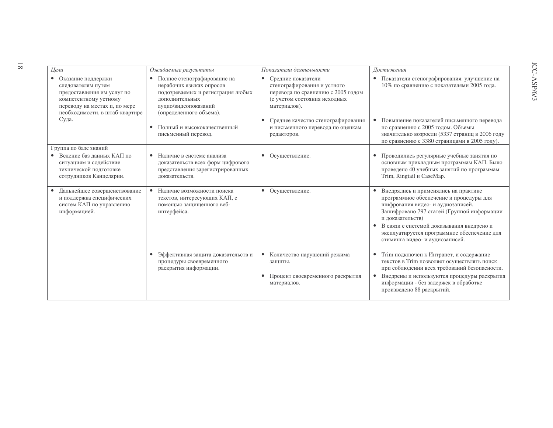| Цели                                                                                                                                                                 | Ожидаемые результаты                                                                                                                                                | Показатели деятельности                                                                                                                              | Достижения                                                                                                                                                                                                                                                                                                                           |
|----------------------------------------------------------------------------------------------------------------------------------------------------------------------|---------------------------------------------------------------------------------------------------------------------------------------------------------------------|------------------------------------------------------------------------------------------------------------------------------------------------------|--------------------------------------------------------------------------------------------------------------------------------------------------------------------------------------------------------------------------------------------------------------------------------------------------------------------------------------|
| • Оказание поддержки<br>следователям путем<br>предоставления им услуг по<br>компетентному устному<br>переводу на местах и, по мере<br>необходимости, в штаб-квартире | • Полное стенографирование на<br>нерабочих языках опросов<br>подозреваемых и регистрация любых<br>лополнительных<br>аудио/видеопоказаний<br>(определенного объема). | Средние показатели<br>$\bullet$<br>стенографирования и устного<br>перевода по сравнению с 2005 годом<br>(с учетом состояния исходных<br>материалов). | • Показатели стенографирования: улучшение на<br>10% по сравнению с показателями 2005 года.                                                                                                                                                                                                                                           |
| Суда.                                                                                                                                                                | • Полный и высококачественный<br>письменный перевод.                                                                                                                | Среднее качество стенографирования<br>и письменного перевода по оценкам<br>редакторов.                                                               | Повышение показателей письменного перевода<br>по сравнению с 2005 годом. Объемы<br>значительно возросли (5337 страниц в 2006 году<br>по сравнению с 3380 страницами в 2005 году).                                                                                                                                                    |
| Группа по базе знаний                                                                                                                                                |                                                                                                                                                                     |                                                                                                                                                      |                                                                                                                                                                                                                                                                                                                                      |
| • Ведение баз данных КАП по<br>ситуациям и содействие<br>технической полготовке<br>сотрудников Канцелярии.                                                           | Наличие в системе анализа<br>доказательств всех форм цифрового<br>представления зарегистрированных<br>доказательств.                                                | Осуществление.<br>$\bullet$                                                                                                                          | Проводились регулярные учебные занятия по<br>основным прикладным программам КАП. Было<br>проведено 40 учебных занятий по программам<br>Trim, Ringtail и CaseMap.                                                                                                                                                                     |
| • Дальнейшее совершенствование<br>и поддержка специфических<br>систем КАП по управлению<br>информацией.                                                              | • Наличие возможности поиска<br>текстов, интересующих КАП, с<br>помощью защищенного веб-<br>интерфейса.                                                             | • Осуществление.                                                                                                                                     | Внедрялись и применялись на практике<br>$\bullet$<br>программное обеспечение и процедуры для<br>шифрования видео- и аудиозаписей.<br>Зашифровано 797 статей (Группой информации<br>и доказательств)<br>• В связи с системой доказывания внедрено и<br>эксплуатируется программное обеспечение для<br>стиминга видео- и аудиозаписей. |
|                                                                                                                                                                      | • Эффективная защита доказательств и<br>процедуры своевременного<br>раскрытия информации.                                                                           | • Количество нарушений режима<br>защиты.<br>• Процент своевременного раскрытия<br>материалов.                                                        | • Trim подключен к Интранет, и содержание<br>текстов в Trim позволяет осуществлять поиск<br>при соблюдении всех требований безопасности.<br>Внедрены и используются процедуры раскрытия<br>$\bullet$<br>информации - без задержек в обработке<br>произведено 88 раскрытий.                                                           |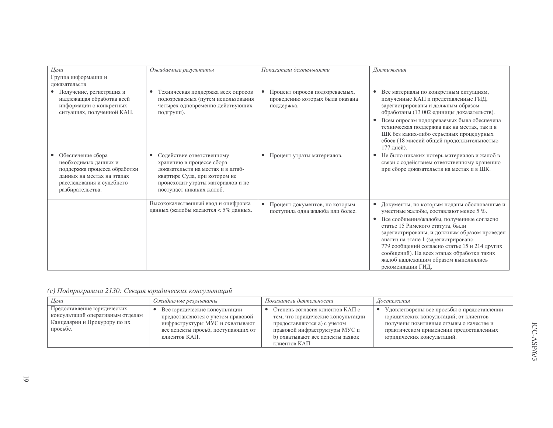| Цели                                                                                                                                                     | Ожидаемые результаты                                                                                                                                                                          | Показатели деятельности                                                                      | Достижения                                                                                                                                                                                                                                                                                                                                                                                                                                          |
|----------------------------------------------------------------------------------------------------------------------------------------------------------|-----------------------------------------------------------------------------------------------------------------------------------------------------------------------------------------------|----------------------------------------------------------------------------------------------|-----------------------------------------------------------------------------------------------------------------------------------------------------------------------------------------------------------------------------------------------------------------------------------------------------------------------------------------------------------------------------------------------------------------------------------------------------|
| Группа информации и<br>доказательств                                                                                                                     |                                                                                                                                                                                               |                                                                                              |                                                                                                                                                                                                                                                                                                                                                                                                                                                     |
| • Получение, регистрация и<br>надлежащая обработка всей<br>информации о конкретных<br>ситуациях, полученной КАП.                                         | Техническая поддержка всех опросов<br>подозреваемых (путем использования<br>четырех одновременно действующих<br>подгрупп).                                                                    | Процент опросов подозреваемых,<br>$\bullet$<br>проведению которых была оказана<br>поддержка. | Все материалы по конкретным ситуациям,<br>$\bullet$<br>полученные КАП и представленные ГИД,<br>зарегистрированы и должным образом<br>обработаны (13 002 единицы доказательств).                                                                                                                                                                                                                                                                     |
|                                                                                                                                                          |                                                                                                                                                                                               |                                                                                              | Всем опросам подозреваемых была обеспечена<br>$\bullet$<br>техническая поддержка как на местах, так и в<br>ШК без каких-либо серьезных процедурных<br>сбоев (18 миссий общей продолжительностью<br>177 дней).                                                                                                                                                                                                                                       |
| Обеспечение сбора<br>необходимых данных и<br>поддержка процесса обработки<br>данных на местах на этапах<br>расследования и судебного<br>разбирательства. | Содействие ответственному<br>хранению в процессе сбора<br>доказательств на местах и в штаб-<br>квартире Суда, при котором не<br>происходит утраты материалов и не<br>поступает никаких жалоб. | • Процент утраты материалов.                                                                 | Не было никаких потерь материалов и жалоб в<br>$\bullet$<br>связи с содействием ответственному хранению<br>при сборе доказательств на местах и в ШК.                                                                                                                                                                                                                                                                                                |
|                                                                                                                                                          | Высококачественный ввод и оцифровка<br>данных (жалобы касаются < 5% данных.                                                                                                                   | • Процент документов, по которым<br>поступила одна жалоба или более.                         | Документы, по которым поданы обоснованные и<br>$\bullet$<br>уместные жалобы, составляют менее 5 %.<br>Все сообщения/жалобы, полученные согласно<br>$\bullet$<br>статье 15 Римского статута, были<br>зарегистрированы, и должным образом проведен<br>анализ на этапе 1 (зарегистрировано<br>779 сообщений согласно статье 15 и 214 других<br>сообщений). На всех этапах обработки таких<br>жалоб надлежащим образом выполнялись<br>рекомендации ГИД. |

## (с) Подпрограмма 2130: Секция юридических консультаций

| Цели                                                                                                       | Ожидаемые результаты                                                                                                                                        | Показатели деятельности                                                                                                                                                                   | Достижения                                                                                                                                                                                             |
|------------------------------------------------------------------------------------------------------------|-------------------------------------------------------------------------------------------------------------------------------------------------------------|-------------------------------------------------------------------------------------------------------------------------------------------------------------------------------------------|--------------------------------------------------------------------------------------------------------------------------------------------------------------------------------------------------------|
| Предоставление юридических<br>консультаций оперативным отделам<br>Канцелярии и Прокурору по их<br>просьбе. | Все юридические консультации<br>предоставляются с учетом правовой<br>инфраструктуры МУС и охватывают<br>все аспекты просьб, поступающих от<br>клиентов КАП. | Степень согласия клиентов КАП с<br>тем, что юридические консультации<br>предоставляются а) с учетом<br>правовой инфраструктуры МУС и<br>b) охватывают все аспекты заявок<br>клиентов КАП. | Удовлетворены все просьбы о предоставлении<br>юридических консультаций; от клиентов<br>получены позитивные отзывы о качестве и<br>практическом применении предоставленных<br>юридических консультаций. |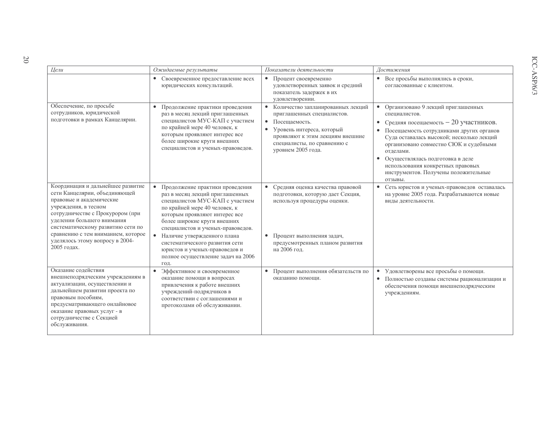| Цели                                                                                                                                                                                                                                                                | Ожидаемые результаты                                                                                                                                                                                                                                     | Показатели деятельности                                                                                                                                                                                                          | Достижения                                                                                                                                                                                                                                                                                                                                                                                           |
|---------------------------------------------------------------------------------------------------------------------------------------------------------------------------------------------------------------------------------------------------------------------|----------------------------------------------------------------------------------------------------------------------------------------------------------------------------------------------------------------------------------------------------------|----------------------------------------------------------------------------------------------------------------------------------------------------------------------------------------------------------------------------------|------------------------------------------------------------------------------------------------------------------------------------------------------------------------------------------------------------------------------------------------------------------------------------------------------------------------------------------------------------------------------------------------------|
|                                                                                                                                                                                                                                                                     | Своевременное предоставление всех<br>$\bullet$<br>юридических консультаций.                                                                                                                                                                              | $\bullet$<br>Процент своевременно<br>удовлетворенных заявок и средний<br>показатель задержек в их<br>удовлетворении.                                                                                                             | Все просьбы выполнялись в сроки,<br>$\bullet$<br>согласованные с клиентом.                                                                                                                                                                                                                                                                                                                           |
| Обеспечение, по просьбе<br>сотрудников, юридической<br>подготовки в рамках Канцелярии.                                                                                                                                                                              | $\bullet$<br>Продолжение практики проведения<br>раз в месяц лекций приглашенных<br>специалистов МУС-КАП с участием<br>по крайней мере 40 человек, к<br>которым проявляют интерес все<br>более широкие круги внешних<br>специалистов и ученых-правоведов. | Количество запланированных лекций<br>приглашенных специалистов.<br>$\bullet$<br>Посещаемость.<br>$\bullet$<br>Уровень интереса, который<br>проявляют к этим лекциям внешние<br>специалисты, по сравнению с<br>уровнем 2005 года. | Организовано 9 лекций приглашенных<br>специалистов.<br>• Средняя посещаемость - 20 участников.<br>Посещаемость сотрудниками других органов<br>$\bullet$<br>Суда оставалась высокой; несколько лекций<br>организовано совместно СЮК и судебными<br>отделами.<br>Осуществлялась подготовка в деле<br>$\bullet$<br>использования конкретных правовых<br>инструментов. Получены положительные<br>ОТЗЫВЫ. |
| Координация и дальнейшее развитие<br>сети Канцелярии, объединяющей<br>правовые и академические<br>учреждения, в тесном<br>сотрудничестве с Прокурором (при<br>уделении большего внимания<br>систематическому развитию сети по<br>сравнению с тем вниманием, которое | $\bullet$<br>Продолжение практики проведения<br>раз в месяц лекций приглашенных<br>специалистов МУС-КАП с участием<br>по крайней мере 40 человек, к<br>которым проявляют интерес все<br>более широкие круги внешних<br>специалистов и ученых-правоведов. | Средняя оценка качества правовой<br>подготовки, которую дает Секция,<br>используя процедуры оценки.                                                                                                                              | Сеть юристов и ученых-правоведов оставалась<br>$\bullet$<br>на уровне 2005 года. Разрабатываются новые<br>виды деятельности.                                                                                                                                                                                                                                                                         |
| уделялось этому вопросу в 2004-<br>2005 годах.                                                                                                                                                                                                                      | Наличие утвержденного плана<br>$\bullet$<br>систематического развития сети<br>юристов и ученых-правоведов и<br>полное осуществление задач на 2006<br>год.                                                                                                | Процент выполнения задач,<br>$\bullet$<br>предусмотренных планом развития<br>на 2006 год.                                                                                                                                        |                                                                                                                                                                                                                                                                                                                                                                                                      |
| Оказание содействия<br>внешнеподрядческим учреждениям в<br>актуализации, осуществлении и<br>дальнейшем развитии проекта по<br>правовым пособиям,<br>предусматривающего онлайновое<br>оказание правовых услуг - в<br>сотрудничестве с Секцией<br>обслуживания.       | Эффективное и своевременное<br>оказание помощи в вопросах<br>привлечения к работе внешних<br>учреждений-подрядчиков в<br>соответствии с соглашениями и<br>протоколами об обслуживании.                                                                   | Процент выполнения обязательств по<br>$\bullet$<br>оказанию помощи.                                                                                                                                                              | Удовлетворены все просьбы о помощи.<br>$\bullet$<br>$\bullet$<br>Полностью созданы системы рационализации и<br>обеспечения помощи внешнеподрядческим<br>учреждениям.                                                                                                                                                                                                                                 |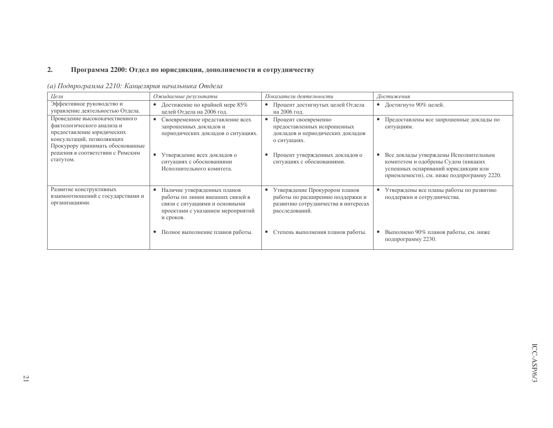#### $2.$ Программа 2200: Отдел по юрисдикции, дополняемости и сотрудничеству

|  | (а) Подпрограмма 2210: Канцелярия начальника Отдела |  |  |
|--|-----------------------------------------------------|--|--|
|  |                                                     |  |  |

| Цели                                                                                                                                                        | Показатели деятельности<br>Ожидаемые результаты                                                                                                     |                                                                                                                            | Достижения                                                                                                                                                                     |
|-------------------------------------------------------------------------------------------------------------------------------------------------------------|-----------------------------------------------------------------------------------------------------------------------------------------------------|----------------------------------------------------------------------------------------------------------------------------|--------------------------------------------------------------------------------------------------------------------------------------------------------------------------------|
| Эффективное руководство и<br>управление деятельностью Отдела.                                                                                               | Достижение по крайней мере 85%<br>$\bullet$<br>целей Отдела на 2006 год.                                                                            | Процент достигнутых целей Отдела<br>٠<br>на 2006 год.                                                                      | • Достигнуто 90% целей.                                                                                                                                                        |
| Проведение высококачественного<br>фактологического анализа и<br>предоставление юридических<br>консультаций, позволяющих<br>Прокурору принимать обоснованные | Своевременное представление всех<br>запрошенных докладов и<br>периодических докладов о ситуациях.                                                   | Процент своевременно<br>предоставленных испрошенных<br>докладов и периодических докладов<br>о ситуациях.                   | Предоставлены все запрошенные доклады по<br>٠<br>ситуациям.                                                                                                                    |
| решения в соответствии с Римским<br>статутом.                                                                                                               | Утверждение всех докладов о<br>$\bullet$<br>ситуациях с обоснованиями<br>Исполнительного комитета.                                                  | Процент утвержденных докладов о<br>$\bullet$<br>ситуациях с обоснованиями.                                                 | Все доклады утверждены Исполнительным<br>$\bullet$<br>комитетом и одобрены Судом (никаких<br>успешных оспариваний юрисдикции или<br>приемлемости), см. ниже подпрограмму 2220. |
| Развитие конструктивных<br>взаимоотношений с государствами и<br>организациями.                                                                              | Наличие утвержденных планов<br>работы по линии внешних связей в<br>связи с ситуациями и основными<br>проектами с указанием мероприятий<br>и сроков. | Утверждение Прокурором планов<br>работы по расширению поддержки и<br>развитию сотрудничества в интересах<br>расследований. | Утверждены все планы работы по развитию<br>поддержки и сотрудничества.                                                                                                         |
|                                                                                                                                                             | Полное выполнение планов работы.                                                                                                                    | Степень выполнения планов работы.                                                                                          | Выполнено 90% планов работы, см. ниже<br>подпрограмму 2230.                                                                                                                    |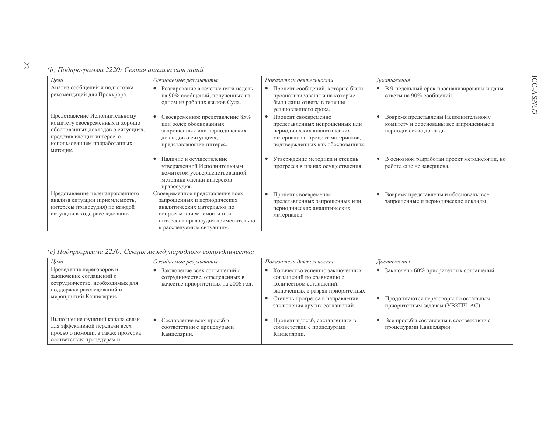## (b) Подпрограмма 2220: Секция анализа ситуаций

| Цели                                                                                                                                                                            | Ожидаемые результаты                                                                                                                                                                           | Показатели деятельности                                                                                                                                       | Достижения                                                                                                |
|---------------------------------------------------------------------------------------------------------------------------------------------------------------------------------|------------------------------------------------------------------------------------------------------------------------------------------------------------------------------------------------|---------------------------------------------------------------------------------------------------------------------------------------------------------------|-----------------------------------------------------------------------------------------------------------|
| Анализ сообщений и подготовка<br>рекомендаций для Прокурора.                                                                                                                    | Реагирование в течение пяти недель<br>٠<br>на 90% сообщений, полученных на<br>одном из рабочих языков Суда.                                                                                    | Процент сообщений, которые были<br>проанализированы и на которые<br>были даны ответы в течение<br>установленного срока.                                       | В 9-недельный срок проанализированы и даны<br>ответы на 90% сообщений.                                    |
| Представление Исполнительному<br>комитету своевременных и хорошо<br>обоснованных докладов о ситуациях,<br>представляющих интерес, с<br>использованием проработанных<br>методик. | Своевременное представление 85%<br>или более обоснованных<br>запрошенных или периодических<br>докладов о ситуациях,<br>представляющих интерес.                                                 | Процент своевременно<br>представленных испрошенных или<br>периодических аналитических<br>материалов и процент материалов,<br>подтвержденных как обоснованных. | Вовремя представлены Исполнительному<br>комитету и обоснованы все запрошенные и<br>периодические доклады. |
|                                                                                                                                                                                 | Наличие и осуществление<br>утвержденной Исполнительным<br>комитетом усовершенствованной<br>методики оценки интересов<br>правосудия.                                                            | Утверждение методики и степень<br>прогресса в планах осуществления.                                                                                           | В основном разработан проект методологии, но<br>работа еще не завершена.                                  |
| Представление целенаправленного<br>анализа ситуации (приемлемость,<br>интересы правосудия) по каждой<br>ситуации в ходе расследования.                                          | Своевременное представление всех<br>запрошенных и периодических<br>аналитических материалов по<br>вопросам приемлемости или<br>интересов правосудия применительно<br>к расследуемым ситуациям. | Процент своевременно<br>представленных запрошенных или<br>периодических аналитических<br>материалов.                                                          | Вовремя представлены и обоснованы все<br>запрошенные и периодические доклады.                             |

## (с) Подпрограмма 2230: Секция международного сотрудничества

| Цели<br>Ожидаемые результаты                                                                                                                   |                                                                                                      | Показатели деятельности                                                                                                                                                                         | Достижения                                                                                                            |  |
|------------------------------------------------------------------------------------------------------------------------------------------------|------------------------------------------------------------------------------------------------------|-------------------------------------------------------------------------------------------------------------------------------------------------------------------------------------------------|-----------------------------------------------------------------------------------------------------------------------|--|
| Проведение переговоров и<br>заключение соглашений о<br>сотрудничестве, необходимых для<br>поддержки расследований и<br>мероприятий Канцелярии. | Заключение всех соглашений о<br>сотрудничестве, определенных в<br>качестве приоритетных на 2006 год. | Количество успешно заключенных<br>соглашений по сравнению с<br>количеством соглашений,<br>включенных в разряд приоритетных.<br>Степень прогресса в направлении<br>заключения других соглашений. | Заключено 60% приоритетных соглашений.<br>• Продолжаются переговоры по остальным<br>приоритетным задачам (УВКПЧ, АС). |  |
| Выполнение функций канала связи<br>для эффективной передачи всех<br>просьб о помощи, а также проверка<br>соответствия процедурам и             | Составление всех просьб в<br>соответствии с процедурами<br>Канцелярии.                               | Процент просьб, составленных в<br>соответствии с процедурами<br>Канцелярии.                                                                                                                     | Все просьбы составлены в соответствии с<br>$\bullet$<br>процедурами Канцелярии.                                       |  |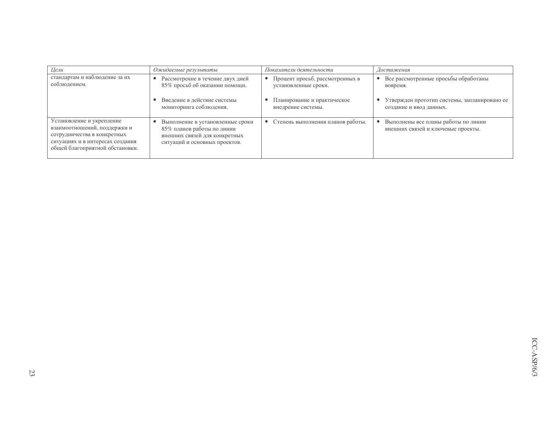| Цели                                                                                                                                                            | Ожидаемые результаты                                                                                                             | Показатели деятельности           | Достижения                                                                |
|-----------------------------------------------------------------------------------------------------------------------------------------------------------------|----------------------------------------------------------------------------------------------------------------------------------|-----------------------------------|---------------------------------------------------------------------------|
| стандартам и наблюдение за их                                                                                                                                   | Рассмотрение в течение двух дней                                                                                                 | Процент просьб, рассмотренных в   | Все рассмотренные просьбы обработаны                                      |
| соблюдением.                                                                                                                                                    | 85% просьб об оказании помощи.                                                                                                   | установленные сроки.              | вовремя.                                                                  |
|                                                                                                                                                                 | Введение в действие системы                                                                                                      | Планирование и практическое       | Утвержден прототип системы, запланировано ее                              |
|                                                                                                                                                                 | мониторинга соблюдения.                                                                                                          | внедрение системы.                | создание и ввод данных.                                                   |
| Установление и укрепление<br>взаимоотношений, поддержки и<br>сотрудничества в конкретных<br>ситуациях и в интересах создания<br>общей благоприятной обстановки. | Выполнение в установленные сроки<br>85% планов работы по линии<br>внешних связей для конкретных<br>ситуаций и основных проектов. | Степень выполнения планов работы. | Выполнены все планы работы по линии<br>внешних связей и ключевые проекты. |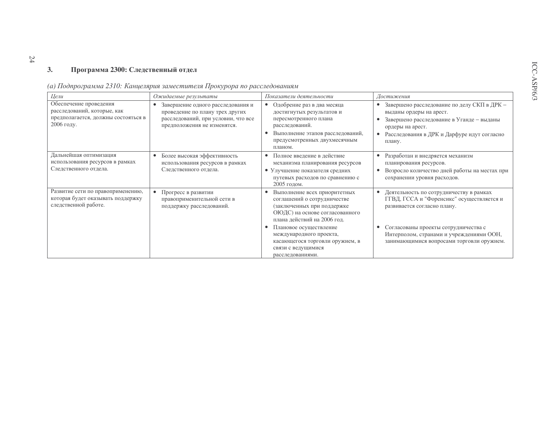#### Программа 2300: Следственный отдел  $3.$

| Цели                                                                                                       | Ожидаемые результаты                                                                                                                       | Показатели деятельности                                                                                                                                                           | Достижения                                                                                                                                                                                       |
|------------------------------------------------------------------------------------------------------------|--------------------------------------------------------------------------------------------------------------------------------------------|-----------------------------------------------------------------------------------------------------------------------------------------------------------------------------------|--------------------------------------------------------------------------------------------------------------------------------------------------------------------------------------------------|
| Обеспечение проведения<br>расследований, которые, как<br>предполагается, должны состояться в<br>2006 году. | Завершение одного расследования и<br>проведение по плану трех других<br>расследований, при условии, что все<br>предположения не изменятся. | Одобрение раз в два месяца<br>достигнутых результатов и<br>пересмотренного плана<br>расследований.<br>Выполнение этапов расследований,<br>предусмотренных двухмесячным<br>планом. | Завершено расследование по делу СКП в ДРК -<br>выданы ордеры на арест.<br>Завершено расследование в Уганде - выданы<br>ордеры на арест.<br>Расследования в ДРК и Дарфуре идут согласно<br>плану. |
| Дальнейшая оптимизация<br>использования ресурсов в рамках<br>Следственного отдела.                         | Более высокая эффективность<br>использования ресурсов в рамках<br>Следственного отдела.                                                    | Полное введение в действие<br>механизма планирования ресурсов<br>• Улучшение показателя средних<br>путевых расходов по сравнению с<br>2005 годом.                                 | Разработан и внедряется механизм<br>планирования ресурсов.<br>Возросло количество дней работы на местах при<br>сохранении уровня расходов.                                                       |
| Развитие сети по правоприменению,<br>которая будет оказывать поддержку<br>следственной работе.             | Прогресс в развитии<br>правоприменительной сети в<br>поддержку расследований.                                                              | Выполнение всех приоритетных<br>соглашений о сотрудничестве<br>(заключенных при поддержке<br>ОЮДС) на основе согласованного<br>плана действий на 2006 год.                        | Деятельность по сотрудничеству в рамках<br>ГГВД, ГССА и "Форенсикс" осуществляется и<br>развивается согласно плану.                                                                              |
|                                                                                                            |                                                                                                                                            | Плановое осуществление<br>международного проекта,<br>касающегося торговли оружием, в<br>связи с ведущимися<br>расследованиями.                                                    | Согласованы проекты сотрудничества с<br>Интерполом, странами и учреждениями ООН,<br>занимающимися вопросами торговли оружием.                                                                    |

|  |  |  | (а) Подпрограмма 2310: Канцелярия заместителя Прокурора по расследованиям |
|--|--|--|---------------------------------------------------------------------------|
|  |  |  |                                                                           |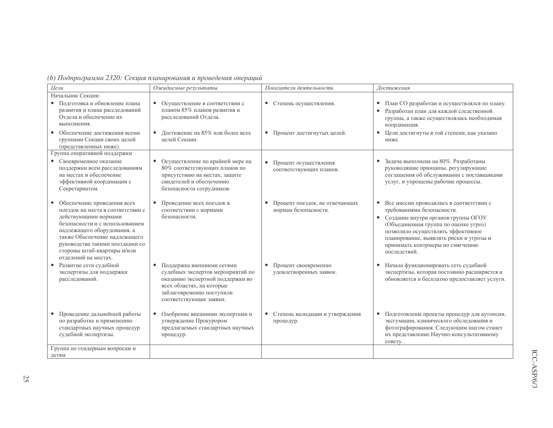| (b) Подпрограмма 2320: Секция планирования и проведения операций |  |  |  |
|------------------------------------------------------------------|--|--|--|
|                                                                  |  |  |  |

| Цели                                                                                                                                                                                                                                                                                    | Ожидаемые результаты                                                                                                                                                                      | Показатели деятельности                                             | Достижения                                                                                                                                                                                                                                                                                                |
|-----------------------------------------------------------------------------------------------------------------------------------------------------------------------------------------------------------------------------------------------------------------------------------------|-------------------------------------------------------------------------------------------------------------------------------------------------------------------------------------------|---------------------------------------------------------------------|-----------------------------------------------------------------------------------------------------------------------------------------------------------------------------------------------------------------------------------------------------------------------------------------------------------|
| Начальник Секции:                                                                                                                                                                                                                                                                       |                                                                                                                                                                                           |                                                                     |                                                                                                                                                                                                                                                                                                           |
| • Подготовка и обновление плана<br>развития и плана расследований<br>Отдела и обеспечение их<br>выполнения.                                                                                                                                                                             | • Осуществление в соответствии с<br>планом 85% планов развития и<br>расследований Отдела.                                                                                                 | • Степень осуществления.                                            | План СО разработан и осуществлялся по плану.<br>$\bullet$<br>Разработан план для каждой следственной<br>группы, а также осуществлялась необходимая<br>координация.                                                                                                                                        |
| • Обеспечение достижения всеми<br>группами Секции своих целей<br>(представленных ниже).                                                                                                                                                                                                 | Достижение на 85% или более всех<br>$\bullet$<br>целей Секции.                                                                                                                            | • Процент достигнутых целей.                                        | Цели достигнуты в той степени, как указано<br>ниже.                                                                                                                                                                                                                                                       |
| Группа оперативной поддержки                                                                                                                                                                                                                                                            |                                                                                                                                                                                           |                                                                     |                                                                                                                                                                                                                                                                                                           |
| • Своевременное оказание<br>поддержки всем расследованиям<br>на местах и обеспечение<br>эффективной координации с<br>Секретариатом.                                                                                                                                                     | Осуществление по крайней мере на<br>80% соответствующих планов по<br>присутствию на местах, защите<br>свидетелей и обеспечению<br>безопасности сотрудников.                               | $\bullet$<br>Процент осуществления<br>соответствующих планов.       | Задача выполнена на 80%. Разработаны<br>$\bullet$<br>руководящие принципы, регулирующие<br>соглашения об обслуживании с поставщиками<br>услуг, и упрощены рабочие процессы.                                                                                                                               |
| • Обеспечение проведения всех<br>поездок на места в соответствии с<br>действующими нормами<br>безопасности и с использованием<br>надлежащего оборудования, а<br>также Обеспечение надлежащего<br>руководства такими поездками со<br>стороны штаб-квартиры и/или<br>отделений на местах. | Проведение всех поездок в<br>$\bullet$<br>соответствии с нормами<br>безопасности.                                                                                                         | Процент поездок, не отвечающих<br>$\bullet$<br>нормам безопасности. | Все миссии проводились в соответствии с<br>$\bullet$<br>требованиями безопасности.<br>• Создание внутри органов группы ОГОУ<br>(Объединенная группа по оценке угроз)<br>позволило осуществлять эффективное<br>планирование, выявлять риски и угрозы и<br>принимать контрмеры по смягчению<br>последствий. |
| Развитие сети судебной<br>экспертизы для поддержки<br>расследований.                                                                                                                                                                                                                    | • Поддержка внешними сетями<br>судебных экспертов мероприятий по<br>оказанию экспертной поддержки во<br>всех областях, на которые<br>заблаговременно поступили<br>соответствующие заявки. | Процент своевременно<br>$\bullet$<br>удовлетворенных заявок.        | Начала функционировать сеть судебной<br>экспертизы, которая постоянно расширяется и<br>обновляется и бесплатно предоставляет услуги.                                                                                                                                                                      |
| Проведение дальнейшей работы<br>по разработке и применению<br>стандартных научных процедур<br>судебной экспертизы.                                                                                                                                                                      | Одобрение внешними экспертами и<br>$\bullet$<br>утверждение Прокурором<br>предлагаемых стандартных научных<br>процедур.                                                                   | Степень валидации и утверждения<br>$\bullet$<br>процедур.           | Подготовлены проекты процедур для аутопсии,<br>эксгумации, клинического обследования и<br>фотографирования. Следующим шагом станет<br>их представление Научно-консультативному<br>совету.                                                                                                                 |
| Группа по гендерным вопросам и<br>детям                                                                                                                                                                                                                                                 |                                                                                                                                                                                           |                                                                     |                                                                                                                                                                                                                                                                                                           |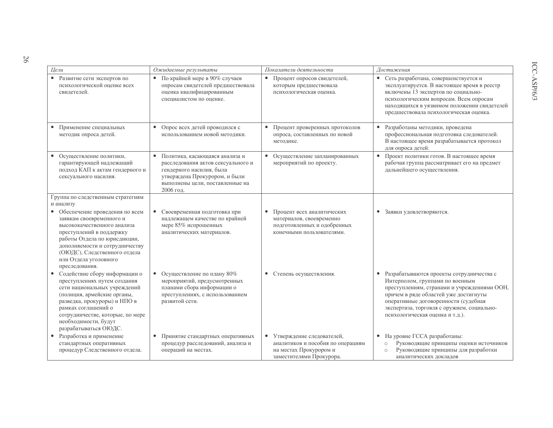| Цели                                                                                                                                                                                                                                                                              | Ожидаемые результаты                                                                                                                                                                           | Показатели деятельности                                                                                                           | Достижения                                                                                                                                                                                                                                                                                                |
|-----------------------------------------------------------------------------------------------------------------------------------------------------------------------------------------------------------------------------------------------------------------------------------|------------------------------------------------------------------------------------------------------------------------------------------------------------------------------------------------|-----------------------------------------------------------------------------------------------------------------------------------|-----------------------------------------------------------------------------------------------------------------------------------------------------------------------------------------------------------------------------------------------------------------------------------------------------------|
| • Развитие сети экспертов по<br>психологической оценке всех<br>свидетелей.                                                                                                                                                                                                        | По крайней мере в 90% случаев<br>$\bullet$<br>опросам свидетелей предшествовала<br>оценка квалифицированным<br>специалистом по оценке.                                                         | Процент опросов свидетелей,<br>$\bullet$<br>которым предшествовала<br>психологическая оценка.                                     | • Сеть разработана, совершенствуется и<br>эксплуатируется. В настоящее время в реестр<br>включены 13 экспертов по социально-<br>психологическим вопросам. Всем опросам<br>находящихся в уязвимом положении свидетелей<br>предшествовала психологическая оценка.                                           |
| Применение специальных<br>методик опроса детей.                                                                                                                                                                                                                                   | • Опрос всех детей проводился с<br>использованием новой методики.                                                                                                                              | Процент проверенных протоколов<br>$\bullet$<br>опроса, составленных по новой<br>методике.                                         | Разработаны методики, проведена<br>профессиональная подготовка следователей.<br>В настоящее время разрабатывается протокол<br>для опроса детей.                                                                                                                                                           |
| • Осуществление политики,<br>гарантирующей надлежащий<br>подход КАП к актам гендерного и<br>сексуального насилия.                                                                                                                                                                 | $\bullet$<br>Политика, касающаяся анализа и<br>расследования актов сексуального и<br>гендерного насилия, была<br>утверждена Прокурором, и были<br>выполнены цели, поставленные на<br>2006 год. | Осуществление запланированных<br>$\bullet$<br>мероприятий по проекту.                                                             | Проект политики готов. В настоящее время<br>$\bullet$<br>рабочая группа рассматривает его на предмет<br>дальнейшего осуществления.                                                                                                                                                                        |
| Группа по следственным стратегиям                                                                                                                                                                                                                                                 |                                                                                                                                                                                                |                                                                                                                                   |                                                                                                                                                                                                                                                                                                           |
| и анализу<br>• Обеспечение проведения по всем<br>заявкам своевременного и<br>высококачественного анализа<br>преступлений в поддержку<br>работы Отдела по юрисдикции,<br>дополняемости и сотрудничеству<br>(ОЮДС), Следственного отдела<br>или Отдела уголовного<br>преследования. | Своевременная подготовка при<br>$\bullet$<br>надлежащем качестве по крайней<br>мере 85% испрошенных<br>аналитических материалов.                                                               | Процент всех аналитических<br>$\bullet$<br>материалов, своевременно<br>подготовленных и одобренных<br>конечными пользователями.   | Заявки удовлетворяются.<br>$\bullet$                                                                                                                                                                                                                                                                      |
| Содействие сбору информации о<br>преступлениях путем создания<br>сети национальных учреждений<br>(полиция, армейские органы,<br>разведка, прокуроры) и НПО в<br>рамках соглашений о<br>сотрудничестве, которые, по мере<br>необходимости, будут<br>разрабатываться ОЮДС.          | Осуществление по плану 80%<br>$\bullet$<br>мероприятий, предусмотренных<br>планами сбора информации о<br>преступлениях, с использованием<br>развитой сети.                                     | • Степень осуществления.                                                                                                          | Разрабатываются проекты сотрудничества с<br>$\bullet$<br>Интерполом, группами по военным<br>преступлениям, странами и учреждениями ООН,<br>причем в ряде областей уже достигнуты<br>оперативные договоренности (судебная<br>экспертиза, торговля с оружием, социально-<br>психологическая оценка и т.д.). |
| Разработка и применение<br>стандартных оперативных<br>процедур Следственного отдела.                                                                                                                                                                                              | Принятие стандартных оперативных<br>$\bullet$<br>процедур расследований, анализа и<br>операций на местах.                                                                                      | Утверждение следователей,<br>$\bullet$<br>аналитиков и пособия по операциям<br>на местах Прокурором и<br>заместителями Прокурора. | • На уровне ГССА разработаны:<br>Руководящие принципы оценки источников<br>$\circ$<br>Руководящие принципы для разработки<br>$\circ$<br>аналитических докладов                                                                                                                                            |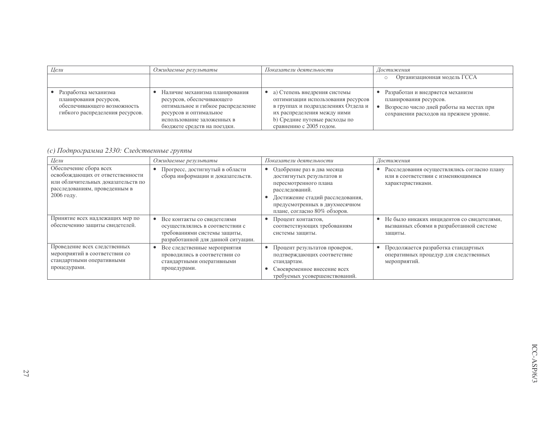| Цели                                                                                                             | Ожидаемые результаты                                                                                                                                                                     | Показатели деятельности                                                                                                                                                                              | Достижения                                                                                                                                       |  |  |
|------------------------------------------------------------------------------------------------------------------|------------------------------------------------------------------------------------------------------------------------------------------------------------------------------------------|------------------------------------------------------------------------------------------------------------------------------------------------------------------------------------------------------|--------------------------------------------------------------------------------------------------------------------------------------------------|--|--|
|                                                                                                                  |                                                                                                                                                                                          |                                                                                                                                                                                                      | Организационная модель ГССА<br>$\circ$                                                                                                           |  |  |
| Разработка механизма<br>планирования ресурсов,<br>обеспечивающего возможность<br>гибкого распределения ресурсов. | Наличие механизма планирования<br>ресурсов, обеспечивающего<br>оптимальное и гибкое распределение<br>ресурсов и оптимальное<br>использование заложенных в<br>бюджете средств на поездки. | а) Степень внедрения системы<br>оптимизации использования ресурсов<br>в группах и подразделениях Отдела и<br>их распределения между ними<br>b) Средние путевые расходы по<br>сравнению с 2005 годом. | Разработан и внедряется механизм<br>планирования ресурсов.<br>Возросло число дней работы на местах при<br>сохранении расходов на прежнем уровне. |  |  |

(с) Подпрограмма 2330: Следственные группы

| Цели                                                                                                                                            | Ожидаемые результаты                                                                                                                              | Показатели деятельности                                                                                                                                                                                               | Достижения                                                                                             |  |  |
|-------------------------------------------------------------------------------------------------------------------------------------------------|---------------------------------------------------------------------------------------------------------------------------------------------------|-----------------------------------------------------------------------------------------------------------------------------------------------------------------------------------------------------------------------|--------------------------------------------------------------------------------------------------------|--|--|
| Обеспечение сбора всех<br>освобождающих от ответственности<br>или обличительных доказательств по<br>расследованиям, проведенным в<br>2006 году. | Прогресс, достигнутый в области<br>$\bullet$<br>сбора информации и доказательств.                                                                 | Одобрение раз в два месяца<br>$\bullet$<br>достигнутых результатов и<br>пересмотренного плана<br>расследований.<br>Достижение стадий расследования,<br>предусмотренных в двухмесячном<br>плане, согласно 80% обзоров. | Расследования осуществлялись согласно плану<br>или в соответствии с изменяющимися<br>характеристиками. |  |  |
| Принятие всех надлежащих мер по<br>обеспечению защиты свидетелей.                                                                               | Все контакты со свидетелями<br>$\bullet$<br>осуществлялись в соответствии с<br>требованиями системы защиты,<br>разработанной для данной ситуации. | Процент контактов,<br>соответствующих требованиям<br>системы защиты.                                                                                                                                                  | Не было никаких инцидентов со свидетелями,<br>вызванных сбоями в разработанной системе<br>защиты.      |  |  |
| Проведение всех следственных<br>мероприятий в соответствии со<br>стандартными оперативными<br>процедурами.                                      | Все следственные мероприятия<br>$\bullet$<br>проводились в соответствии со<br>стандартными оперативными<br>процедурами.                           | Процент результатов проверок,<br>٠<br>подтверждающих соответствие<br>стандартам.<br>Своевременное внесение всех<br>требуемых усовершенствований.                                                                      | Продолжается разработка стандартных<br>оперативных процедур для следственных<br>мероприятий.           |  |  |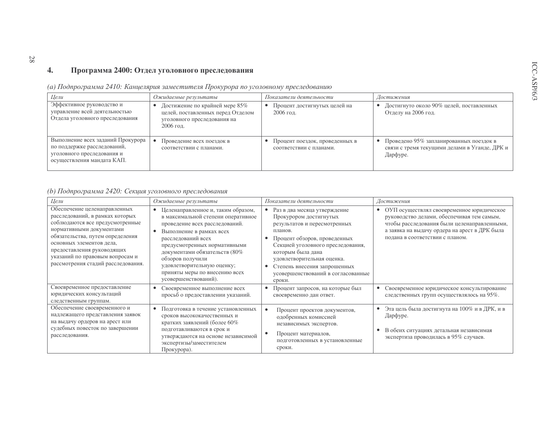#### Программа 2400: Отдел уголовного преследования  $\overline{4}$ .

 $28$ 

| Цели                                                                                                                         | Ожидаемые результаты                                                                                            | Показатели деятельности                                   | Достижения                                                                                           |
|------------------------------------------------------------------------------------------------------------------------------|-----------------------------------------------------------------------------------------------------------------|-----------------------------------------------------------|------------------------------------------------------------------------------------------------------|
| Эффективное руководство и<br>управление всей деятельностью<br>Отдела уголовного преследования                                | Достижение по крайней мере 85%<br>целей, поставленных перед Отделом<br>уголовного преследования на<br>2006 год. | Процент достигнутых целей на<br>2006 год.                 | Достигнуто около 90% целей, поставленных<br>Отделу на 2006 год.                                      |
| Выполнение всех заданий Прокурора<br>по поддержке расследований,<br>уголовного преследования и<br>осуществления мандата КАП. | Проведение всех поездок в<br>соответствии с планами.                                                            | Процент поездок, проведенных в<br>соответствии с планами. | Проведено 95% запланированных поездок в<br>связи с тремя текущими делами в Уганде, ДРК и<br>Дарфуре. |

(а) Подпрограмма 2410: Канцелярия заместителя Прокурора по уголовному преследованию

## (b) Подпрограмма 2420: Секция уголовного преследования

| Цели                                                                                                                                                                                                                                                                                                  | Ожидаемые результаты                                                                                                                                                                                                                                                                                                                     | Показатели деятельности                                                                                                                                                                                                                                                                                                | Достижения                                                                                                                                                                                                                              |
|-------------------------------------------------------------------------------------------------------------------------------------------------------------------------------------------------------------------------------------------------------------------------------------------------------|------------------------------------------------------------------------------------------------------------------------------------------------------------------------------------------------------------------------------------------------------------------------------------------------------------------------------------------|------------------------------------------------------------------------------------------------------------------------------------------------------------------------------------------------------------------------------------------------------------------------------------------------------------------------|-----------------------------------------------------------------------------------------------------------------------------------------------------------------------------------------------------------------------------------------|
| Обеспечение целенаправленных<br>расследований, в рамках которых<br>соблюдаются все предусмотренные<br>нормативными документами<br>обязательства, путем определения<br>основных элементов дела,<br>предоставления руководящих<br>указаний по правовым вопросам и<br>рассмотрения стадий расследования. | Целенаправленное и, таким образом,<br>в максимальной степени оперативное<br>проведение всех расследований.<br>Выполнение в рамках всех<br>расследований всех<br>предусмотренных нормативными<br>документами обязательств (80%<br>обзоров получили<br>удовлетворительную оценку;<br>приняты меры по внесению всех<br>усовершенствований). | Раз в два месяца утверждение<br>$\bullet$<br>Прокурором достигнутых<br>результатов и пересмотренных<br>планов.<br>Процент обзоров, проведенных<br>Секцией уголовного преследования,<br>которым была дана<br>удовлетворительная оценка.<br>Степень внесения запрошенных<br>усовершенствований в согласованные<br>сроки. | ОУП осуществлял своевременное юридическое<br>$\bullet$<br>руководство делами, обеспечивая тем самым,<br>чтобы расследования были целенаправленными,<br>а заявка на выдачу ордера на арест в ДРК была<br>подана в соответствии с планом. |
| Своевременное предоставление<br>юридических консультаций<br>следственным группам.                                                                                                                                                                                                                     | Своевременное выполнение всех<br>просьб о предоставлении указаний.                                                                                                                                                                                                                                                                       | Процент запросов, на которые был<br>своевременно дан ответ.                                                                                                                                                                                                                                                            | Своевременное юридическое консультирование<br>следственных групп осуществлялось на 95%.                                                                                                                                                 |
| Обеспечение своевременного и<br>надлежащего представления заявок<br>на выдачу ордеров на арест или<br>судебных повесток по завершении<br>расследования.                                                                                                                                               | Подготовка в течение установленных<br>сроков высококачественных и<br>кратких заявлений (более 60%<br>подготавливаются в срок и<br>утверждаются на основе независимой<br>экспертизы/заместителем<br>Прокурора).                                                                                                                           | $\bullet$<br>Процент проектов документов,<br>одобренных комиссией<br>независимых экспертов.<br>Процент материалов,<br>подготовленных в установленные<br>сроки.                                                                                                                                                         | Эта цель была достигнута на 100% и в ДРК, и в<br>$\bullet$<br>Дарфуре.<br>В обеих ситуациях детальная независимая<br>экспертиза проводилась в 95% случаев.                                                                              |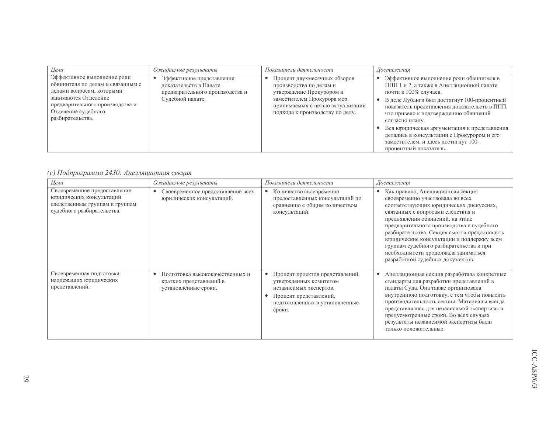| Цели                                                                                                                                                                                                | Ожидаемые результаты                                                                                       | Показатели деятельности                                                                                                                                                                   | Достижения                                                                                                                                                                                                                                                                                                                                                                                                                                 |
|-----------------------------------------------------------------------------------------------------------------------------------------------------------------------------------------------------|------------------------------------------------------------------------------------------------------------|-------------------------------------------------------------------------------------------------------------------------------------------------------------------------------------------|--------------------------------------------------------------------------------------------------------------------------------------------------------------------------------------------------------------------------------------------------------------------------------------------------------------------------------------------------------------------------------------------------------------------------------------------|
| Эффективное выполнение роли<br>обвинителя по делам и связанным с<br>делами вопросам, которыми<br>занимаются Отделение<br>предварительного производства и<br>Отделение судебного<br>разбирательства. | Эффективное представление<br>доказательств в Палате<br>предварительного производства и<br>Судебной палате. | Процент двухмесячных обзоров<br>производства по делам и<br>утверждение Прокурором и<br>заместителем Прокурора мер,<br>принимаемых с целью актуализации<br>подхода к производству по делу. | Эффективное выполнение роли обвинителя в<br>ППП 1 и 2, а также в Апелляционной палате<br>почти в 100% случаев.<br>В деле Лубанги был достигнут 100-процентный<br>показатель представления доказательств в ППП,<br>что привело к подтверждению обвинений<br>согласно плану.<br>Вся юридическая аргументация и представления<br>делались в консультации с Прокурором и его<br>заместителем, и здесь достигнут 100-<br>процентный показатель. |

## (с) Подпрограмма 2430: Апелляционная секция

| Цели                                                                                                                     | Ожидаемые результаты                                                               | Показатели деятельности                                                                                                                                   | Достижения                                                                                                                                                                                                                                                                                                                                                                                                                                                |
|--------------------------------------------------------------------------------------------------------------------------|------------------------------------------------------------------------------------|-----------------------------------------------------------------------------------------------------------------------------------------------------------|-----------------------------------------------------------------------------------------------------------------------------------------------------------------------------------------------------------------------------------------------------------------------------------------------------------------------------------------------------------------------------------------------------------------------------------------------------------|
| Своевременное предоставление<br>юридических консультаций<br>следственным группам и группам<br>судебного разбирательства. | Своевременное предоставление всех<br>юридических консультаций.                     | Количество своевременно<br>предоставленных консультаций по<br>сравнению с общим количеством<br>консультаций.                                              | Как правило, Апелляционная секция<br>своевременно участвовала во всех<br>соответствующих юридических дискуссиях,<br>связанных с вопросами следствия и<br>предъявления обвинений, на этапе<br>предварительного производства и судебного<br>разбирательства. Секция смогла предоставлять<br>юридические консультации и поддержку всем<br>группам судебного разбирательства и при<br>необходимости продолжала заниматься<br>разработкой судебных документов. |
| Своевременная подготовка<br>надлежащих юридических<br>представлений.                                                     | Подготовка высококачественных и<br>кратких представлений в<br>установленные сроки. | Процент проектов представлений,<br>утвержденных комитетом<br>независимых экспертов.<br>Процент представлений,<br>подготовленных в установленные<br>сроки. | Апелляционная секция разработала конкретные<br>стандарты для разработки представлений в<br>палаты Суда. Она также организовала<br>внутреннюю подготовку, с тем чтобы повысить<br>производительность секции. Материалы всегда<br>представлялись для независимой экспертизы в<br>предусмотренные сроки. Во всех случаях<br>результаты независимой экспертизы были<br>только положительные.                                                                  |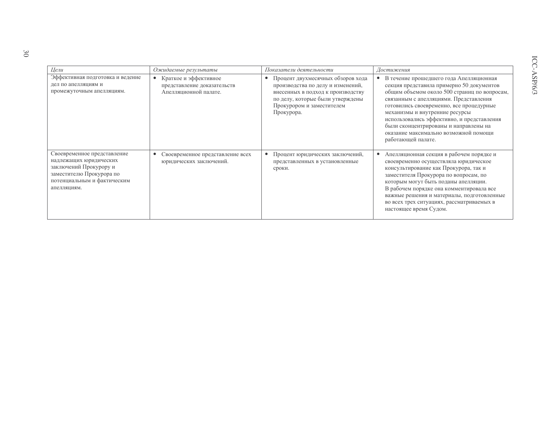| Цели                                                                                                                                                      | Ожидаемые результаты                                                          | Показатели деятельности                                                                                                                                                                                 | Достижения                                                                                                                                                                                                                                                                                                                                                                                                         |
|-----------------------------------------------------------------------------------------------------------------------------------------------------------|-------------------------------------------------------------------------------|---------------------------------------------------------------------------------------------------------------------------------------------------------------------------------------------------------|--------------------------------------------------------------------------------------------------------------------------------------------------------------------------------------------------------------------------------------------------------------------------------------------------------------------------------------------------------------------------------------------------------------------|
| Эффективная подготовка и ведение<br>дел по апелляциям и<br>промежуточным апелляциям.                                                                      | Краткое и эффективное<br>представление доказательств<br>Апелляционной палате. | Процент двухмесячных обзоров хода<br>$\bullet$<br>производства по делу и изменений,<br>внесенных в подход к производству<br>по делу, которые были утверждены<br>Прокурором и заместителем<br>Прокурора. | В течение прошедшего года Апелляционная<br>секция представила примерно 50 документов<br>общим объемом около 500 страниц по вопросам,<br>связанным с апелляциями. Представления<br>готовились своевременно, все процедурные<br>механизмы и внутренние ресурсы<br>использовались эффективно, и представления<br>были сконцентрированы и направлены на<br>оказание максимально возможной помощи<br>работающей палате. |
| Своевременное представление<br>надлежащих юридических<br>заключений Прокурору и<br>заместителю Прокурора по<br>потенциальным и фактическим<br>апелляциям. | Своевременное представление всех<br>$\bullet$<br>юридических заключений.      | Процент юридических заключений,<br>$\bullet$<br>представленных в установленные<br>сроки.                                                                                                                | Апелляционная секция в рабочем порядке и<br>$\bullet$<br>своевременно осуществляла юридическое<br>консультирование как Прокурора, так и<br>заместителя Прокурора по вопросам, по<br>которым могут быть поданы апелляции.<br>В рабочем порядке она комментировала все<br>важные решения и материалы, подготовленные<br>во всех трех ситуациях, рассматриваемых в<br>настоящее время Судом.                          |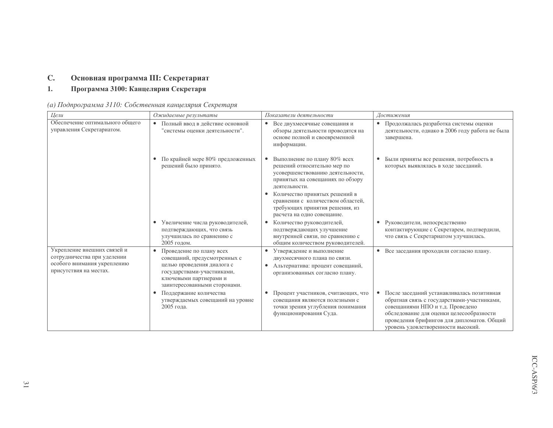#### $\mathbf{C}$ . Основная программа III: Секретариат

#### Программа 3100: Канцелярия Секретаря  $1.$

| Цели                                                                                                                | Ожидаемые результаты                                                                                                                                                                        | Показатели деятельности                                                                                                                                                                                                                                                                    | Достижения                                                                                                                                                                                                                                                         |  |  |
|---------------------------------------------------------------------------------------------------------------------|---------------------------------------------------------------------------------------------------------------------------------------------------------------------------------------------|--------------------------------------------------------------------------------------------------------------------------------------------------------------------------------------------------------------------------------------------------------------------------------------------|--------------------------------------------------------------------------------------------------------------------------------------------------------------------------------------------------------------------------------------------------------------------|--|--|
| Обеспечение оптимального общего<br>управления Секретариатом.                                                        | Полный ввод в действие основной<br>$\bullet$<br>"системы оценки деятельности".                                                                                                              | Все двухмесячные совещания и<br>$\bullet$<br>обзоры деятельности проводятся на<br>основе полной и своевременной<br>информации.                                                                                                                                                             | Продолжалась разработка системы оценки<br>деятельности, однако в 2006 году работа не был<br>завершена.                                                                                                                                                             |  |  |
|                                                                                                                     | По крайней мере 80% предложенных<br>٠<br>решений было принято.                                                                                                                              | Выполнение по плану 80% всех<br>решений относительно мер по<br>усовершенствованию деятельности,<br>принятых на совещаниях по обзору<br>деятельности.<br>Количество принятых решений в<br>сравнении с количеством областей,<br>требующих принятия решения, из<br>расчета на одно совещание. | Были приняты все решения, потребность в<br>которых выявлялась в ходе заседаний.                                                                                                                                                                                    |  |  |
|                                                                                                                     | Увеличение числа руководителей,<br>$\bullet$<br>подтверждающих, что связь<br>улучшилась по сравнению с<br>2005 годом.                                                                       | Количество руководителей,<br>$\bullet$<br>подтверждающих улучшение<br>внутренней связи, по сравнению с<br>общим количеством руководителей.                                                                                                                                                 | Руководители, непосредственно<br>$\bullet$<br>контактирующие с Секретарем, подтвердили,<br>что связь с Секретариатом улучшилась.                                                                                                                                   |  |  |
| Укрепление внешних связей и<br>сотрудничества при уделении<br>особого внимания укреплению<br>присутствия на местах. | Проведение по плану всех<br>$\bullet$<br>совещаний, предусмотренных с<br>целью проведения диалога с<br>государствами-участниками,<br>ключевыми партнерами и<br>заинтересованными сторонами. | Утверждение и выполнение<br>٠<br>двухмесячного плана по связи.<br>Альтернатива: процент совещаний,<br>организованных согласно плану.                                                                                                                                                       | Все заседания проходили согласно плану.<br>$\bullet$                                                                                                                                                                                                               |  |  |
|                                                                                                                     | Поддержание количества<br>утверждаемых совещаний на уровне<br>2005 года.                                                                                                                    | Процент участников, считающих, что<br>совещания являются полезными с<br>точки зрения углубления понимания<br>функционирования Суда.                                                                                                                                                        | После заседаний устанавливалась позитивная<br>٠<br>обратная связь с государствами-участниками,<br>совещаниями НПО и т.д. Проведено<br>обследование для оценки целесообразности<br>проведения брифингов для дипломатов. Общий<br>уровень удовлетворенности высокий. |  |  |

(а) Подпрограмма 3110: Собственная канцелярия Секретаря

была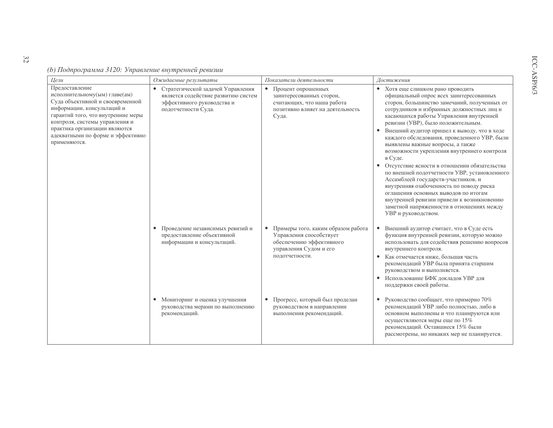|  |  |  |  |  |  |  |  | (b) Подпрограмма 3120: Управление внутренней ревизии |
|--|--|--|--|--|--|--|--|------------------------------------------------------|
|  |  |  |  |  |  |  |  |                                                      |

| Цели                                                                                                                                                                                                                                                                            | Ожидаемые результаты                                                                                                          | Показатели деятельности                                                                                                                            | Достижения                                                                                                                                                                                                                                                                                                                                                                                                                                                                                                                                                                                                                                                                                                                                    |
|---------------------------------------------------------------------------------------------------------------------------------------------------------------------------------------------------------------------------------------------------------------------------------|-------------------------------------------------------------------------------------------------------------------------------|----------------------------------------------------------------------------------------------------------------------------------------------------|-----------------------------------------------------------------------------------------------------------------------------------------------------------------------------------------------------------------------------------------------------------------------------------------------------------------------------------------------------------------------------------------------------------------------------------------------------------------------------------------------------------------------------------------------------------------------------------------------------------------------------------------------------------------------------------------------------------------------------------------------|
| Предоставление<br>исполнительному(ым) главе(ам)<br>Суда объективной и своевременной<br>информации, консультаций и<br>гарантий того, что внутренние меры<br>контроля, системы управления и<br>практика организации являются<br>адекватными по форме и эффективно<br>применяются. | Стратегической задачей Управления<br>является содействие развитию систем<br>эффективного руководства и<br>подотчетности Суда. | Процент опрошенных<br>$\bullet$<br>заинтересованных сторон,<br>считающих, что наша работа<br>позитивно влияет на деятельность<br>Суда.             | • Хотя еще слишком рано проводить<br>официальный опрос всех заинтересованных<br>сторон, большинство замечаний, полученных от<br>сотрудников и избранных должностных лиц и<br>касающихся работы Управления внутренней<br>ревизии (УВР), было положительным.<br>Внешний аудитор пришел к выводу, что в ходе<br>каждого обследования, проведенного УВР, были<br>выявлены важные вопросы, а также<br>возможности укрепления внутреннего контроля<br>в Суде.<br>Отсутствие ясности в отношении обязательства<br>$\bullet$<br>по внешней подотчетности УВР, установленного<br>Ассамблеей государств-участников, и<br>внутренняя озабоченность по поводу риска<br>оглашения основных выводов по итогам<br>внутренней ревизии привели к возникновению |
|                                                                                                                                                                                                                                                                                 | Проведение независимых ревизий и<br>$\bullet$<br>предоставление объективной<br>информации и консультаций.                     | Примеры того, каким образом работа<br>$\bullet$<br>Управления способствует<br>обеспечению эффективного<br>управления Судом и его<br>подотчетности. | заметной напряженности в отношениях между<br>УВР и руководством.<br>Внешний аудитор считает, что в Суде есть<br>$\bullet$<br>функция внутренней ревизии, которую можно<br>использовать для содействия решению вопросов<br>внутреннего контроля.<br>• Как отмечается ниже, большая часть<br>рекомендаций УВР была принята старшим<br>руководством и выполняется.<br>• Использование БФК докладов УВР для<br>поддержки своей работы.                                                                                                                                                                                                                                                                                                            |
|                                                                                                                                                                                                                                                                                 | • Мониторинг и оценка улучшения<br>руководства мерами по выполнению<br>рекомендаций.                                          | Прогресс, который был проделан<br>$\bullet$<br>руководством в направлении<br>выполнения рекомендаций.                                              | Руководство сообщает, что примерно 70%<br>$\bullet$<br>рекомендаций УВР либо полностью, либо в<br>основном выполнены и что планируются или<br>осуществляются меры еще по 15%<br>рекомендаций. Оставшиеся 15% были<br>рассмотрены, но никаких мер не планируется.                                                                                                                                                                                                                                                                                                                                                                                                                                                                              |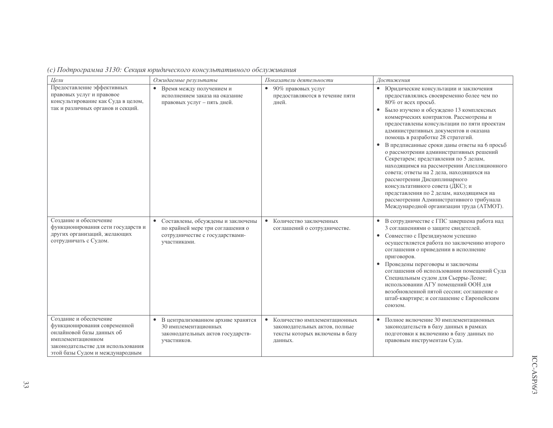|  |  | (с) Подпрограмма 3130: Секция юридического консультативного обслуживания |  |
|--|--|--------------------------------------------------------------------------|--|
|  |  |                                                                          |  |

| Цели                                                                                                                                                                              | Ожидаемые результаты                                                                                                        | Показатели деятельности                                                                                                 | Достижения                                                                                                                                                                                                                                                                                                                                                                                                                                                                                                                                                                                                                                                                                                                                                            |
|-----------------------------------------------------------------------------------------------------------------------------------------------------------------------------------|-----------------------------------------------------------------------------------------------------------------------------|-------------------------------------------------------------------------------------------------------------------------|-----------------------------------------------------------------------------------------------------------------------------------------------------------------------------------------------------------------------------------------------------------------------------------------------------------------------------------------------------------------------------------------------------------------------------------------------------------------------------------------------------------------------------------------------------------------------------------------------------------------------------------------------------------------------------------------------------------------------------------------------------------------------|
| Предоставление эффективных<br>правовых услуг и правовое<br>консультирование как Суда в целом,<br>так и различных органов и секций.                                                | Время между получением и<br>$\bullet$<br>исполнением заказа на оказание<br>правовых услуг - пять дней.                      | 90% правовых услуг<br>$\bullet$<br>предоставляются в течение пяти<br>лней.                                              | • Юридические консультации и заключения<br>предоставлялись своевременно более чем по<br>80% от всех просьб.<br>• Было изучено и обсуждено 13 комплексных<br>коммерческих контрактов. Рассмотрены и<br>предоставлены консультации по пяти проектам<br>административных документов и оказана<br>помощь в разработке 28 стратегий.<br>В предписанные сроки даны ответы на 6 просьб<br>о рассмотрении административных решений<br>Секретарем; представления по 5 делам,<br>находящимся на рассмотрении Апелляционного<br>совета; ответы на 2 дела, находящихся на<br>рассмотрении Дисциплинарного<br>консультативного совета (ДКС); и<br>представления по 2 делам, находящимся на<br>рассмотрении Административного трибунала<br>Международной организации труда (АТМОТ). |
| Созлание и обеспечение<br>функционирования сети государств и<br>других организаций, желающих<br>сотрудничать с Судом.                                                             | Составлены, обсуждены и заключены<br>по крайней мере три соглашения о<br>сотрудничестве с государствами-<br>участниками.    | Количество заключенных<br>$\bullet$<br>соглашений о сотрудничестве.                                                     | • В сотрудничестве с ГПС завершена работа над<br>3 соглашениями о защите свидетелей.<br>• Совместно с Президиумом успешно<br>осуществляется работа по заключению второго<br>соглашения о приведении в исполнение<br>приговоров.<br>• Проведены переговоры и заключены<br>соглашения об использовании помещений Суда<br>Специальным судом для Сьерры-Леоне;<br>использовании АГУ помещений ООН для<br>возобновленной пятой сессии; соглашение о<br>штаб-квартире; и соглашение с Европейским<br>союзом.                                                                                                                                                                                                                                                                |
| Создание и обеспечение<br>функционирования современной<br>онлайновой базы данных об<br>имплементационном<br>законодательстве для использования<br>этой базы Судом и международным | В централизованном архиве хранятся<br>$\bullet$<br>30 имплементационных<br>законодательных актов государств-<br>участников. | $\bullet$<br>Количество имплементационных<br>законодательных актов, полные<br>тексты которых включены в базу<br>ланных. | Полное включение 30 имплементационных<br>$\bullet$<br>законодательств в базу данных в рамках<br>подготовки к включению в базу данных по<br>правовым инструментам Суда.                                                                                                                                                                                                                                                                                                                                                                                                                                                                                                                                                                                                |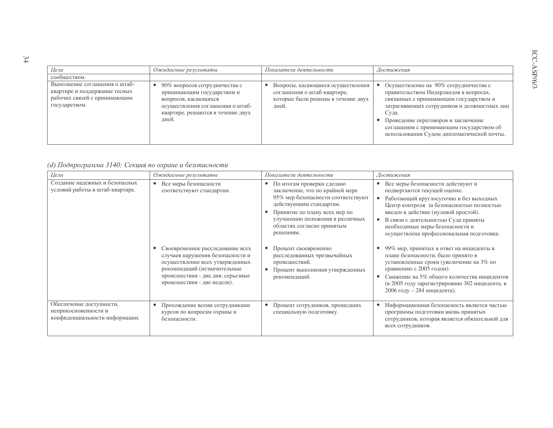| Цели                                                                                                            | Ожидаемые результаты                                                                                                                                                               | Показатели деятельности                                                                                         | Достижения                                                                                                                                                                                                                                                                                                         |
|-----------------------------------------------------------------------------------------------------------------|------------------------------------------------------------------------------------------------------------------------------------------------------------------------------------|-----------------------------------------------------------------------------------------------------------------|--------------------------------------------------------------------------------------------------------------------------------------------------------------------------------------------------------------------------------------------------------------------------------------------------------------------|
| сообществом.                                                                                                    |                                                                                                                                                                                    |                                                                                                                 |                                                                                                                                                                                                                                                                                                                    |
| Выполнение соглашения о штаб-<br>квартире и поддержание тесных<br>рабочих связей с принимающим<br>государством. | 90% вопросов сотрудничества с<br>$\bullet$<br>принимающим государством и<br>вопросов, касающихся<br>осуществления соглашения о штаб-<br>квартире, решаются в течение двух<br>лней. | Вопросы, касающиеся осуществления<br>соглашения о штаб-квартире,<br>которые были решены в течение двух<br>дней. | Осуществление на 90% сотрудничества с<br>правительством Нидерландов в вопросах,<br>связанных с принимающим государством и<br>затрагивающих сотрудников и должностных лиц<br>Суда.<br>Проведение переговоров и заключение<br>соглашения с принимающим государством об<br>использовании Судом дипломатической почты. |

## (d) Подпрограмма 3140: Секция по охране и безопасности

| Цели                                                                               | Ожидаемые результаты                                                                                                                                                                                                                                              | Показатели деятельности                                                                                                                                                                                                                                                                                                                                                                | Достижения                                                                                                                                                                                                                                                                                                                                                                                                                                                                                                                                                                                                                                                                |
|------------------------------------------------------------------------------------|-------------------------------------------------------------------------------------------------------------------------------------------------------------------------------------------------------------------------------------------------------------------|----------------------------------------------------------------------------------------------------------------------------------------------------------------------------------------------------------------------------------------------------------------------------------------------------------------------------------------------------------------------------------------|---------------------------------------------------------------------------------------------------------------------------------------------------------------------------------------------------------------------------------------------------------------------------------------------------------------------------------------------------------------------------------------------------------------------------------------------------------------------------------------------------------------------------------------------------------------------------------------------------------------------------------------------------------------------------|
| Создание надежных и безопасных<br>условий работы в штаб-квартире.                  | Все меры безопасности<br>соответствуют стандартам.<br>Своевременное расследование всех<br>случаев нарушения безопасности и<br>осуществление всех утвержденных<br>рекомендаций (незначительные<br>происшествия - два дня; серьезные<br>происшествия - две недели). | По итогам проверки сделано<br>$\bullet$<br>заключение, что по крайней мере<br>95% мер безопасности соответствуют<br>действующим стандартам.<br>Принятие по плану всех мер по<br>улучшению положения в различных<br>областях согласно принятым<br>решениям.<br>Процент своевременно<br>расследованных чрезвычайных<br>происшествий.<br>Процент выполнения утвержденных<br>рекомендаций. | Все меры безопасности действуют и<br>$\bullet$<br>подвергаются текущей оценке.<br>Работающий круглосуточно и без выходных<br>$\bullet$<br>Центр контроля за безопасностью полностью<br>введен в действие (нулевой простой).<br>В связи с деятельностью Суда приняты<br>$\bullet$<br>необходимые меры безопасности и<br>осуществлена профессиональная подготовка.<br>99% мер, принятых в ответ на инциденты в<br>плане безопасности, было принято в<br>установленные сроки (увеличение на 3% по<br>сравнению с 2005 годом).<br>Снижение на 5% общего количества инцидентов<br>$\bullet$<br>(в 2005 году зарегистрировано 302 инцидента, в<br>$2006$ году - 284 инцидента). |
| Обеспечение доступности,<br>неприкосновенности и<br>конфиденциальности информации. | Прохождение всеми сотрудниками<br>٠<br>курсов по вопросам охраны и<br>безопасности.                                                                                                                                                                               | Процент сотрудников, прошедших<br>специальную подготовку.                                                                                                                                                                                                                                                                                                                              | Информационная безопасность является частью<br>программы подготовки вновь принятых<br>сотрудников, которая является обязательной для<br>всех сотрудников.                                                                                                                                                                                                                                                                                                                                                                                                                                                                                                                 |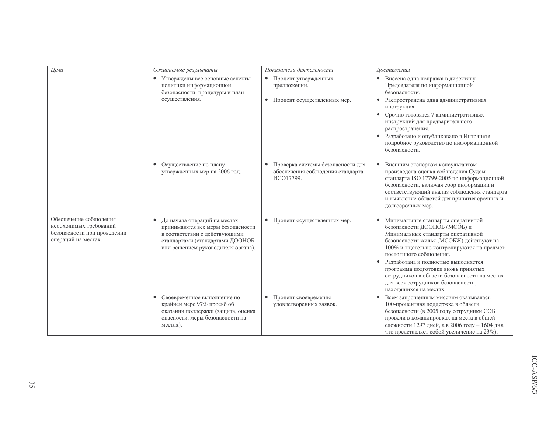| Цели                                                                                                   | Ожидаемые результаты                                                                                                                                                                     | Показатели деятельности                                                              | Достижения                                                                                                                                                                                                                                                                                                                                                                                                                              |
|--------------------------------------------------------------------------------------------------------|------------------------------------------------------------------------------------------------------------------------------------------------------------------------------------------|--------------------------------------------------------------------------------------|-----------------------------------------------------------------------------------------------------------------------------------------------------------------------------------------------------------------------------------------------------------------------------------------------------------------------------------------------------------------------------------------------------------------------------------------|
|                                                                                                        | • Утверждены все основные аспекты<br>политики информационной<br>безопасности, процедуры и план<br>осуществления.                                                                         | Процент утвержденных<br>$\bullet$<br>предложений.<br>• Процент осуществленных мер.   | • Внесена одна поправка в директиву<br>Председателя по информационной<br>безопасности.<br>Распространена одна административная<br>$\bullet$<br>инструкция.<br>Срочно готовятся 7 административных<br>$\bullet$<br>инструкций для предварительного<br>распространения.<br>Разработано и опубликовано в Интранете<br>подробное руководство по информационной<br>безопасности.                                                             |
|                                                                                                        | Осуществление по плану<br>$\bullet$<br>утвержденных мер на 2006 год.                                                                                                                     | • Проверка системы безопасности для<br>обеспечения соблюдения стандарта<br>ИСО17799. | Внешним экспертом-консультантом<br>$\bullet$<br>произведена оценка соблюдения Судом<br>стандарта ISO 17799-2005 по информационной<br>безопасности, включая сбор информации и<br>соответствующий анализ соблюдения стандарта<br>и выявление областей для принятия срочных и<br>долгосрочных мер.                                                                                                                                         |
| Обеспечение соблюдения<br>необходимых требований<br>безопасности при проведении<br>операций на местах. | До начала операций на местах<br>$\bullet$<br>принимаются все меры безопасности<br>в соответствии с действующими<br>стандартами (стандартами ДООНОБ<br>или решением руководителя органа). | • Процент осуществленных мер.                                                        | • Минимальные стандарты оперативной<br>безопасности ДООНОБ (МСОБ) и<br>Минимальные стандарты оперативной<br>безопасности жилья (МСОБЖ) действуют на<br>100% и тщательно контролируются на предмет<br>постоянного соблюдения.<br>Разработана и полностью выполняется<br>$\bullet$<br>программа подготовки вновь принятых<br>сотрудников в области безопасности на местах<br>для всех сотрудников безопасности,<br>находящихся на местах. |
|                                                                                                        | Своевременное выполнение по<br>$\bullet$<br>крайней мере 97% просьб об<br>оказании поддержки (защита, оценка<br>опасности, меры безопасности на<br>местах).                              | Процент своевременно<br>$\bullet$<br>удовлетворенных заявок.                         | Всем запрошенным миссиям оказывалась<br>100-процентная поддержка в области<br>безопасности (в 2005 году сотрудники СОБ<br>провели в командировках на места в общей<br>сложности 1297 дней, а в 2006 году - 1604 дня,<br>что представляет собой увеличение на 23%).                                                                                                                                                                      |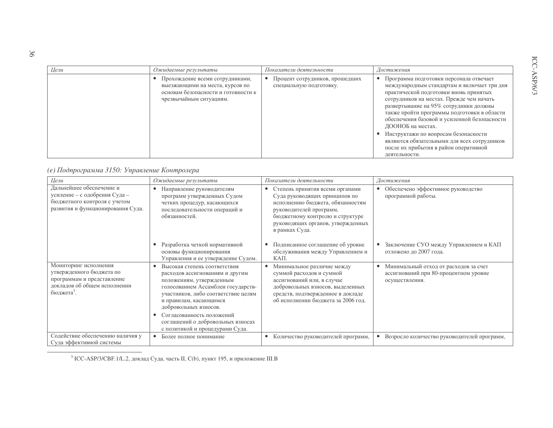| Цели | Ожидаемые результаты                                                                                                                 | Показатели деятельности                                   | Достижения                                                                                                                                                                                                                                                                                                                                                                                                                                                                                  |
|------|--------------------------------------------------------------------------------------------------------------------------------------|-----------------------------------------------------------|---------------------------------------------------------------------------------------------------------------------------------------------------------------------------------------------------------------------------------------------------------------------------------------------------------------------------------------------------------------------------------------------------------------------------------------------------------------------------------------------|
|      | Прохождение всеми сотрудниками,<br>выезжающими на места, курсов по<br>основам безопасности и готовности к<br>чрезвычайным ситуациям. | Процент сотрудников, прошедших<br>специальную подготовку. | Программа подготовки персонала отвечает<br>международным стандартам и включает три дня<br>практической подготовки вновь принятых<br>сотрудников на местах. Прежде чем начать<br>развертывание на 95% сотрудники должны<br>также пройти программы подготовки в области<br>обеспечения базовой и усиленной безопасности<br>ДООНОБ на местах.<br>Инструктажи по вопросам безопасности<br>являются обязательными для всех сотрудников<br>после их прибытия в район оперативной<br>деятельности. |

## (е) Подпрограмма 3150: Управление Контролера

| Цели                                                                                                                                      | Ожидаемые результаты                                                                                                                                                                                                                                                                          | Показатели деятельности                                                                                                                                                                                                   | Достижения                                                                                                    |
|-------------------------------------------------------------------------------------------------------------------------------------------|-----------------------------------------------------------------------------------------------------------------------------------------------------------------------------------------------------------------------------------------------------------------------------------------------|---------------------------------------------------------------------------------------------------------------------------------------------------------------------------------------------------------------------------|---------------------------------------------------------------------------------------------------------------|
| Дальнейшее обеспечение и<br>усиление - с одобрения Суда -<br>бюджетного контроля с учетом<br>развития и функционирования Суда.            | Направление руководителям<br>$\bullet$<br>программ утвержденных Судом<br>четких процедур, касающихся<br>последовательности операций и<br>обязанностей.                                                                                                                                        | Степень принятия всеми органами<br>Суда руководящих принципов по<br>исполнению бюджета, обязанностям<br>руководителей программ,<br>бюджетному контролю и структуре<br>руководящих органов, утвержденных<br>в рамках Суда. | Обеспечено эффективное руководство<br>программой работы.                                                      |
|                                                                                                                                           | Разработка четкой нормативной<br>основы функционирования<br>Управления и ее утверждение Судом.                                                                                                                                                                                                | Подписанное соглашение об уровне<br>$\bullet$<br>обслуживания между Управлением и<br>КАП.                                                                                                                                 | Заключение СУО между Управлением и КАП<br>$\bullet$<br>отложено до 2007 года.                                 |
| Мониторинг исполнения<br>утвержденного бюджета по<br>программам и представление<br>докладов об общем исполнении<br>бюджета <sup>3</sup> . | Высокая степень соответствия<br>расходов ассигнованиям и другим<br>положениям, утвержденным<br>голосованием Ассамблеи государств-<br>участников, либо соответствие целям<br>и правилам, касающимся<br>добровольных взносов.<br>Согласованность положений<br>соглашений о добровольных взносах | Минимальное различие между<br>суммой расходов и суммой<br>ассигнований или, в случае<br>добровольных взносов, выделенных<br>средств, подтвержденное в докладе<br>об исполнении бюджета за 2006 год.                       | Минимальный отход от расходов за счет<br>$\bullet$<br>ассигнований при 80-процентном уровне<br>осуществления. |
|                                                                                                                                           | с политикой и процедурами Суда.                                                                                                                                                                                                                                                               |                                                                                                                                                                                                                           |                                                                                                               |
| Содействие обеспечению наличия у<br>Суда эффективной системы                                                                              | Более полное понимание<br>$\bullet$                                                                                                                                                                                                                                                           | Количество руководителей программ,<br>$\bullet$                                                                                                                                                                           | • Возросло количество руководителей программ,                                                                 |

<sup>3</sup> ICC-ASP/3/CBF.1/L.2, доклад Суда, часть II, С(b), пункт 195, и приложение III.В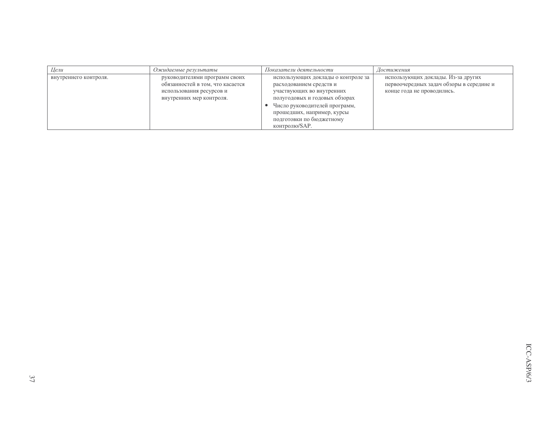| Цели                  | Ожидаемые результаты                                                                                                      | Показатели деятельности                                                                                                                                                                                                                 | Достижения                                                                                                   |
|-----------------------|---------------------------------------------------------------------------------------------------------------------------|-----------------------------------------------------------------------------------------------------------------------------------------------------------------------------------------------------------------------------------------|--------------------------------------------------------------------------------------------------------------|
| внутреннего контроля. | руководителями программ своих<br>обязанностей в том, что касается<br>использования ресурсов и<br>внутренних мер контроля. | использующих доклады о контроле за<br>расходованием средств и<br>участвующих во внутренних<br>полугодовых и годовых обзорах<br>Число руководителей программ,<br>прошедших, например, курсы<br>подготовки по бюджетному<br>контролю/SAP. | использующих доклады. Из-за других<br>первоочередных задач обзоры в середине и<br>конце года не проводились. |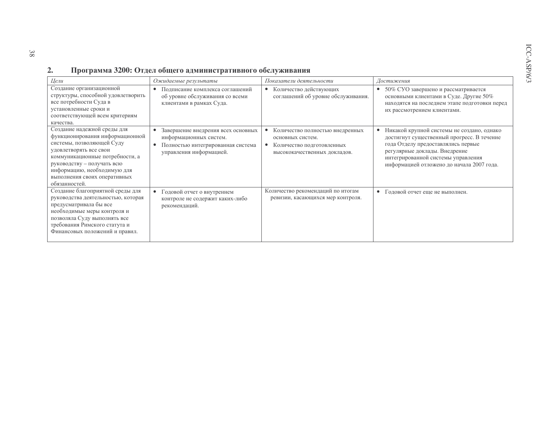#### $2.$ Программа 3200: Отдел общего административного обслуживания

| Цели                                                                                                                                                                                                                                                                   | Ожидаемые результаты                                                                                                                                   | Показатели деятельности                                                                                          | Достижения                                                                                                                                                                                                                                                      |
|------------------------------------------------------------------------------------------------------------------------------------------------------------------------------------------------------------------------------------------------------------------------|--------------------------------------------------------------------------------------------------------------------------------------------------------|------------------------------------------------------------------------------------------------------------------|-----------------------------------------------------------------------------------------------------------------------------------------------------------------------------------------------------------------------------------------------------------------|
| Создание организационной<br>структуры, способной удовлетворить<br>все потребности Суда в<br>установленные сроки и<br>соответствующей всем критериям<br>качества.                                                                                                       | Подписание комплекса соглашений<br>$\bullet$<br>об уровне обслуживания со всеми<br>клиентами в рамках Суда.                                            | Количество действующих<br>соглашений об уровне обслуживания.                                                     | 50% СУО завершено и рассматривается<br>основными клиентами в Суде. Другие 50%<br>находятся на последнем этапе подготовки перед<br>их рассмотрением клиентами.                                                                                                   |
| Создание надежной среды для<br>функционирования информационной<br>системы, позволяющей Суду<br>удовлетворять все свои<br>коммуникационные потребности, а<br>руководству - получать всю<br>информацию, необходимую для<br>выполнения своих оперативных<br>обязанностей. | Завершение внедрения всех основных<br>$\bullet$<br>информационных систем.<br>Полностью интегрированная система<br>$\bullet$<br>управления информацией. | Количество полностью внедренных<br>основных систем.<br>Количество подготовленных<br>высококачественных докладов. | Никакой крупной системы не создано, однако<br>$\bullet$<br>достигнут существенный прогресс. В течение<br>года Отделу предоставлялись первые<br>регулярные доклады. Внедрение<br>интегрированной системы управления<br>информацией отложено до начала 2007 года. |
| Создание благоприятной среды для<br>руководства деятельностью, которая<br>предусматривала бы все<br>необходимые меры контроля и<br>позволяла Суду выполнять все<br>требования Римского статута и<br>Финансовых положений и правил.                                     | Годовой отчет о внутреннем<br>$\bullet$<br>контроле не содержит каких-либо<br>рекомендаций.                                                            | Количество рекомендаций по итогам<br>ревизии, касающихся мер контроля.                                           | Годовой отчет еще не выполнен.<br>$\bullet$                                                                                                                                                                                                                     |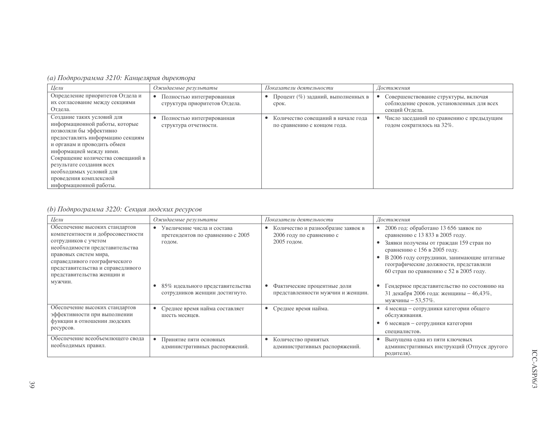| (а) Подпрограмма 3210: Канцелярия директора |  |  |  |
|---------------------------------------------|--|--|--|
|---------------------------------------------|--|--|--|

| Цели                                                                                                                                                                                                                                                                                                                                  | Ожидаемые результаты                                                    | Показатели деятельности                                           | Достижения                                                                                                       |
|---------------------------------------------------------------------------------------------------------------------------------------------------------------------------------------------------------------------------------------------------------------------------------------------------------------------------------------|-------------------------------------------------------------------------|-------------------------------------------------------------------|------------------------------------------------------------------------------------------------------------------|
| Определение приоритетов Отдела и<br>их согласование между секциями<br>Отдела.                                                                                                                                                                                                                                                         | $\bullet$<br>Полностью интегрированная<br>структура приоритетов Отдела. | Процент (%) заданий, выполненных в<br>срок.                       | Совершенствование структуры, включая<br>$\bullet$<br>соблюдение сроков, установленных для всех<br>секций Отдела. |
| Создание таких условий для<br>информационной работы, которые<br>позволяли бы эффективно<br>предоставлять информацию секциям<br>и органам и проводить обмен<br>информацией между ними.<br>Сокращение количества совещаний в<br>результате создания всех<br>необходимых условий для<br>проведения комплексной<br>информационной работы. | Полностью интегрированная<br>структура отчетности.                      | Количество совещаний в начале года<br>по сравнению с концом года. | Число заседаний по сравнению с предыдущим<br>годом сократилось на 32%.                                           |

## (b) Подпрограмма 3220: Секция людских ресурсов

| Цели                                                                                                                                                                                                                                                        | Ожидаемые результаты                                                                  | Показатели деятельности                                                       | Достижения                                                                                                                                                                                                                                                                             |
|-------------------------------------------------------------------------------------------------------------------------------------------------------------------------------------------------------------------------------------------------------------|---------------------------------------------------------------------------------------|-------------------------------------------------------------------------------|----------------------------------------------------------------------------------------------------------------------------------------------------------------------------------------------------------------------------------------------------------------------------------------|
| Обеспечение высоких стандартов<br>компетентности и добросовестности<br>сотрудников с учетом<br>необходимости представительства<br>правовых систем мира,<br>справедливого географического<br>представительства и справедливого<br>представительства женщин и | Увеличение числа и состава<br>$\bullet$<br>претендентов по сравнению с 2005<br>годом. | Количество и разнообразие заявок в<br>2006 году по сравнению с<br>2005 годом. | 2006 год: обработано 13 656 заявок по<br>сравнению с 13 833 в 2005 году.<br>Заявки получены от граждан 159 стран по<br>сравнению с 156 в 2005 году.<br>В 2006 году сотрудники, занимающие штатные<br>географические должности, представляли<br>60 стран по сравнению с 52 в 2005 году. |
| мужчин.                                                                                                                                                                                                                                                     | 85% идеального представительства<br>сотрудников женщин достигнуто.                    | Фактические процентные доли<br>представленности мужчин и женщин.              | Гендерное представительство по состоянию на<br>31 декабря 2006 года: женщины - 46,43%,<br>мужчины $-53,57\%$ .                                                                                                                                                                         |
| Обеспечение высоких стандартов<br>эффективности при выполнении<br>функции в отношении людских<br>ресурсов.                                                                                                                                                  | Среднее время найма составляет<br>$\bullet$<br>шесть месяцев.                         | Среднее время найма.<br>$\bullet$                                             | 4 месяца - сотрудники категории общего<br>обслуживания.<br>6 месяцев – сотрудники категории<br>специалистов.                                                                                                                                                                           |
| Обеспечение всеобъемлющего свода<br>необходимых правил.                                                                                                                                                                                                     | $\bullet$<br>Принятие пяти основных<br>административных распоряжений.                 | Количество принятых<br>административных распоряжений.                         | Выпущена одна из пяти ключевых<br>административных инструкций (Отпуск другого<br>родителя).                                                                                                                                                                                            |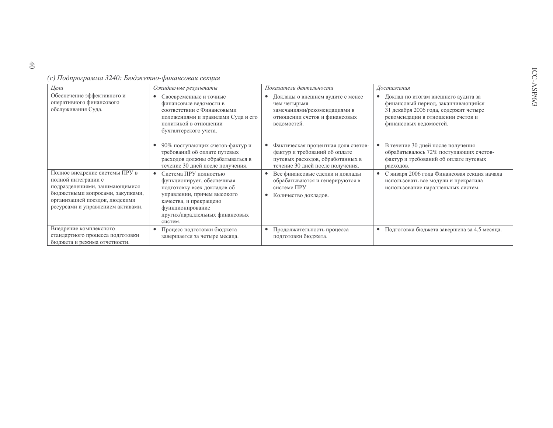(с) Подпрограмма 3240: Бюджетно-финансовая секция

| Цели                                                                                                                                                                                               | Ожидаемые результаты                                                                                                                                                                                         | Показатели деятельности                                                                                                                       | Достижения                                                                                                                                                                        |
|----------------------------------------------------------------------------------------------------------------------------------------------------------------------------------------------------|--------------------------------------------------------------------------------------------------------------------------------------------------------------------------------------------------------------|-----------------------------------------------------------------------------------------------------------------------------------------------|-----------------------------------------------------------------------------------------------------------------------------------------------------------------------------------|
| Обеспечение эффективного и<br>оперативного финансового<br>обслуживания Суда.                                                                                                                       | Своевременные и точные<br>финансовые ведомости в<br>соответствии с Финансовыми<br>положениями и правилами Суда и его<br>политикой в отношении<br>бухгалтерского учета.                                       | Доклады о внешнем аудите с менее<br>$\bullet$<br>чем четырьмя<br>замечаниями/рекомендациями в<br>отношении счетов и финансовых<br>ведомостей. | Доклад по итогам внешнего аудита за<br>финансовый период, заканчивающийся<br>31 декабря 2006 года, содержит четыре<br>рекомендации в отношении счетов и<br>финансовых ведомостей. |
|                                                                                                                                                                                                    | 90% поступающих счетов-фактур и<br>требований об оплате путевых<br>расходов должны обрабатываться в<br>течение 30 дней после получения.                                                                      | Фактическая процентная доля счетов-<br>фактур и требований об оплате<br>путевых расходов, обработанных в<br>течение 30 дней после получения.  | В течение 30 дней после получения<br>обрабатывалось 72% поступающих счетов-<br>фактур и требований об оплате путевых<br>расходов.                                                 |
| Полное внедрение системы ПРУ в<br>полной интеграции с<br>подразделениями, занимающимися<br>бюджетными вопросами, закупками,<br>организацией поездок, людскими<br>ресурсами и управлением активами. | Система ПРУ полностью<br>функционирует, обеспечивая<br>подготовку всех докладов об<br>управлении, причем высокого<br>качества, и прекращено<br>функционирование<br>других/параллельных финансовых<br>систем. | Все финансовые сделки и доклады<br>обрабатываются и генерируются в<br>системе ПРУ<br>Количество докладов.<br>٠                                | С января 2006 года Финансовая секция начала<br>использовать все модули и прекратила<br>использование параллельных систем.                                                         |
| Внедрение комплексного<br>стандартного процесса подготовки<br>бюджета и режима отчетности.                                                                                                         | Процесс подготовки бюджета<br>завершается за четыре месяца.                                                                                                                                                  | Продолжительность процесса<br>$\bullet$<br>подготовки бюджета.                                                                                | Подготовка бюджета завершена за 4,5 месяца.<br>$\bullet$                                                                                                                          |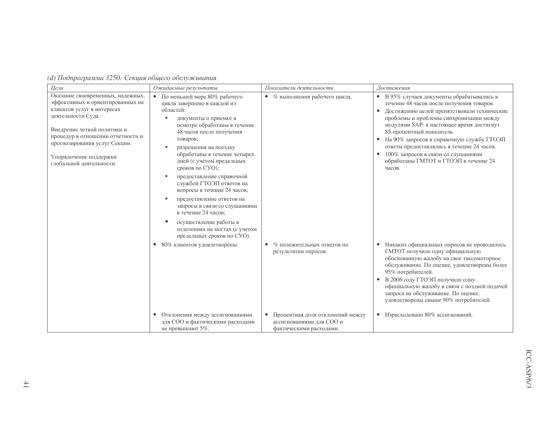| (d) Подпрограмма 3250: Секция общего обслуживания |  |  |  |
|---------------------------------------------------|--|--|--|
|---------------------------------------------------|--|--|--|

| Цели                                                                                                                                                                                                                                                                                 | Ожидаемые результаты                                                                                                                                                                                                                                                                                                                                                                                                                                                                                                                                        | Показатели деятельности                                                                                                                                    | Достижения                                                                                                                                                                                                                                                                                                                                                                                                                                                                              |
|--------------------------------------------------------------------------------------------------------------------------------------------------------------------------------------------------------------------------------------------------------------------------------------|-------------------------------------------------------------------------------------------------------------------------------------------------------------------------------------------------------------------------------------------------------------------------------------------------------------------------------------------------------------------------------------------------------------------------------------------------------------------------------------------------------------------------------------------------------------|------------------------------------------------------------------------------------------------------------------------------------------------------------|-----------------------------------------------------------------------------------------------------------------------------------------------------------------------------------------------------------------------------------------------------------------------------------------------------------------------------------------------------------------------------------------------------------------------------------------------------------------------------------------|
| Оказание своевременных, надежных,<br>эффективных и ориентированных на<br>клиентов услуг в интересах<br>деятельности Суда.<br>Внедрение четкой политики и<br>процедур в отношении отчетности и<br>прогнозирования услуг Секции.<br>Упорядочение поддержки<br>глобальной деятельности. | • По меньшей мере 80% рабочего<br>цикла завершено в каждой из<br>областей:<br>документы о приемке и<br>осмотре обработаны в течение<br>48 часов после получения<br>товаров;<br>разрешения на поездку<br>обработаны в течение четырех<br>дней (с учетом предельных<br>сроков по СУО);<br>предоставление справочной<br>службой ГТОЭП ответов на<br>вопросы в течение 24 часов;<br>предоставление ответов на<br>запросы в связи со слушаниями<br>в течение 24 часов;<br>осуществление работы в<br>отделениях на местах (с учетом<br>предельных сроков по СУО). | • % выполнения рабочего цикла.                                                                                                                             | • В 95% случаев документы обрабатывались в<br>течение 48 часов после получения товаров.<br>Достижению целей препятствовали технические<br>$\bullet$<br>проблемы и проблемы синхронизации между<br>модулями SAP: в настоящее время достигнут<br>85-процентный показатель.<br>На 90% запросов в справочную службу ГТОЭП<br>$\bullet$<br>ответы предоставлялись в течение 24 часов.<br>100% запросов в связи со слушаниями<br>$\bullet$<br>обработаны ГМТОТ и ГТОЭП в течение 24<br>часов. |
|                                                                                                                                                                                                                                                                                      | 80% клиентов удовлетворены.<br>Отклонения между ассигнованиями<br>$\bullet$<br>для СОО и фактическими расходами<br>не превышают 5%.                                                                                                                                                                                                                                                                                                                                                                                                                         | % положительных ответов по<br>$\bullet$<br>результатам опросов.<br>Процентная доля отклонений между<br>ассигнованиями для СОО и<br>фактическими расходами. | Никаких официальных опросов не проводилось.<br>ГМТОТ получило одну официальную<br>обоснованную жалобу на свое таксомоторное<br>обслуживание. По оценке, удовлетворены более<br>95% потребителей.<br>В 2006 году ГТОЭП получило одну<br>официальную жалобу в связи с поздней подачей<br>запроса на обслуживание. По оценке,<br>удовлетворены свыше 90% потребителей.<br>Израсходовано 80% ассигнований.<br>$\bullet$                                                                     |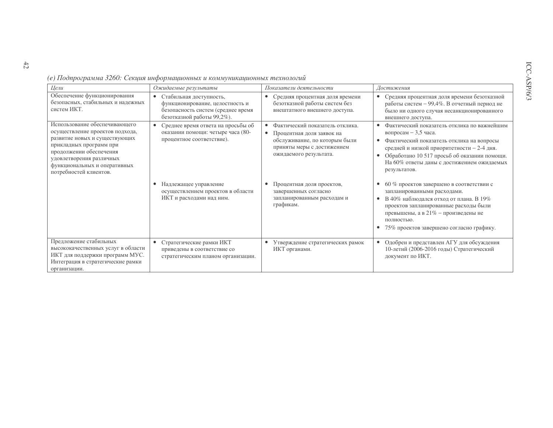| Цели                                                                                                                                                                                                                                          | Ожидаемые результаты                                                                                                                        | Показатели деятельности                                                                                                                                    | Достижения                                                                                                                                                                                                                                                                                 |
|-----------------------------------------------------------------------------------------------------------------------------------------------------------------------------------------------------------------------------------------------|---------------------------------------------------------------------------------------------------------------------------------------------|------------------------------------------------------------------------------------------------------------------------------------------------------------|--------------------------------------------------------------------------------------------------------------------------------------------------------------------------------------------------------------------------------------------------------------------------------------------|
| Обеспечение функционирования<br>безопасных, стабильных и надежных<br>систем ИКТ.                                                                                                                                                              | Стабильная доступность,<br>$\bullet$<br>функционирование, целостность и<br>безопасность систем (среднее время<br>безотказной работы 99,2%). | Средняя процентная доля времени<br>$\bullet$<br>безотказной работы систем без<br>внештатного внешнего доступа.                                             | Средняя процентная доля времени безотказной<br>$\bullet$<br>работы систем - 99,4%. В отчетный период не<br>было ни одного случая несанкционированного<br>внешнего доступа.                                                                                                                 |
| Использование обеспечивающего<br>осуществление проектов подхода,<br>развитие новых и существующих<br>прикладных программ при<br>продолжении обеспечения<br>удовлетворения различных<br>функциональных и оперативных<br>потребностей клиентов. | Среднее время ответа на просьбы об<br>$\bullet$<br>оказании помощи: четыре часа (80-<br>процентное соответствие).                           | Фактический показатель отклика.<br>٠<br>Процентная доля заявок на<br>обслуживание, по которым были<br>приняты меры с достижением<br>ожидаемого результата. | Фактический показатель отклика по важнейшим<br>вопросам $-3,5$ часа.<br>Фактический показатель отклика на вопросы<br>$\bullet$<br>средней и низкой приоритетности - 2-4 дня.<br>Обработано 10 517 просьб об оказании помощи.<br>На 60% ответы даны с достижением ожидаемых<br>результатов. |
|                                                                                                                                                                                                                                               | Надлежащее управление<br>осуществлением проектов в области<br>ИКТ и расходами над ним.                                                      | Процентная доля проектов,<br>завершенных согласно<br>запланированным расходам и<br>графикам.                                                               | 60 % проектов завершено в соответствии с<br>запланированными расходами.<br>В 40% наблюдался отход от плана. В 19%<br>проектов запланированные расходы были<br>превышены, а в $21\%$ – произведены не<br>полностью.<br>• 75% проектов завершено согласно графику.                           |
| Предложение стабильных<br>высококачественных услуг в области<br>ИКТ для поддержки программ МУС.<br>Интеграция в стратегические рамки<br>организации.                                                                                          | Стратегические рамки ИКТ<br>$\bullet$<br>приведены в соответствие со<br>стратегическим планом организации.                                  | Утверждение стратегических рамок<br>$\bullet$<br>ИКТ органами.                                                                                             | Одобрен и представлен АГУ для обсуждения<br>$\bullet$<br>10-летнй (2006-2016 годы) Стратегический<br>документ по ИКТ.                                                                                                                                                                      |

|  | (е) Подпрограмма 3260: Секция информационных и коммуникационных технологий |
|--|----------------------------------------------------------------------------|
|  |                                                                            |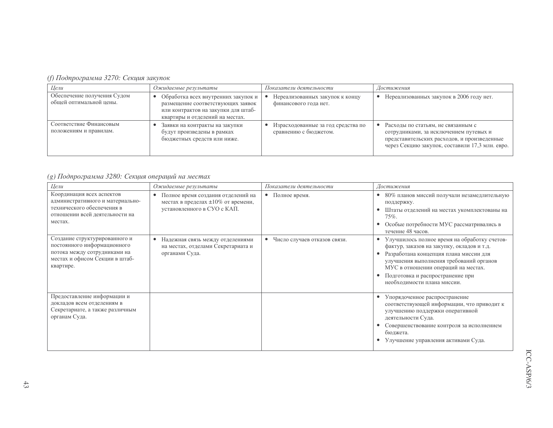## (f) Подпрограмма 3270: Секция закупок

| Цели                                                   | Ожидаемые результаты                                                                                                                               | Показатели деятельности                                     | Достижения                                                                                                                                                                     |
|--------------------------------------------------------|----------------------------------------------------------------------------------------------------------------------------------------------------|-------------------------------------------------------------|--------------------------------------------------------------------------------------------------------------------------------------------------------------------------------|
| Обеспечение получения Судом<br>общей оптимальной цены. | Обработка всех внутренних закупок и<br>размещение соответствующих заявок<br>или контрактов на закупки для штаб-<br>квартиры и отделений на местах. | Нереализованных закупок к концу<br>финансового года нет.    | Нереализованных закупок в 2006 году нет.                                                                                                                                       |
| Соответствие Финансовым<br>положениям и правилам.      | Заявки на контракты на закупки<br>будут произведены в рамках<br>бюджетных средств или ниже.                                                        | Израсходованные за год средства по<br>сравнению с бюджетом. | Расходы по статьям, не связанным с<br>сотрудниками, за исключением путевых и<br>представительских расходов, и произведенные<br>через Секцию закупок, составили 17,3 млн. евро. |

(g) Подпрограмма 3280: Секция операций на местах

| Цели                                                                                                                                        | Ожидаемые результаты                                                                                                 | Показатели деятельности      | Достижения                                                                                                                                                                                                                                                                                |
|---------------------------------------------------------------------------------------------------------------------------------------------|----------------------------------------------------------------------------------------------------------------------|------------------------------|-------------------------------------------------------------------------------------------------------------------------------------------------------------------------------------------------------------------------------------------------------------------------------------------|
| Координация всех аспектов<br>административного и материально-<br>технического обеспечения в<br>отношении всей деятельности на<br>местах.    | Полное время создания отделений на<br>$\bullet$<br>местах в пределах ±10% от времени,<br>установленного в СУО с КАП. | Полное время.<br>$\bullet$   | 80% планов миссий получали незамедлительную<br>$\bullet$<br>поддержку.<br>Штаты отделений на местах укомплектованы на<br>$75%$ .<br>Особые потребности МУС рассматривались в<br>течение 48 часов.                                                                                         |
| Создание структурированного и<br>постоянного информационного<br>потока между сотрудниками на<br>местах и офисом Секции в штаб-<br>квартире. | Надежная связь между отделениями<br>$\bullet$<br>на местах, отделами Секретариата и<br>органами Суда.                | Число случаев отказов связи. | Улучшилось полное время на обработку счетов-<br>фактур, заказов на закупку, окладов и т.д.<br>Разработана концепция плана миссии для<br>улучшения выполнения требований органов<br>МУС в отношении операций на местах.<br>Подготовка и распространение при<br>необходимости плана миссии. |
| Предоставление информации и<br>докладов всем отделениям в<br>Секретариате, а также различным<br>органам Суда.                               |                                                                                                                      |                              | Упорядоченное распространение<br>соответствующей информации, что приводит к<br>улучшению поддержки оперативной<br>деятельности Суда.<br>Совершенствование контроля за исполнением<br>бюджета.<br>Улучшение управления активами Суда.                                                      |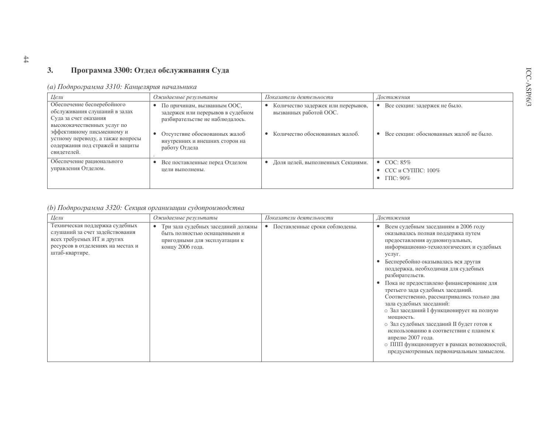#### $3.$ Программа 3300: Отдел обслуживания Суда

## (а) Подпрограмма 3310: Канцелярия начальника

| Цели                                                                                                                | Ожидаемые результаты                                                                                | Показатели деятельности                                      | Достижения                                                            |
|---------------------------------------------------------------------------------------------------------------------|-----------------------------------------------------------------------------------------------------|--------------------------------------------------------------|-----------------------------------------------------------------------|
| Обеспечение бесперебойного<br>обслуживания слушаний в залах<br>Суда за счет оказания<br>высококачественных услуг по | По причинам, вызванным ООС,<br>задержек или перерывов в судебном<br>разбирательстве не наблюдалось. | Количество задержек или перерывов,<br>вызванных работой ООС. | Все секции: задержек не было.                                         |
| эффективному письменному и<br>устному переводу, а также вопросы<br>содержания под стражей и защиты<br>свидетелей.   | Отсутствие обоснованных жалоб<br>внутренних и внешних сторон на<br>работу Отдела                    | Количество обоснованных жалоб.                               | Все секции: обоснованных жалоб не было.                               |
| Обеспечение рационального<br>управления Отделом.                                                                    | Все поставленные перед Отделом<br>цели выполнены.                                                   | Доля целей, выполненных Секциями.                            | $\bullet$ COC: 85\%<br>• ССС и СУППС: $100\%$<br>$\Gamma \Pi C$ : 90% |

## (b) Подпрограмма 3320: Секция организации судопроизводства

| Цели                                                                                                                                                   | Ожидаемые результаты                                                                                                                 | Показатели деятельности                    | Достижения                                                                                                                                                                                                                                                                                                                                                                                                                                                                                                                                                                                                                                                                                       |
|--------------------------------------------------------------------------------------------------------------------------------------------------------|--------------------------------------------------------------------------------------------------------------------------------------|--------------------------------------------|--------------------------------------------------------------------------------------------------------------------------------------------------------------------------------------------------------------------------------------------------------------------------------------------------------------------------------------------------------------------------------------------------------------------------------------------------------------------------------------------------------------------------------------------------------------------------------------------------------------------------------------------------------------------------------------------------|
| Техническая поддержка судебных<br>слушаний за счет задействования<br>всех требуемых ИТ и других<br>ресурсов в отделениях на местах и<br>штаб-квартире. | Три зала судебных заседаний должны<br>$\bullet$<br>быть полностью оснащенными и<br>пригодными для эксплуатации к<br>концу 2006 года. | Поставленные сроки соблюдены.<br>$\bullet$ | Всем судебным заседаниям в 2006 году<br>оказывалась полная поддержка путем<br>предоставления аудиовизуальных,<br>информационно-технологических и судебных<br>услуг.<br>Бесперебойно оказывалась вся другая<br>поддержка, необходимая для судебных<br>разбирательств.<br>Пока не предоставлено финансирование для<br>третьего зада судебных заседаний.<br>Соответственно, рассматривались только два<br>зала судебных заседаний:<br>о Зал заседаний I функционирует на полную<br>мощность.<br>о Зал судебных заседаний II будет готов к<br>использованию в соответствии с планом к<br>апрелю 2007 года.<br>о ППП функционирует в рамках возможностей,<br>предусмотренных первоначальным замыслом. |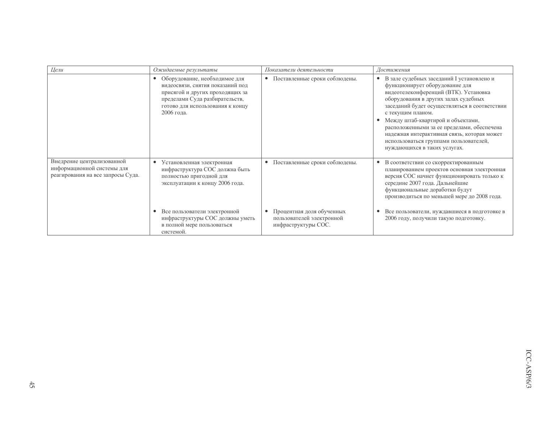| Цели                                                                                          | Ожидаемые результаты                                                                                                                                                                                  | Показатели деятельности                                                                    | Достижения                                                                                                                                                                                                                                                                                                                                                                                                                                                  |
|-----------------------------------------------------------------------------------------------|-------------------------------------------------------------------------------------------------------------------------------------------------------------------------------------------------------|--------------------------------------------------------------------------------------------|-------------------------------------------------------------------------------------------------------------------------------------------------------------------------------------------------------------------------------------------------------------------------------------------------------------------------------------------------------------------------------------------------------------------------------------------------------------|
|                                                                                               | Оборудование, необходимое для<br>$\bullet$<br>видеосвязи, снятия показаний под<br>присягой и других проходящих за<br>пределами Суда разбирательств,<br>готово для использования к концу<br>2006 года. | • Поставленные сроки соблюдены.                                                            | В зале судебных заседаний I установлено и<br>$\bullet$<br>функционирует оборудование для<br>видеотелеконференций (ВТК). Установка<br>оборудования в других залах судебных<br>заседаний будет осуществляться в соответствии<br>с текущим планом.<br>Между штаб-квартирой и объектами,<br>расположенными за ее пределами, обеспечена<br>надежная интерактивная связь, которая может<br>использоваться группами пользователей,<br>нуждающихся в таких услугах. |
| Внедрение централизованной<br>информационной системы для<br>реагирования на все запросы Суда. | Установленная электронная<br>$\bullet$<br>инфраструктура СОС должна быть<br>полностью пригодной для<br>эксплуатации к концу 2006 года.                                                                | • Поставленные сроки соблюдены.                                                            | В соответствии со скорректированным<br>$\bullet$<br>планированием проектов основная электронная<br>версия СОС начнет функционировать только к<br>середине 2007 года. Дальнейшие<br>функциональные доработки будут<br>производиться по меньшей мере до 2008 года.                                                                                                                                                                                            |
|                                                                                               | Все пользователи электронной<br>инфраструктуры СОС должны уметь<br>в полной мере пользоваться<br>системой.                                                                                            | Процентная доля обученных<br>$\bullet$<br>пользователей электронной<br>инфраструктуры СОС. | Все пользователи, нуждавшиеся в подготовке в<br>2006 году, получили такую подготовку.                                                                                                                                                                                                                                                                                                                                                                       |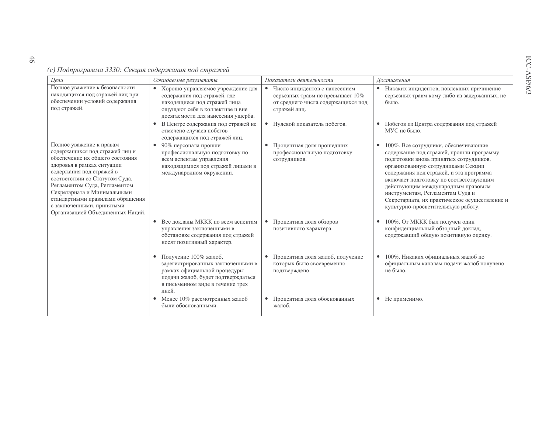(с) Подпрограмма 3330: Секция содержания под стражей

| Цели                                                                                                                                                                                                                                                                                                                                                           | Ожидаемые результаты                                                                                                                                                                       | Показатели деятельности                                                                                                   | Достижения                                                                                                                                                                                                                                                                                                                                                                                                                          |
|----------------------------------------------------------------------------------------------------------------------------------------------------------------------------------------------------------------------------------------------------------------------------------------------------------------------------------------------------------------|--------------------------------------------------------------------------------------------------------------------------------------------------------------------------------------------|---------------------------------------------------------------------------------------------------------------------------|-------------------------------------------------------------------------------------------------------------------------------------------------------------------------------------------------------------------------------------------------------------------------------------------------------------------------------------------------------------------------------------------------------------------------------------|
| Полное уважение к безопасности<br>находящихся под стражей лиц при<br>обеспечении условий содержания<br>под стражей.                                                                                                                                                                                                                                            | Хорошо управляемое учреждение для<br>$\bullet$<br>содержания под стражей, где<br>находящиеся под стражей лица<br>ощущают себя в коллективе и вне<br>досягаемости для нанесения ущерба.     | • Число инцидентов с нанесением<br>серьезных травм не превышает 10%<br>от среднего числа содержащихся под<br>стражей лиц. | • Никаких инцидентов, повлекших причинение<br>серьезных травм кому-либо из задержанных, не<br>было.                                                                                                                                                                                                                                                                                                                                 |
|                                                                                                                                                                                                                                                                                                                                                                | В Центре содержания под стражей не<br>$\bullet$<br>отмечено случаев побегов<br>содержащихся под стражей лиц.                                                                               | • Нулевой показатель побегов.                                                                                             | • Побегов из Центра содержания под стражей<br>МУС не было.                                                                                                                                                                                                                                                                                                                                                                          |
| Полное уважение к правам<br>содержащихся под стражей лиц и<br>обеспечение их общего состояния<br>здоровья в рамках ситуации<br>содержания под стражей в<br>соответствии со Статутом Суда,<br>Регламентом Суда, Регламентом<br>Секретариата и Минимальными<br>стандартными правилами обращения<br>с заключенными, принятыми<br>Организацией Объединенных Наций. | 90% персонала прошли<br>профессиональную подготовку по<br>всем аспектам управления<br>находящимися под стражей лицами в<br>международном окружении.                                        | Процентная доля прошедших<br>профессиональную подготовку<br>сотрудников.                                                  | 100%. Все сотрудники, обеспечивающие<br>$\bullet$<br>содержание под стражей, прошли программу<br>подготовки вновь принятых сотрудников,<br>организованную сотрудниками Секции<br>содержания под стражей, и эта программа<br>включает подготовку по соответствующим<br>действующим международным правовым<br>инструментам, Регламентам Суда и<br>Секретариата, их практическое осуществление и<br>культурно-просветительскую работу. |
|                                                                                                                                                                                                                                                                                                                                                                | Все доклады МККК по всем аспектам<br>$\bullet$<br>управления заключенными в<br>обстановке содержания под стражей<br>носят позитивный характер.                                             | Процентная доля обзоров<br>позитивного характера.                                                                         | 100%. От МККК был получен один<br>$\bullet$<br>конфиденциальный обзорный доклад,<br>содержавший общую позитивную оценку.                                                                                                                                                                                                                                                                                                            |
|                                                                                                                                                                                                                                                                                                                                                                | Получение 100% жалоб,<br>$\bullet$<br>зарегистрированных заключенными в<br>рамках официальной процедуры<br>подачи жалоб, будет подтверждаться<br>в письменном виде в течение трех<br>дней. | Процентная доля жалоб, получение<br>которых было своевременно<br>подтверждено.                                            | 100%. Никаких официальных жалоб по<br>официальным каналам подачи жалоб получено<br>не было.                                                                                                                                                                                                                                                                                                                                         |
|                                                                                                                                                                                                                                                                                                                                                                | Менее 10% рассмотренных жалоб<br>$\bullet$<br>были обоснованными.                                                                                                                          | Процентная доля обоснованных<br>$\bullet$<br>жалоб.                                                                       | • Не применимо.                                                                                                                                                                                                                                                                                                                                                                                                                     |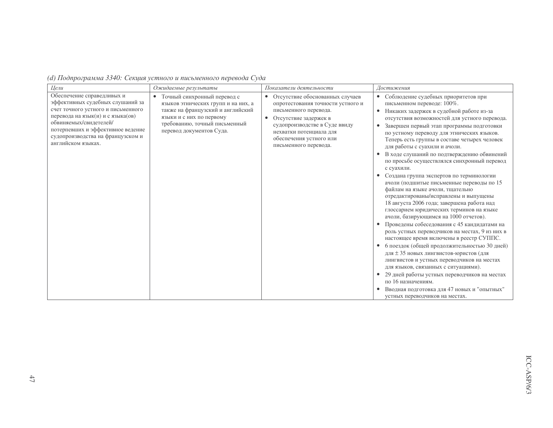| Цели                                                                                                                                                                                                                                                                | Ожидаемые результаты                                                                                                                                                                             | Показатели деятельности                                                                                                                                                                                                                               | Достижения                                                                                                                                                                                                                                                                                                                                                                                                                                                                                                                                                                                                                                                                                                                                                                                                                                                                                                                                                                                                                                                                                                                                                                                                                                               |
|---------------------------------------------------------------------------------------------------------------------------------------------------------------------------------------------------------------------------------------------------------------------|--------------------------------------------------------------------------------------------------------------------------------------------------------------------------------------------------|-------------------------------------------------------------------------------------------------------------------------------------------------------------------------------------------------------------------------------------------------------|----------------------------------------------------------------------------------------------------------------------------------------------------------------------------------------------------------------------------------------------------------------------------------------------------------------------------------------------------------------------------------------------------------------------------------------------------------------------------------------------------------------------------------------------------------------------------------------------------------------------------------------------------------------------------------------------------------------------------------------------------------------------------------------------------------------------------------------------------------------------------------------------------------------------------------------------------------------------------------------------------------------------------------------------------------------------------------------------------------------------------------------------------------------------------------------------------------------------------------------------------------|
| Обеспечение справедливых и<br>эффективных судебных слушаний за<br>счет точного устного и письменного<br>перевода на язык(и) и с языка(ов)<br>обвиняемых/свидетелей/<br>потерпевших и эффективное ведение<br>судопроизводства на французском и<br>английском языках. | Точный синхронный перевод с<br>языков этнических групп и на них, а<br>также на французский и английский<br>языки и с них по первому<br>требованию, точный письменный<br>перевод документов Суда. | • Отсутствие обоснованных случаев<br>опротестования точности устного и<br>письменного перевода.<br>Отсутствие задержек в<br>$\bullet$<br>судопроизводстве в Суде ввиду<br>нехватки потенциала для<br>обеспечения устного или<br>письменного перевода. | • Соблюдение судебных приоритетов при<br>письменном переводе: 100%.<br>• Никаких задержек в судебной работе из-за<br>отсутствия возможностей для устного перевода.<br>• Завершен первый этап программы подготовки<br>по устному переводу для этнических языков.<br>Теперь есть группы в составе четырех человек<br>для работы с суахили и ачоли.<br>В ходе слушаний по подтверждению обвинений<br>по просьбе осуществлялся синхронный перевод<br>с суахили.<br>Создана группа экспертов по терминологии<br>ачоли (подшитые письменные переводы по 15<br>файлам на языке ачоли, тщательно<br>отредактированы/исправлены и выпущены<br>18 августа 2006 года; завершена работа над<br>глоссарием юридических терминов на языке<br>ачоли, базирующимся на 1000 отчетов).<br>Проведены собеседования с 45 кандидатами на<br>роль устных переводчиков на местах, 9 из них в<br>настоящее время включены в реестр СУППС.<br>6 поездок (общей продолжительностью 30 дней)<br>для ± 35 новых лингвистов-юристов (для<br>лингвистов и устных переводчиков на местах<br>для языков, связанных с ситуациями).<br>29 дней работы устных переводчиков на местах<br>по 16 назначениям.<br>Вводная подготовка для 47 новых и "опытных"<br>устных переводчиков на местах. |

(d) Подпрограмма 3340: Секция устного и письменного перевода Суда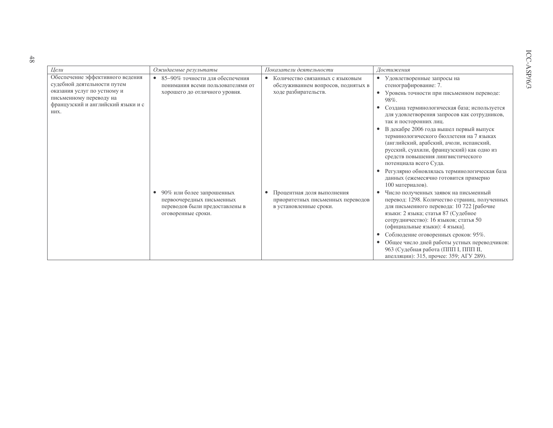| a.               |  |
|------------------|--|
| ленном переводе: |  |

ICC-ASP/6/3

| Цели                                                                                                                                                                    | Ожидаемые результаты                                                                                                        | Показатели деятельности                                                                                    | Достижения                                                                                                                                                                                                                                                                                                                                                                                                                                                                                                                                                                                                    |
|-------------------------------------------------------------------------------------------------------------------------------------------------------------------------|-----------------------------------------------------------------------------------------------------------------------------|------------------------------------------------------------------------------------------------------------|---------------------------------------------------------------------------------------------------------------------------------------------------------------------------------------------------------------------------------------------------------------------------------------------------------------------------------------------------------------------------------------------------------------------------------------------------------------------------------------------------------------------------------------------------------------------------------------------------------------|
| Обеспечение эффективного ведения<br>судебной деятельности путем<br>оказания услуг по устному и<br>письменному переводу на<br>французский и английский языки и с<br>НИХ. | 85-90% точности для обеспечения<br>$\bullet$<br>понимания всеми пользователями от<br>хорошего до отличного уровня.          | Количество связанных с языковым<br>$\bullet$<br>обслуживанием вопросов, поднятых в<br>ходе разбирательств. | Удовлетворенные запросы на<br>$\bullet$<br>стенографирование: 7.<br>Уровень точности при письменном переводе:<br>98%.<br>Создана терминологическая база; используется<br>для удовлетворения запросов как сотрудников,<br>так и посторонних лиц.<br>В декабре 2006 года вышел первый выпуск<br>терминологического бюллетеня на 7 языках<br>(английский, арабский, ачоли, испанский,<br>русский, суахили, французский) как одно из<br>средств повышения лингвистического<br>потенциала всего Суда.<br>Регулярно обновлялась терминологическая база<br>данных (ежемесячно готовится примерно<br>100 материалов). |
|                                                                                                                                                                         | 90% или более запрошенных<br>$\bullet$<br>первоочередных письменных<br>переводов были предоставлены в<br>оговоренные сроки. | Процентная доля выполнения<br>приоритетных письменных переводов<br>в установленные сроки.                  | Число полученных заявок на письменный<br>перевод: 1298. Количество страниц, полученных<br>для письменного перевода: 10 722 [рабочие<br>языки: 2 языка; статья 87 (Судебное<br>сотрудничество): 16 языков; статья 50<br>(официальные языки): 4 языка].<br>Соблюдение оговоренных сроков: 95%.<br>Общее число дней работы устных переводчиков:<br>963 (Судебная работа (ППП I, ППП II,<br>апелляции): 315, прочее: 359; АГУ 289).                                                                                                                                                                               |

 $48$ 

Цели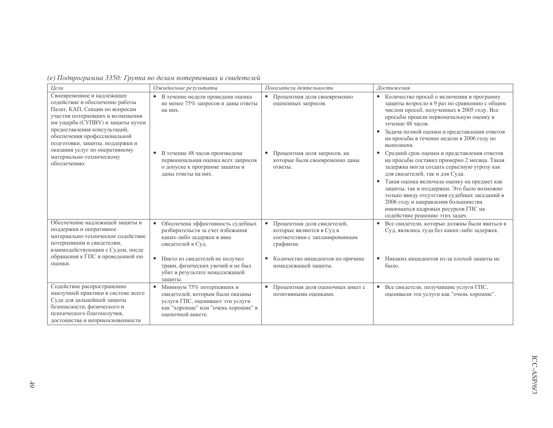|  |  | (е) Подпрограмма 3350: Группа по делам потерпевших и свидетелей |  |
|--|--|-----------------------------------------------------------------|--|
|  |  |                                                                 |  |

| Цели                                                                                                                                                                                                                                                                       | Ожидаемые результаты                                                                                                                                          | Показатели деятельности                                                                                | Достижения                                                                                                                                                                                                                                                                                                                                                                                                                                                  |
|----------------------------------------------------------------------------------------------------------------------------------------------------------------------------------------------------------------------------------------------------------------------------|---------------------------------------------------------------------------------------------------------------------------------------------------------------|--------------------------------------------------------------------------------------------------------|-------------------------------------------------------------------------------------------------------------------------------------------------------------------------------------------------------------------------------------------------------------------------------------------------------------------------------------------------------------------------------------------------------------------------------------------------------------|
| Своевременное и надлежащее<br>содействие и обеспечение работы<br>Палат, КАП, Секции по вопросам<br>участия потерпевших и возмещения<br>им ущерба (СУПВУ) и защиты путем<br>предоставления консультаций,<br>обеспечения профессиональной<br>подготовки, защиты, поддержки и | В течение недели проведена оценка<br>$\bullet$<br>не менее 75% запросов и даны ответы<br>на них.                                                              | Процентная доля своевременно<br>$\bullet$<br>оцененных запросов.                                       | Количество просьб о включении в программу<br>защиты возросло в 9 раз по сравнению с общим<br>числом просьб, полученных в 2005 году. Все<br>просьбы прошли первоначальную оценку в<br>течение 48 часов.<br>Задача полной оценки и представления ответов<br>на просьбы в течение недели в 2006 году не<br>выполнена.                                                                                                                                          |
| оказания услуг по оперативному<br>материально-техническому<br>обеспечению.                                                                                                                                                                                                 | В течение 48 часов произведена<br>первоначальная оценка всех запросов<br>о допуске к программе защиты и<br>даны ответы на них.                                | Процентная доля запросов, на<br>$\bullet$<br>которые были своевременно даны<br>ответы.                 | Средний срок оценки и представления ответов<br>٠<br>на просьбы составил примерно 2 месяца. Такая<br>задержка могла создать серьезную угрозу как<br>для свидетелей, так и для Суда.<br>Такая оценка включала оценку на предмет как<br>$\bullet$<br>защиты, так и поддержки. Это было возможно<br>только ввиду отсутствия судебных заседаний в<br>2006 году и направления большинства<br>имеющихся кадровых ресурсов ГПС на<br>содействие решению этих задач. |
| Обеспечение надлежащей защиты и<br>поддержки и оперативное<br>материально-техническое содействие<br>потерпевшим и свидетелям,<br>взаимодействующим с Судом, после                                                                                                          | Обеспечена эффективность судебных<br>$\bullet$<br>разбирательств за счет избежания<br>каких-либо задержек в явке<br>свидетелей в Суд.                         | Процентная доля свидетелей,<br>которые являются в Суд в<br>соответствии с запланированным<br>графиком. | Все свидетели, которые должны были явиться в<br>Суд, являлись туда без каких-либо задержек.                                                                                                                                                                                                                                                                                                                                                                 |
| обращения к ГПС и проведенной ею<br>оценки.                                                                                                                                                                                                                                | Никто из свидетелей не получил<br>$\bullet$<br>травм, физических увечий и не был<br>убит в результате ненадлежащей<br>защиты.                                 | Количество инцидентов по причине<br>$\bullet$<br>ненадлежащей защиты.                                  | Никаких инцидентов из-за плохой защиты не<br>$\bullet$<br>было.                                                                                                                                                                                                                                                                                                                                                                                             |
| Содействие распространению<br>наилучшей практики в системе всего<br>Суда для дальнейшей защиты<br>безопасности, физического и<br>психического благополучия,<br>достоинства и неприкосновенности                                                                            | Минимум 75% потерпевших и<br>свидетелей, которым были оказаны<br>услуги ГПС, оценивают эти услуги<br>как "хорошие" или "очень хорошие" в<br>оценочной анкете. | Процентная доля оценочных анкет с<br>позитивными оценками.                                             | Все свидетели, получавшие услуги ГПС,<br>$\bullet$<br>оценивали эти услуги как "очень хорошие".                                                                                                                                                                                                                                                                                                                                                             |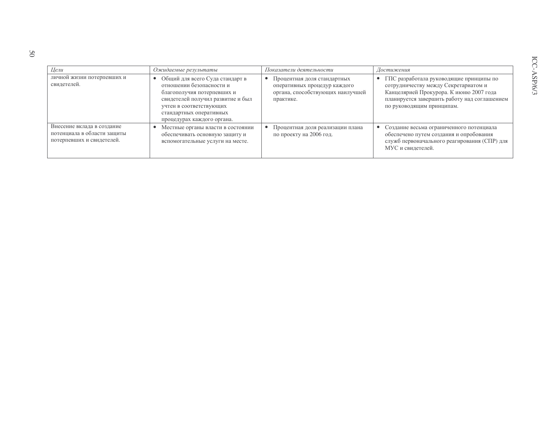| Цели                                                                                   | Ожидаемые результаты                                                                                                                                                                                                 | Показатели деятельности                                                                                      | Достижения                                                                                                                                                                                                |
|----------------------------------------------------------------------------------------|----------------------------------------------------------------------------------------------------------------------------------------------------------------------------------------------------------------------|--------------------------------------------------------------------------------------------------------------|-----------------------------------------------------------------------------------------------------------------------------------------------------------------------------------------------------------|
| личной жизни потерпевших и<br>свидетелей.                                              | • Общий для всего Суда стандарт в<br>отношении безопасности и<br>благополучия потерпевших и<br>свидетелей получил развитие и был<br>учтен в соответствующих<br>стандартных оперативных<br>процедурах каждого органа. | Процентная доля стандартных<br>оперативных процедур каждого<br>органа, способствующих наилучшей<br>практике. | • ГПС разработала руководящие принципы по<br>сотрудничеству между Секретариатом и<br>Канцелярией Прокурора. К июню 2007 года<br>планируется завершить работу над соглашением<br>по руководящим принципам. |
| Внесение вклада в создание<br>потенциала в области защиты<br>потерпевших и свидетелей. | Местные органы власти в состоянии<br>обеспечивать основную защиту и<br>вспомогательные услуги на месте.                                                                                                              | Процентная доля реализации плана<br>по проекту на 2006 год.                                                  | Создание весьма ограниченного потенциала<br>обеспечено путем создания и опробования<br>служб первоначального реагирования (СПР) для<br>МУС и свидетелей.                                                  |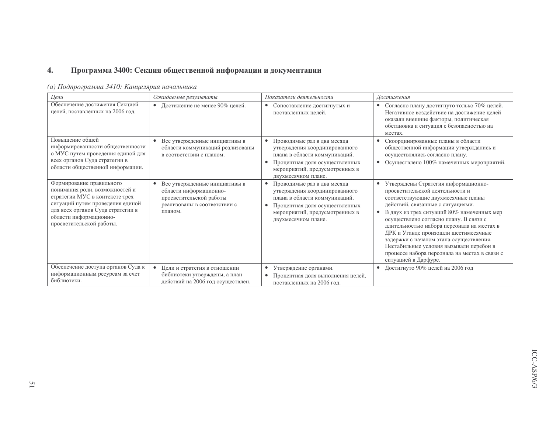#### $\overline{4}$ . Программа 3400: Секция общественной информации и документации

| Цели                                                                                                                                                                                                                        | Ожидаемые результаты                                                                                                          | Показатели деятельности                                                                                                                                                                                            | Достижения                                                                                                                                                                                                                                                                                                                                                                                                                                                                                     |
|-----------------------------------------------------------------------------------------------------------------------------------------------------------------------------------------------------------------------------|-------------------------------------------------------------------------------------------------------------------------------|--------------------------------------------------------------------------------------------------------------------------------------------------------------------------------------------------------------------|------------------------------------------------------------------------------------------------------------------------------------------------------------------------------------------------------------------------------------------------------------------------------------------------------------------------------------------------------------------------------------------------------------------------------------------------------------------------------------------------|
| Обеспечение достижения Секцией<br>целей, поставленных на 2006 год.                                                                                                                                                          | • Достижение не менее 90% целей.                                                                                              | Сопоставление достигнутых и<br>$\bullet$<br>поставленных целей.                                                                                                                                                    | Согласно плану достигнуто только 70% целей.<br>$\bullet$<br>Негативное воздействие на достижение целей<br>оказали внешние факторы, политическая<br>обстановка и ситуация с безопасностью на<br>местах.                                                                                                                                                                                                                                                                                         |
| Повышение обшей<br>информированности общественности<br>о МУС путем проведения единой для<br>всех органов Суда стратегии в<br>области общественной информации.                                                               | Все утвержденные инициативы в<br>области коммуникаций реализованы<br>в соответствии с планом.                                 | Проводимые раз в два месяца<br>$\bullet$<br>утверждения координированного<br>плана в области коммуникаций.<br>Процентная доля осуществленных<br>мероприятий, предусмотренных в<br>двухмесячном плане.              | Скоординированные планы в области<br>общественной информации утверждались и<br>осуществлялись согласно плану.<br>Осуществлено 100% намеченных мероприятий.<br>$\bullet$                                                                                                                                                                                                                                                                                                                        |
| Формирование правильного<br>понимания роли, возможностей и<br>стратегии МУС в контексте трех<br>ситуаций путем проведения единой<br>для всех органов Суда стратегии в<br>области информационно-<br>просветительской работы. | Все утвержденные инициативы в<br>области информационно-<br>просветительской работы<br>реализованы в соответствии с<br>планом. | Проводимые раз в два месяца<br>$\bullet$<br>утверждения координированного<br>плана в области коммуникаций.<br>Процентная доля осуществленных<br>$\bullet$<br>мероприятий, предусмотренных в<br>двухмесячном плане. | Утверждены Стратегия информационно-<br>просветительской деятельности и<br>соответствующие двухмесячные планы<br>действий, связанные с ситуациями.<br>В двух из трех ситуаций 80% намеченных мер<br>осуществлено согласно плану. В связи с<br>длительностью набора персонала на местах в<br>ДРК и Уганде произошли шестимесячные<br>задержки с началом этапа осуществления.<br>Нестабильные условия вызывали перебои в<br>процессе набора персонала на местах в связи с<br>ситуацией в Дарфуре. |
| Обеспечение доступа органов Суда к<br>информационным ресурсам за счет                                                                                                                                                       | Цели и стратегия в отношении<br>библиотеки утверждены, а план                                                                 | Утверждение органами.<br>$\bullet$                                                                                                                                                                                 | Достигнуто 90% целей на 2006 год                                                                                                                                                                                                                                                                                                                                                                                                                                                               |
| библиотеки.                                                                                                                                                                                                                 | действий на 2006 год осуществлен.                                                                                             | Процентная доля выполнения целей,<br>$\bullet$<br>поставленных на 2006 год.                                                                                                                                        |                                                                                                                                                                                                                                                                                                                                                                                                                                                                                                |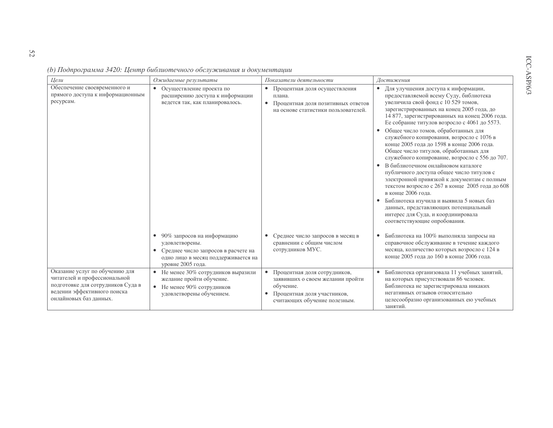| Цели                                                                                                                                                         | Ожидаемые результаты                                                                                                                                         | Показатели деятельности                                                                                                                                   | Достижения                                                                                                                                                                                                                                                                                                                                                                                                                                                                                                                                                                                                                                                                                                                                                                                                                                                                        |
|--------------------------------------------------------------------------------------------------------------------------------------------------------------|--------------------------------------------------------------------------------------------------------------------------------------------------------------|-----------------------------------------------------------------------------------------------------------------------------------------------------------|-----------------------------------------------------------------------------------------------------------------------------------------------------------------------------------------------------------------------------------------------------------------------------------------------------------------------------------------------------------------------------------------------------------------------------------------------------------------------------------------------------------------------------------------------------------------------------------------------------------------------------------------------------------------------------------------------------------------------------------------------------------------------------------------------------------------------------------------------------------------------------------|
| Обеспечение своевременного и<br>прямого доступа к информационным<br>ресурсам.                                                                                | Осуществление проекта по<br>$\bullet$<br>расширению доступа к информации<br>ведется так, как планировалось.                                                  | Процентная доля осуществления<br>$\bullet$<br>плана.<br>Процентная доля позитивных ответов<br>$\bullet$<br>на основе статистики пользователей.            | Для улучшения доступа к информации,<br>$\bullet$<br>предоставляемой всему Суду, библиотека<br>увеличила свой фонд с 10 529 томов,<br>зарегистрированных на конец 2005 года, до<br>14 877, зарегистрированных на конец 2006 года.<br>Ее собрание титулов возросло с 4061 до 5573.<br>Общее число томов, обработанных для<br>служебного копирования, возросло с 1076 в<br>конце 2005 года до 1598 в конце 2006 года.<br>Общее число титулов, обработанных для<br>служебного копирование, возросло с 556 до 707.<br>В библиотечном онлайновом каталоге<br>публичного доступа общее число титулов с<br>электронной привязкой к документам с полным<br>текстом возросло с 267 в конце 2005 года до 608<br>в конце 2006 года.<br>Библиотека изучила и выявила 5 новых баз<br>данных, представляющих потенциальный<br>интерес для Суда, и координировала<br>соответствующие опробования. |
|                                                                                                                                                              | 90% запросов на информацию<br>$\bullet$<br>удовлетворены.<br>Среднее число запросов в расчете на<br>одно лицо в месяц поддерживается на<br>уровне 2005 года. | Среднее число запросов в месяц в<br>сравнении с общим числом<br>сотрудников МУС.                                                                          | Библиотека на 100% выполняла запросы на<br>справочное обслуживание в течение каждого<br>месяца, количество которых возросло с 124 в<br>конце 2005 года до 160 в конце 2006 года.                                                                                                                                                                                                                                                                                                                                                                                                                                                                                                                                                                                                                                                                                                  |
| Оказание услуг по обучению для<br>читателей и профессиональной<br>подготовке для сотрудников Суда в<br>ведении эффективного поиска<br>онлайновых баз данных. | • Не менее 30% сотрудников выразили<br>желание пройти обучение.<br>• Не менее 90% сотрудников<br>удовлетворены обучением.                                    | Процентная доля сотрудников,<br>$\bullet$<br>заявивших о своем желании пройти<br>обучение.<br>Процентная доля участников,<br>считающих обучение полезным. | Библиотека организовала 11 учебных занятий,<br>на которых присутствовали 86 человек.<br>Библиотека не зарегистрировала никаких<br>негативных отзывов относительно<br>целесообразно организованных ею учебных                                                                                                                                                                                                                                                                                                                                                                                                                                                                                                                                                                                                                                                                      |

занятий.

(b) Подпрограмма 3420: Центр библиотечного обслуживания и документации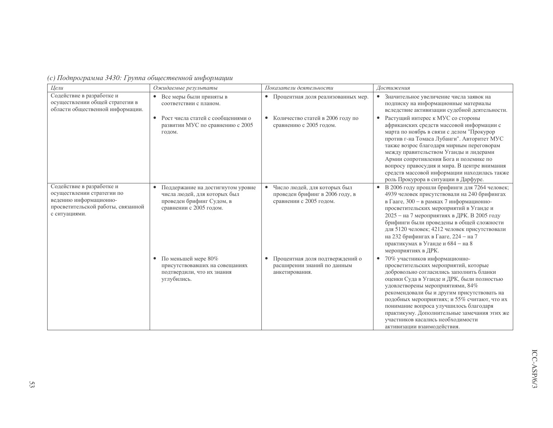| (с) Подпрограмма 3430: Группа общественной информации |  |
|-------------------------------------------------------|--|
|-------------------------------------------------------|--|

| Цели                                                                                                                                     | Ожидаемые результаты                                                                                                      | Показатели деятельности                                                                                 | Достижения                                                                                                                                                                                                                                                                                                                                                                                                                                                                     |
|------------------------------------------------------------------------------------------------------------------------------------------|---------------------------------------------------------------------------------------------------------------------------|---------------------------------------------------------------------------------------------------------|--------------------------------------------------------------------------------------------------------------------------------------------------------------------------------------------------------------------------------------------------------------------------------------------------------------------------------------------------------------------------------------------------------------------------------------------------------------------------------|
| Содействие в разработке и<br>осуществлении общей стратегии в<br>области общественной информации.                                         | Все меры были приняты в<br>$\bullet$<br>соответствии с планом.                                                            | • Процентная доля реализованных мер.                                                                    | • Значительное увеличение числа заявок на<br>подписку на информационные материалы<br>вследствие активизации судебной деятельности.                                                                                                                                                                                                                                                                                                                                             |
|                                                                                                                                          | Рост числа статей с сообщениями о<br>развитии МУС по сравнению с 2005<br>годом.                                           | Количество статей в 2006 году по<br>сравнению с 2005 годом.                                             | Растущий интерес к МУС со стороны<br>$\bullet$<br>африканских средств массовой информации с<br>марта по ноябрь в связи с делом "Прокурор<br>против г-на Томаса Лубанги". Авторитет МУС<br>также возрос благодаря мирным переговорам<br>между правительством Уганды и лидерами<br>Армии сопротивления Бога и полемике по<br>вопросу правосудия и мира. В центре внимания<br>средств массовой информации находилась также<br>роль Прокурора в ситуации в Дарфуре.                |
| Содействие в разработке и<br>осуществлении стратегии по<br>ведению информационно-<br>просветительской работы, связанной<br>с ситуациями. | Поддержание на достигнутом уровне<br>числа людей, для которых был<br>проведен брифинг Судом, в<br>сравнении с 2005 годом. | Число людей, для которых был<br>$\bullet$<br>проведен брифинг в 2006 году, в<br>сравнении с 2005 годом. | В 2006 году прошли брифинги для 7264 человек;<br>$\bullet$<br>4939 человек присутствовали на 240 брифингах<br>в Гааге, 300 - в рамках 7 информационно-<br>просветительских мероприятий в Уганде и<br>2025 - на 7 мероприятиях в ДРК. В 2005 году<br>брифинги были проведены в общей сложности<br>для 5120 человек; 4212 человек присутствовали<br>на 232 брифингах в Гааге, 224 - на 7<br>практикумах в Уганде и 684 - на 8<br>мероприятиях в ДРК.                             |
|                                                                                                                                          | По меньшей мере 80%<br>$\bullet$<br>присутствовавших на совещаниях<br>подтвердили, что их знания<br>углубились.           | Процентная доля подтверждений о<br>расширении знаний по данным<br>анкетирования.                        | 70% участников информационно-<br>$\bullet$<br>просветительских мероприятий, которые<br>добровольно согласились заполнить бланки<br>оценки Суда в Уганде и ДРК, были полностью<br>удовлетворены мероприятиями, 84%<br>рекомендовали бы и другим присутствовать на<br>подобных мероприятиях; и 55% считают, что их<br>понимание вопроса улучшилось благодаря<br>практикуму. Дополнительные замечания этих же<br>участников касались необходимости<br>активизании взаимолействия. |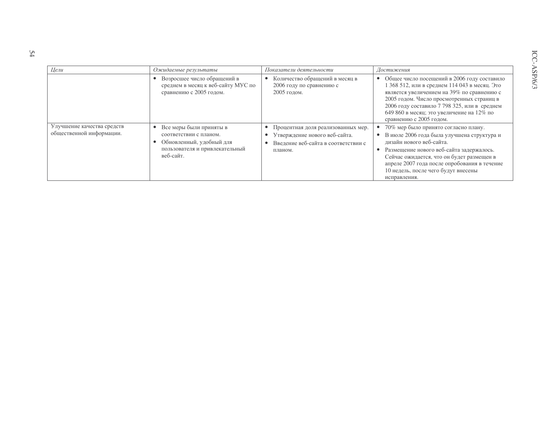| Цели                                                   | Ожидаемые результаты                                                                                                         | Показатели деятельности                                                                                               | Достижения                                                                                                                                                                                                                                                                                                                  |
|--------------------------------------------------------|------------------------------------------------------------------------------------------------------------------------------|-----------------------------------------------------------------------------------------------------------------------|-----------------------------------------------------------------------------------------------------------------------------------------------------------------------------------------------------------------------------------------------------------------------------------------------------------------------------|
|                                                        | Возросшее число обращений в<br>среднем в месяц к веб-сайту МУС по<br>сравнению с 2005 годом.                                 | Количество обращений в месяц в<br>2006 году по сравнению с<br>2005 годом.                                             | Общее число посещений в 2006 году составило<br>$\bullet$<br>368 512, или в среднем 114 043 в месяц. Это<br>является увеличением на 39% по сравнению с<br>2005 годом. Число просмотренных страниц в<br>2006 году составило 7 798 325, или в среднем<br>649 860 в месяц; это увеличение на 12% по<br>сравнению с 2005 годом.  |
| Улучшение качества средств<br>общественной информации. | Все меры были приняты в<br>соответствии с планом.<br>Обновленный, удобный для<br>пользователя и привлекательный<br>веб-сайт. | Процентная доля реализованных мер.<br>Утверждение нового веб-сайта.<br>Введение веб-сайта в соответствии с<br>планом. | 70% мер было принято согласно плану.<br>В июле 2006 года была улучшена структура и<br>$\bullet$<br>дизайн нового веб-сайта.<br>Размещение нового веб-сайта задержалось.<br>Сейчас ожидается, что он будет размещен в<br>апреле 2007 года после опробования в течение<br>10 недель, после чего будут внесены<br>исправления. |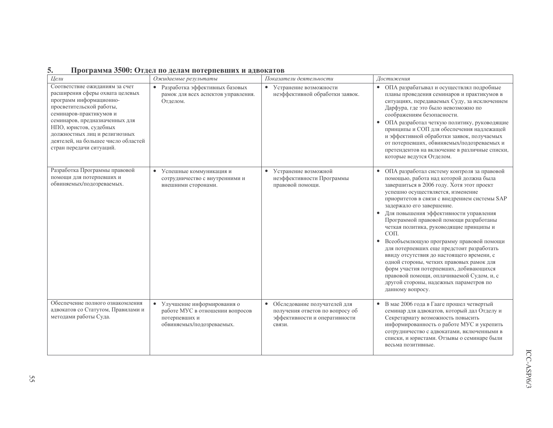| ້∽ |  |  |  |  | Программа 3500: Отдел по делам потерпевших и адвокатов |  |
|----|--|--|--|--|--------------------------------------------------------|--|
|----|--|--|--|--|--------------------------------------------------------|--|

| Цели                                                                                                                                                                                                                                                                                                                | Ожидаемые результаты                                                                                          | Показатели деятельности                                                                                                 | Достижения                                                                                                                                                                                                                                                                                                                                                                                                                                                                                                                                                                                                                                                                                                                                          |
|---------------------------------------------------------------------------------------------------------------------------------------------------------------------------------------------------------------------------------------------------------------------------------------------------------------------|---------------------------------------------------------------------------------------------------------------|-------------------------------------------------------------------------------------------------------------------------|-----------------------------------------------------------------------------------------------------------------------------------------------------------------------------------------------------------------------------------------------------------------------------------------------------------------------------------------------------------------------------------------------------------------------------------------------------------------------------------------------------------------------------------------------------------------------------------------------------------------------------------------------------------------------------------------------------------------------------------------------------|
| Соответствие ожиданиям за счет<br>расширения сферы охвата целевых<br>программ информационно-<br>просветительской работы,<br>семинаров-практикумов и<br>семинаров, предназначенных для<br>НПО, юристов, судебных<br>должностных лиц и религиозных<br>деятелей, на большее число областей<br>стран передачи ситуаций. | Разработка эффективных базовых<br>$\bullet$<br>рамок для всех аспектов управления.<br>Отделом.                | • Устранение возможности<br>неэффективной обработки заявок.                                                             | • ОПА разрабатывал и осуществлял подробные<br>планы проведения семинаров и практикумов в<br>ситуациях, передаваемых Суду, за исключением<br>Дарфура, где это было невозможно по<br>соображениям безопасности.<br>• ОПА разработал четкую политику, руководящие<br>принципы и СОП для обеспечения надлежащей<br>и эффективной обработки заявок, получаемых<br>от потерпевших, обвиняемых/подозреваемых и<br>претендентов на включение в различные списки,<br>которые ведутся Отделом.                                                                                                                                                                                                                                                                |
| Разработка Программы правовой<br>помощи для потерпевших и<br>обвиняемых/подозреваемых.                                                                                                                                                                                                                              | • Успешные коммуникация и<br>сотрудничество с внутренними и<br>внешними сторонами.                            | Устранение возможной<br>٠<br>неэффективности Программы<br>правовой помощи.                                              | ОПА разработал систему контроля за правовой<br>помощью, работа над которой должна была<br>завершиться в 2006 году. Хотя этот проект<br>успешно осуществляется, изменение<br>приоритетов в связи с внедрением системы SAP<br>задержало его завершение.<br>Для повышения эффективности управления<br>Программой правовой помощи разработаны<br>четкая политика, руководящие принципы и<br>$COII$ .<br>Всеобъемлющую программу правовой помощи<br>$\bullet$<br>для потерпевших еще предстоит разработать<br>ввиду отсутствия до настоящего времени, с<br>одной стороны, четких правовых рамок для<br>форм участия потерпевших, добивающихся<br>правовой помощи, оплачиваемой Судом, и, с<br>другой стороны, надежных параметров по<br>данному вопросу. |
| Обеспечение полного ознакомления<br>адвокатов со Статутом, Правилами и<br>методами работы Суда.                                                                                                                                                                                                                     | • Улучшение информирования о<br>работе МУС в отношении вопросов<br>потерпевших и<br>обвиняемых/подозреваемых. | Обследование получателей для<br>$\bullet$<br>получения ответов по вопросу об<br>эффективности и оперативности<br>связи. | • В мае 2006 года в Гааге прошел четвертый<br>семинар для адвокатов, который дал Отделу и<br>Секретариату возможность повысить<br>информированность о работе МУС и укрепить<br>сотрудничество с адвокатами, включенными в<br>списки, и юристами. Отзывы о семинаре были<br>весьма позитивные.                                                                                                                                                                                                                                                                                                                                                                                                                                                       |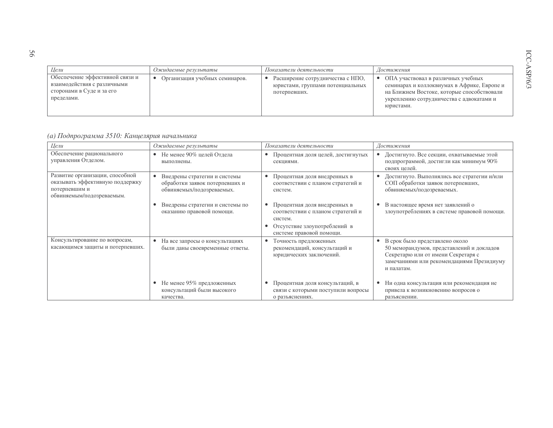| Шели                                                                                                      | Ожидаемые результаты           | Показатели деятельности                                                              | Достижения                                                                                                                                                                               |
|-----------------------------------------------------------------------------------------------------------|--------------------------------|--------------------------------------------------------------------------------------|------------------------------------------------------------------------------------------------------------------------------------------------------------------------------------------|
| Обеспечение эффективной связи и<br>взаимодействия с различными<br>сторонами в Суде и за его<br>пределами. | Организация учебных семинаров. | Расширение сотрудничества с НПО,<br>юристами, группами потенциальных<br>потерпевших. | ОПА участвовал в различных учебных<br>семинарах и коллоквиумах в Африке, Европе и<br>на Ближнем Востоке, которые способствовали<br>укреплению сотрудничества с адвокатами и<br>юристами. |

## (а) Подпрограмма 3510: Канцелярия начальника

| Цели                                                                                                             | Ожидаемые результаты                                                                        | Показатели деятельности                                                                                                                  | Достижения                                                                                                                                                                                |
|------------------------------------------------------------------------------------------------------------------|---------------------------------------------------------------------------------------------|------------------------------------------------------------------------------------------------------------------------------------------|-------------------------------------------------------------------------------------------------------------------------------------------------------------------------------------------|
| Обеспечение рационального<br>управления Отделом.                                                                 | Не менее 90% целей Отдела<br>$\bullet$<br>выполнены.                                        | Процентная доля целей, достигнутых<br>секциями.                                                                                          | Достигнуто. Все секции, охватываемые этой<br>٠<br>подпрограммой, достигли как минимум 90%<br>своих целей.                                                                                 |
| Развитие организации, способной<br>оказывать эффективную поддержку<br>потерпевшим и<br>обвиняемым/подозреваемым. | Внедрены стратегии и системы<br>обработки заявок потерпевших и<br>обвиняемых/подозреваемых. | Процентная доля внедренных в<br>соответствии с планом стратегий и<br>систем.                                                             | Достигнуто. Выполнялись все стратегии и/или<br>СОП обработки заявок потерпевших,<br>обвиняемых/подозреваемых.                                                                             |
|                                                                                                                  | Внедрены стратегии и системы по<br>оказанию правовой помощи.                                | Процентная доля внедренных в<br>соответствии с планом стратегий и<br>систем.<br>Отсутствие злоупотреблений в<br>системе правовой помощи. | В настоящее время нет заявлений о<br>٠<br>злоупотреблениях в системе правовой помощи.                                                                                                     |
| Консультирование по вопросам,<br>касающимся защиты и потерпевших.                                                | На все запросы о консультациях<br>были даны своевременные ответы.                           | Точность предложенных<br>рекомендаций, консультаций и<br>юридических заключений.                                                         | В срок было представлено около<br>$\bullet$<br>50 меморандумов, представлений и докладов<br>Секретарю или от имени Секретаря с<br>замечаниями или рекомендациями Президиуму<br>и палатам. |
|                                                                                                                  | Не менее 95% предложенных<br>консультаций были высокого<br>качества.                        | Процентная доля консультаций, в<br>связи с которыми поступили вопросы<br>о разъяснениях.                                                 | Ни одна консультация или рекомендация не<br>٠<br>привела к возникновению вопросов о<br>разъяснении.                                                                                       |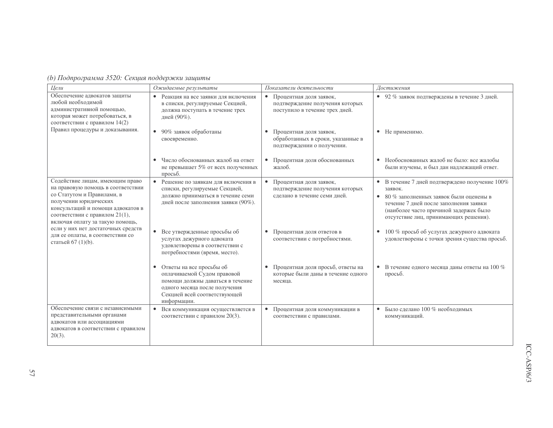| о) ггоопрограмма ээ20. Секция пообержки защиты                                                                                                                                                                                                                                                                                        |                                                                                                                                                                               |                                                                                                           |                                                                                                                                                                                                                                |
|---------------------------------------------------------------------------------------------------------------------------------------------------------------------------------------------------------------------------------------------------------------------------------------------------------------------------------------|-------------------------------------------------------------------------------------------------------------------------------------------------------------------------------|-----------------------------------------------------------------------------------------------------------|--------------------------------------------------------------------------------------------------------------------------------------------------------------------------------------------------------------------------------|
| Цели<br>Обеспечение адвокатов защиты                                                                                                                                                                                                                                                                                                  | Ожидаемые результаты                                                                                                                                                          | Показатели деятельности                                                                                   | Достижения                                                                                                                                                                                                                     |
| любой необходимой<br>административной помощью,<br>которая может потребоваться, в<br>соответствии с правилом 14(2)<br>Правил процедуры и доказывания.                                                                                                                                                                                  | • Реакция на все заявки для включения<br>в списки, регулируемые Секцией,<br>должна поступать в течение трех<br>дней (90%).                                                    | $\bullet$<br>Процентная доля заявок,<br>подтверждение получения которых<br>поступило в течение трех дней. | • 92 % заявок подтверждены в течение 3 дней.                                                                                                                                                                                   |
|                                                                                                                                                                                                                                                                                                                                       | • 90% заявок обработаны<br>своевременно.                                                                                                                                      | Процентная доля заявок,<br>$\bullet$<br>обработанных в сроки, указанные в<br>подтверждении о получении.   | • Не применимо.                                                                                                                                                                                                                |
|                                                                                                                                                                                                                                                                                                                                       | • Число обоснованных жалоб на ответ<br>не превышает 5% от всех полученных<br>просьб.                                                                                          | Процентная доля обоснованных<br>$\bullet$<br>жалоб.                                                       | • Необоснованных жалоб не было: все жалобы<br>были изучены, и был дан надлежащий ответ.                                                                                                                                        |
| Содействие лицам, имеющим право<br>на правовую помощь в соответствии<br>со Статутом и Правилами, в<br>получении юридических<br>консультаций и помощи адвокатов в<br>соответствии с правилом 21(1),<br>включая оплату за такую помощь,<br>если у них нет достаточных средств<br>для ее оплаты, в соответствии со<br>статьей 67 (1)(b). | • Решение по заявкам для включения в<br>списки, регулируемые Секцией,<br>должно приниматься в течение семи<br>дней после заполнения заявки (90%).                             | $\bullet$<br>Процентная доля заявок,<br>подтверждение получения которых<br>сделано в течение семи дней.   | В течение 7 дней подтверждено получение 100%<br>заявок.<br>80 % заполненных заявок были оценены в<br>течение 7 дней после заполнения заявки<br>(наиболее часто причиной задержек было<br>отсутствие лиц, принимающих решения). |
|                                                                                                                                                                                                                                                                                                                                       | • Все утвержденные просьбы об<br>услугах дежурного адвоката<br>удовлетворены в соответствии с<br>потребностями (время, место).                                                | Процентная доля ответов в<br>$\bullet$<br>соответствии с потребностями.                                   | 100 % просьб об услугах дежурного адвоката<br>$\bullet$<br>удовлетворены с точки зрения существа просьб.                                                                                                                       |
|                                                                                                                                                                                                                                                                                                                                       | • Ответы на все просьбы об<br>оплачиваемой Судом правовой<br>помощи должны даваться в течение<br>одного месяца после получения<br>Секцией всей соответствующей<br>информации. | Процентная доля просьб, ответы на<br>$\bullet$<br>которые были даны в течение одного<br>месяца.           | В течение одного месяца даны ответы на 100 %<br>$\bullet$<br>просьб.                                                                                                                                                           |
| Обеспечение связи с независимыми<br>представительными органами<br>адвокатов или ассоциациями<br>адвокатов в соответствии с правилом<br>$20(3)$ .                                                                                                                                                                                      | Вся коммуникация осуществляется в<br>$\bullet$<br>соответствии с правилом 20(3).                                                                                              | $\bullet$<br>Процентная доля коммуникации в<br>соответствии с правилами.                                  | Было сделано 100 % необходимых<br>$\bullet$<br>коммуникаций.                                                                                                                                                                   |

 $(h)$  Подпрограмма 3520: Секиня поддержки зашиты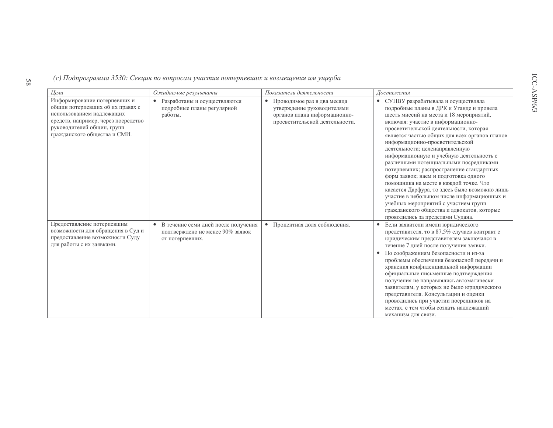(с) Подпрограмма 3530: Секция по вопросам участия потерпевших и возмещения им ущерба

| Цели                                                                                                                                                                                               | Ожидаемые результаты                                                                       | Показатели деятельности                                                                                                                  | Достижения                                                                                                                                                                                                                                                                                                                                                                                                                                                                                                                                                                                                                                                                                                                                                                              |
|----------------------------------------------------------------------------------------------------------------------------------------------------------------------------------------------------|--------------------------------------------------------------------------------------------|------------------------------------------------------------------------------------------------------------------------------------------|-----------------------------------------------------------------------------------------------------------------------------------------------------------------------------------------------------------------------------------------------------------------------------------------------------------------------------------------------------------------------------------------------------------------------------------------------------------------------------------------------------------------------------------------------------------------------------------------------------------------------------------------------------------------------------------------------------------------------------------------------------------------------------------------|
| Информирование потерпевших и<br>общин потерпевших об их правах с<br>использованием надлежащих<br>средств, например, через посредство<br>руководителей общин, групп<br>гражданского общества и СМИ. | Разработаны и осуществляются<br>подробные планы регулярной<br>работы.                      | Проводимое раз в два месяца<br>$\bullet$<br>утверждение руководителями<br>органов плана информационно-<br>просветительской деятельности. | СУПВУ разрабатывала и осуществляла<br>$\bullet$<br>подробные планы в ДРК и Уганде и провела<br>шесть миссий на места и 18 мероприятий,<br>включая: участие в информационно-<br>просветительской деятельности, которая<br>является частью общих для всех органов планов<br>информационно-просветительской<br>деятельности; целенаправленную<br>информационную и учебную деятельность с<br>различными потенциальными посредниками<br>потерпевших; распространение стандартных<br>форм заявок; наем и подготовка одного<br>помощника на месте в каждой точке. Что<br>касается Дарфура, то здесь было возможно лишь<br>участие в небольшом числе информационных и<br>учебных мероприятий с участием групп<br>гражданского общества и адвокатов, которые<br>проводились за пределами Судана. |
| Предоставление потерпевшим<br>возможности для обращения в Суд и<br>предоставление возможности Суду<br>для работы с их заявками.                                                                    | В течение семи дней после получения<br>подтверждено не менее 90% заявок<br>от потерпевших. | Процентная доля соблюдения.<br>$\bullet$                                                                                                 | Если заявители имели юридического<br>представителя, то в 87,5% случаев контракт с<br>юридическим представителем заключался в<br>течение 7 дней после получения заявки.<br>По соображениям безопасности и из-за<br>$\bullet$<br>проблемы обеспечения безопасной передачи и<br>хранения конфиденциальной информации<br>официальные письменные подтверждения<br>получения не направлялись автоматически<br>заявителям, у которых не было юридического<br>представителя. Консультации и оценки<br>проводились при участии посредников на<br>местах, с тем чтобы создать надлежащий<br>механизм для связи.                                                                                                                                                                                   |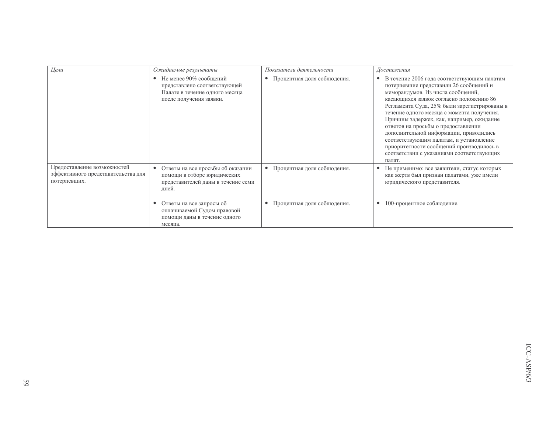| Цели                                                                              | Ожидаемые результаты                                                                                                             | Показатели деятельности                  | Достижения                                                                                                                                                                                                                                                                                                                                                                                                                                                                                                                                                   |
|-----------------------------------------------------------------------------------|----------------------------------------------------------------------------------------------------------------------------------|------------------------------------------|--------------------------------------------------------------------------------------------------------------------------------------------------------------------------------------------------------------------------------------------------------------------------------------------------------------------------------------------------------------------------------------------------------------------------------------------------------------------------------------------------------------------------------------------------------------|
|                                                                                   | Не менее 90% сообщений<br>$\bullet$<br>представлено соответствующей<br>Палате в течение одного месяца<br>после получения заявки. | • Процентная доля соблюдения.            | В течение 2006 года соответствующим палатам<br>$\bullet$<br>потерпевшие представили 26 сообщений и<br>меморандумов. Из числа сообщений,<br>касающихся заявок согласно положению 86<br>Регламента Суда, 25% были зарегистрированы в<br>течение одного месяца с момента получения.<br>Причины задержек, как, например, ожидание<br>ответов на просьбы о предоставлении<br>дополнительной информации, приводились<br>соответствующим палатам, и установление<br>приоритетности сообщений производилось в<br>соответствии с указаниями соответствующих<br>палат. |
| Предоставление возможностей<br>эффективного представительства для<br>потерпевших. | Ответы на все просьбы об оказании<br>помощи в отборе юридических<br>представителей даны в течение семи<br>дней.                  | • Процентная доля соблюдения.            | Не применимо: все заявители, статус которых<br>как жертв был признан палатами, уже имели<br>юридического представителя.                                                                                                                                                                                                                                                                                                                                                                                                                                      |
|                                                                                   | Ответы на все запросы об<br>оплачиваемой Судом правовой<br>помощи даны в течение одного<br>месяца.                               | Процентная доля соблюдения.<br>$\bullet$ | 100-процентное соблюдение.                                                                                                                                                                                                                                                                                                                                                                                                                                                                                                                                   |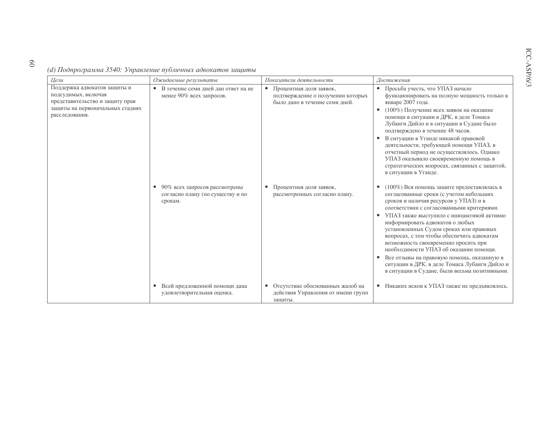(d) Подпрограмма 3540: Управление публичных адвокатов защиты

 $\overline{0}$ 

| Цели                                                                                                                                         | Ожидаемые результаты                                                         | Показатели деятельности                                                                                     | Достижения                                                                                                                                                                                                                                                                                                                                                                                                                                                                                                                                                                                   |
|----------------------------------------------------------------------------------------------------------------------------------------------|------------------------------------------------------------------------------|-------------------------------------------------------------------------------------------------------------|----------------------------------------------------------------------------------------------------------------------------------------------------------------------------------------------------------------------------------------------------------------------------------------------------------------------------------------------------------------------------------------------------------------------------------------------------------------------------------------------------------------------------------------------------------------------------------------------|
| Поддержка адвокатов защиты и<br>подсудимых, включая<br>представительство и защиту прав<br>защиты на первоначальных стадиях<br>расследования. | В течение семи дней дан ответ на не<br>$\bullet$<br>менее 90% всех запросов. | $\bullet$<br>Процентная доля заявок,<br>подтверждение о получении которых<br>было дано в течение семи дней. | Просьба учесть, что УПАЗ начало<br>$\bullet$<br>функционировать на полную мощность только в<br>январе 2007 года.<br>(100%) Получение всех заявок на оказание<br>помощи в ситуации в ДРК, в деле Томаса<br>Лубанги Дийло и в ситуации в Судане было<br>подтверждено в течение 48 часов.<br>В ситуации в Уганде никакой правовой<br>деятельности, требующей помощи УПАЗ, в<br>отчетный период не осуществлялось. Однако<br>УПАЗ оказывало своевременную помощь в<br>стратегических вопросах, связанных с защитой,<br>в ситуации в Уганде.                                                      |
|                                                                                                                                              | 90% всех запросов рассмотрены<br>согласно плану (по существу и по<br>срокам. | Процентная доля заявок,<br>٠<br>рассмотренных согласно плану.                                               | (100%) Вся помощь защите предоставлялась в<br>согласованные сроки (с учетом небольших<br>сроков и наличия ресурсов у УПАЗ) и в<br>соответствии с согласованными критериями.<br>УПАЗ также выступило с инициативой активно<br>информировать адвокатов о любых<br>установленных Судом сроках или правовых<br>вопросах, с тем чтобы обеспечить адвокатам<br>возможность своевременно просить при<br>необходимости УПАЗ об оказании помощи.<br>Все отзывы на правовую помощь, оказанную в<br>٠<br>ситуации в ДРК, в деле Томаса Лубанги Дийло и<br>в ситуации в Судане, были весьма позитивными. |
|                                                                                                                                              | Всей предложенной помощи дана<br>$\bullet$<br>удовлетворительная оценка.     | Отсутствие обоснованных жалоб на<br>действия Управления от имени групп<br>защиты.                           | • Никаких исков к УПАЗ также не предъявлялось.                                                                                                                                                                                                                                                                                                                                                                                                                                                                                                                                               |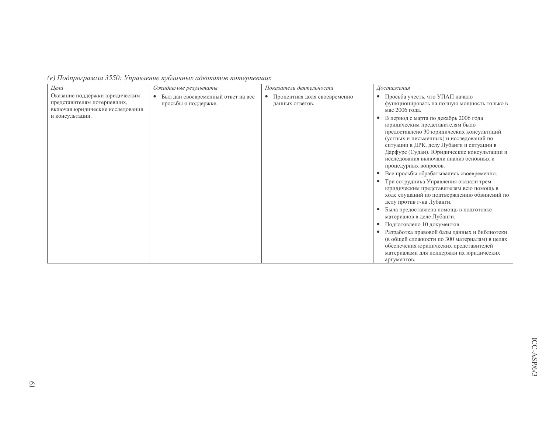| Цели                                                                                                                 | Ожидаемые результаты                                                    | Показатели деятельности                                      | Достижения                                                                                                                                                                                                                                                                                                                                                                                                                                                                                                                                                                                                                                                                                                                                                                                                                                                                                                                                                     |
|----------------------------------------------------------------------------------------------------------------------|-------------------------------------------------------------------------|--------------------------------------------------------------|----------------------------------------------------------------------------------------------------------------------------------------------------------------------------------------------------------------------------------------------------------------------------------------------------------------------------------------------------------------------------------------------------------------------------------------------------------------------------------------------------------------------------------------------------------------------------------------------------------------------------------------------------------------------------------------------------------------------------------------------------------------------------------------------------------------------------------------------------------------------------------------------------------------------------------------------------------------|
| Оказание поддержки юридическим<br>представителям потерпевших,<br>включая юридические исследования<br>и консультации. | Был дан своевременный ответ на все<br>$\bullet$<br>просьбы о поддержке. | Процентная доля своевременно<br>$\bullet$<br>данных ответов. | Просьба учесть, что УПАП начало<br>функционировать на полную мощность только в<br>мае 2006 года.<br>В период с марта по декабрь 2006 года<br>юридическим представителям было<br>предоставлено 30 юридических консультаций<br>(устных и письменных) и исследований по<br>ситуации в ДРК, делу Лубанги и ситуации в<br>Дарфуре (Судан). Юридические консультации и<br>исследования включали анализ основных и<br>процедурных вопросов.<br>Все просьбы обрабатывались своевременно.<br>Три сотрудника Управления оказали трем<br>юридическим представителям всю помощь в<br>ходе слушаний по подтверждению обвинений по<br>делу против г-на Лубанги.<br>Была предоставлена помощь в подготовке<br>материалов в деле Лубанги.<br>Подготовлено 10 документов.<br>Разработка правовой базы данных и библиотеки<br>(в общей сложности по 300 материалам) в целях<br>обеспечения юридических представителей<br>материалами для поддержки их юридических<br>аргументов. |

(е) Подпрограмма 3550: Управление публичных адвокатов потерпевших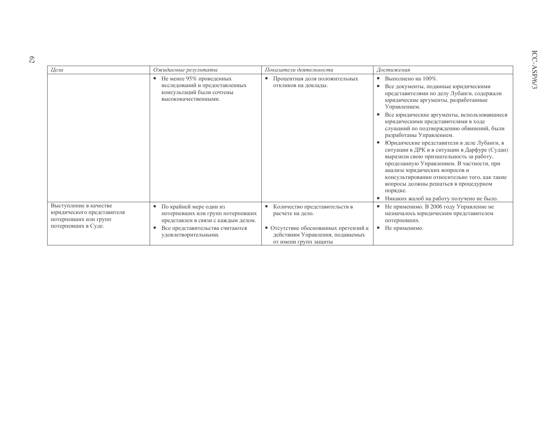| Цели                                                                          | Ожидаемые результаты                                                                                            | Показатели деятельности                                                                            | Достижения                                                                                                                                                                                                                                                                                                                    |
|-------------------------------------------------------------------------------|-----------------------------------------------------------------------------------------------------------------|----------------------------------------------------------------------------------------------------|-------------------------------------------------------------------------------------------------------------------------------------------------------------------------------------------------------------------------------------------------------------------------------------------------------------------------------|
|                                                                               | Не менее 95% проведенных<br>исследований и предоставленных<br>консультаций были сочтены<br>высококачественными. | Процентная доля положительных<br>$\bullet$<br>откликов на доклады.                                 | Выполнено на 100%.<br>$\bullet$<br>Все документы, поданные юридическими<br>$\bullet$<br>представителями по делу Лубанги, содержали<br>юридические аргументы, разработанные<br>Управлением.<br>Все юридические аргументы, использовавшиеся                                                                                     |
|                                                                               |                                                                                                                 |                                                                                                    | юридическими представителями в ходе<br>слушаний по подтверждению обвинений, были<br>разработаны Управлением.                                                                                                                                                                                                                  |
|                                                                               |                                                                                                                 |                                                                                                    | Юридические представители в деле Лубанги, в<br>ситуации в ДРК и в ситуации в Дарфуре (Судан)<br>выразили свою признательность за работу,<br>проделанную Управлением. В частности, при<br>анализе юридических вопросов и<br>консультировании относительно того, как такие<br>вопросы должны решаться в процедурном<br>порядке. |
|                                                                               |                                                                                                                 |                                                                                                    | Никаких жалоб на работу получено не было.                                                                                                                                                                                                                                                                                     |
| Выступление в качестве<br>юридического представителя<br>потерпевших или групп | По крайней мере один из<br>потерпевших или групп потерпевших<br>представлен в связи с каждым делом.             | Количество представительств в<br>расчете на дело.                                                  | Не применимо. В 2006 году Управление не<br>назначалось юридическим представителем<br>потерпевших.                                                                                                                                                                                                                             |
| потерпевших в Суде.                                                           | Все представительства считаются<br>$\bullet$<br>удовлетворительными.                                            | • Отсутствие обоснованных претензий к<br>действиям Управления, подаваемых<br>от имени групп защиты | Не применимо.<br>$\bullet$                                                                                                                                                                                                                                                                                                    |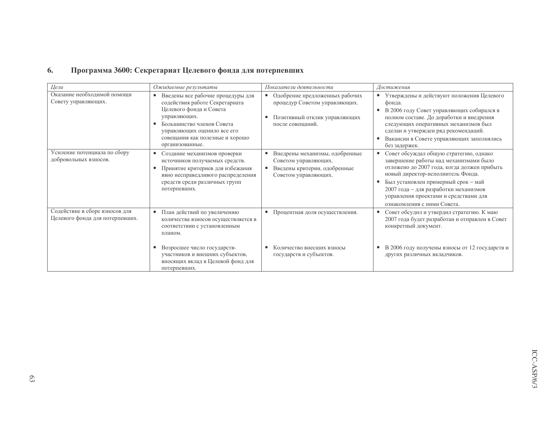#### Программа 3600: Секретариат Целевого фонда для потерпевших 6.

| Цели                                                              | Ожидаемые результаты                                                                                                                                                                                                                          | Показатели деятельности                                                                                                           | Достижения                                                                                                                                                                                                                                                                                                                   |
|-------------------------------------------------------------------|-----------------------------------------------------------------------------------------------------------------------------------------------------------------------------------------------------------------------------------------------|-----------------------------------------------------------------------------------------------------------------------------------|------------------------------------------------------------------------------------------------------------------------------------------------------------------------------------------------------------------------------------------------------------------------------------------------------------------------------|
| Оказание необходимой помощи<br>Совету управляющих.                | Введены все рабочие процедуры для<br>$\bullet$<br>содействия работе Секретариата<br>Целевого фонда и Совета<br>управляющих.<br>Большинство членов Совета<br>управляющих оценило все его<br>совещания как полезные и хорошо<br>организованные. | Одобрение предложенных рабочих<br>$\bullet$<br>процедур Советом управляющих.<br>Позитивный отклик управляющих<br>после совещаний. | • Утверждены и действуют положения Целевого<br>фонда.<br>В 2006 году Совет управляющих собирался в<br>$\bullet$<br>полном составе. До доработки и внедрения<br>следующих оперативных механизмов был<br>сделан и утвержден ряд рекомендаций.<br>Вакансии в Совете управляющих заполнялись<br>без задержек.                    |
| Усиление потенциала по сбору<br>добровольных взносов.             | Создание механизмов проверки<br>$\bullet$<br>источников получаемых средств.<br>Принятие критериев для избежания<br>$\bullet$<br>явно несправедливого распределения<br>средств среди различных групп<br>потерпевших.                           | Внедрены механизмы, одобренные<br>$\bullet$<br>Советом управляющих.<br>Введены критерии, одобренные<br>Советом управляющих.       | Совет обсуждал общую стратегию, однако<br>завершение работы над механизмами было<br>отложено до 2007 года, когда должен прибыть<br>новый директор-исполнитель Фонда.<br>Был установлен примерный срок - май<br>2007 года - для разработки механизмов<br>управления проектами и средствами для<br>ознакомления с ними Совета. |
| Содействие в сборе взносов для<br>Целевого фонда для потерпевших. | • План действий по увеличению<br>количества взносов осуществляется в<br>соответствии с установленным<br>планом.                                                                                                                               | • Процентная доля осуществления.                                                                                                  | Совет обсудил и утвердил стратегию. К маю<br>2007 года будет разработан и отправлен в Совет<br>конкретный документ.                                                                                                                                                                                                          |
|                                                                   | Возросшее число государств-<br>участников и внешних субъектов,<br>вносящих вклад в Целевой фонд для<br>потерпевших.                                                                                                                           | Количество внесших взносы<br>государств и субъектов.                                                                              | В 2006 году получены взносы от 12 государств и<br>других различных вкладчиков.                                                                                                                                                                                                                                               |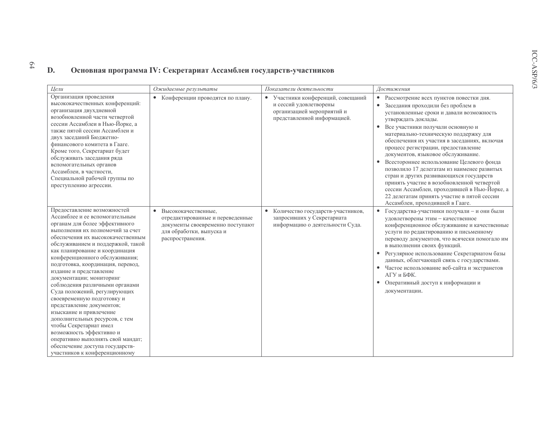#### Основная программа IV: Секретариат Ассамблеи государств-участников D.

 $64$ 

| Цели                                                                                                                                                                                                                                                                                                                                                                                                                                                                                                                                                                                                                                                                                                                                   | Ожидаемые результаты                                                                                                                          | Показатели деятельности                                                                                                              | Достижения                                                                                                                                                                                                                                                                                                                                                                                                                                                                                                                                                                                                                                                                                     |
|----------------------------------------------------------------------------------------------------------------------------------------------------------------------------------------------------------------------------------------------------------------------------------------------------------------------------------------------------------------------------------------------------------------------------------------------------------------------------------------------------------------------------------------------------------------------------------------------------------------------------------------------------------------------------------------------------------------------------------------|-----------------------------------------------------------------------------------------------------------------------------------------------|--------------------------------------------------------------------------------------------------------------------------------------|------------------------------------------------------------------------------------------------------------------------------------------------------------------------------------------------------------------------------------------------------------------------------------------------------------------------------------------------------------------------------------------------------------------------------------------------------------------------------------------------------------------------------------------------------------------------------------------------------------------------------------------------------------------------------------------------|
| Организация проведения<br>высококачественных конференций:<br>организация двухдневной<br>возобновленной части четвертой<br>сессии Ассамблеи в Нью-Йорке, а<br>также пятой сессии Ассамблеи и<br>двух заседаний Бюджетно-<br>финансового комитета в Гааге.<br>Кроме того, Секретариат будет<br>обслуживать заседания ряда<br>вспомогательных органов<br>Ассамблеи, в частности,<br>Специальной рабочей группы по<br>преступлению агрессии.                                                                                                                                                                                                                                                                                               | Конференции проводятся по плану.<br>$\bullet$                                                                                                 | Участники конференций, совещаний<br>$\bullet$<br>и сессий удовлетворены<br>организацией мероприятий и<br>представленной информацией. | Рассмотрение всех пунктов повестки дня.<br>$\bullet$<br>Заседания проходили без проблем в<br>установленные сроки и давали возможность<br>утверждать доклады.<br>Все участники получали основную и<br>материально-техническую поддержку для<br>обеспечения их участия в заседаниях, включая<br>процесс регистрации, предоставление<br>документов, языковое обслуживание.<br>Всестороннее использование Целевого фонда<br>позволило 17 делегатам из наименее развитых<br>стран и других развивающихся государств<br>принять участие в возобновленной четвертой<br>сессии Ассамблеи, проходившей в Нью-Йорке, а<br>22 делегатам принять участие в пятой сессии<br>Ассамблеи, проходившей в Гааге. |
| Предоставление возможностей<br>Ассамблее и ее вспомогательным<br>органам для более эффективного<br>выполнения их полномочий за счет<br>обеспечения их высококачественным<br>обслуживанием и поддержкой, такой<br>как планирование и координация<br>конференционного обслуживания;<br>подготовка, координация, перевод,<br>издание и представление<br>документации; мониторинг<br>соблюдения различными органами<br>Суда положений, регулирующих<br>своевременную подготовку и<br>представление документов;<br>изыскание и привлечение<br>дополнительных ресурсов, с тем<br>чтобы Секретариат имел<br>возможность эффективно и<br>оперативно выполнять свой мандат;<br>обеспечение доступа государств-<br>участников к конференционному | • Высококачественные,<br>отредактированные и переведенные<br>документы своевременно поступают<br>для обработки, выпуска и<br>распространения. | $\bullet$<br>Количество государств-участников,<br>запросивших у Секретариата<br>информацию о деятельности Суда.                      | Государства-участники получали - и они были<br>$\bullet$<br>удовлетворены этим - качественное<br>конференционное обслуживание и качественные<br>услуги по редактированию и письменному<br>переводу документов, что всячески помогало им<br>в выполнении своих функций.<br>Регулярное использование Секретариатом базы<br>данных, облегчающей связь с государствами.<br>Частое использование веб-сайта и экстранетов<br>АГУ и БФК.<br>Оперативный доступ к информации и<br>документации.                                                                                                                                                                                                        |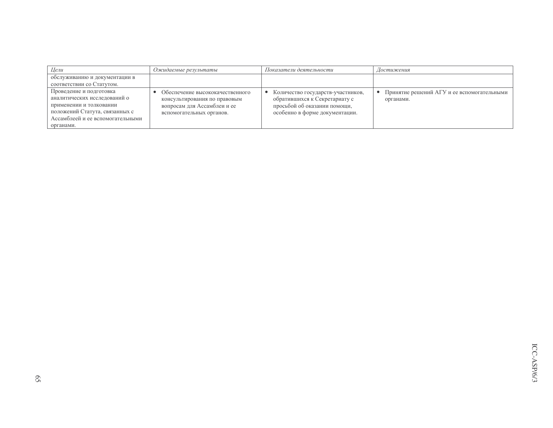| Цели                                                                                                                                                                  | Ожидаемые результаты                                                                                                       | Показатели деятельности                                                                                                              | Достижения                                              |
|-----------------------------------------------------------------------------------------------------------------------------------------------------------------------|----------------------------------------------------------------------------------------------------------------------------|--------------------------------------------------------------------------------------------------------------------------------------|---------------------------------------------------------|
| обслуживанию и документации в<br>соответствии со Статутом.                                                                                                            |                                                                                                                            |                                                                                                                                      |                                                         |
| Проведение и подготовка<br>аналитических исследований о<br>применении и толковании<br>положений Статута, связанных с<br>Ассамблеей и ее вспомогательными<br>органами. | Обеспечение высококачественного<br>консультирования по правовым<br>вопросам для Ассамблеи и ее<br>вспомогательных органов. | Количество государств-участников,<br>обратившихся к Секретариату с<br>просьбой об оказании помощи,<br>особенно в форме документации. | Принятие решений АГУ и ее вспомогательными<br>органами. |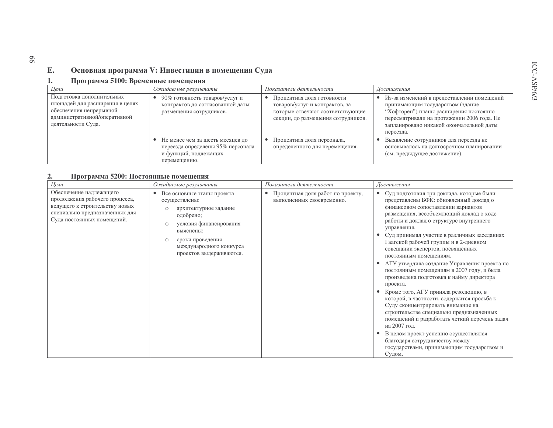#### $E_{\bullet}$ Основная программа V: Инвестиции в помещения Суда

#### Программа 5100: Временные помещения  $1.$

| Цели                                                                                                                                          | Ожидаемые результаты                                                                                           | Показатели деятельности                                                                                                                | Достижения                                                                                                                                                                                                                      |
|-----------------------------------------------------------------------------------------------------------------------------------------------|----------------------------------------------------------------------------------------------------------------|----------------------------------------------------------------------------------------------------------------------------------------|---------------------------------------------------------------------------------------------------------------------------------------------------------------------------------------------------------------------------------|
| Подготовка дополнительных<br>площадей для расширения в целях<br>обеспечения непрерывной<br>административной/оперативной<br>деятельности Суда. | 90% готовность товаров/услуг и<br>контрактов до согласованной даты<br>размещения сотрудников.                  | Процентная доля готовности<br>товаров/услуг и контрактов, за<br>которые отвечают соответствующие<br>секции, до размещения сотрудников. | Из-за изменений в предоставлении помещений<br>принимающим государством (здание<br>"Хофторен") планы расширения постоянно<br>пересматривали на протяжении 2006 года. Не<br>запланировано никакой окончательной даты<br>переезда. |
|                                                                                                                                               | Не менее чем за шесть месяцев до<br>переезда определены 95% персонала<br>и функций, подлежащих<br>перемещению. | Процентная доля персонала,<br>определенного для перемещения.                                                                           | Выявление сотрудников для переезда не<br>основывалось на долгосрочном планировании<br>(см. предыдущее достижение).                                                                                                              |

#### Программа 5200: Постоянные помещения  $2.$

| Цели                                                                                                                                                        | Ожидаемые результаты                                                                                                                                                                                                                  | Показатели деятельности                                             | Достижения                                                                                                                                                                                                                                                                                                                                                                                                                                                                                                                                                                                                                                                                                                                                                                                                                                                                                                                     |
|-------------------------------------------------------------------------------------------------------------------------------------------------------------|---------------------------------------------------------------------------------------------------------------------------------------------------------------------------------------------------------------------------------------|---------------------------------------------------------------------|--------------------------------------------------------------------------------------------------------------------------------------------------------------------------------------------------------------------------------------------------------------------------------------------------------------------------------------------------------------------------------------------------------------------------------------------------------------------------------------------------------------------------------------------------------------------------------------------------------------------------------------------------------------------------------------------------------------------------------------------------------------------------------------------------------------------------------------------------------------------------------------------------------------------------------|
| Обеспечение надлежащего<br>продолжения рабочего процесса,<br>ведущего к строительству новых<br>специально предназначенных для<br>Суда постоянных помещений. | Все основные этапы проекта<br>$\bullet$<br>осуществлены:<br>архитектурное задание<br>$\circ$<br>одобрено;<br>условия финансирования<br>$\circ$<br>выяснены;<br>сроки проведения<br>международного конкурса<br>проектов выдерживаются. | Процентная доля работ по проекту,<br>٠<br>выполненных своевременно. | Суд подготовил три доклада, которые были<br>$\bullet$<br>представлены БФК: обновленный доклад о<br>финансовом сопоставлении вариантов<br>размещения, всеобъемлющий доклад о ходе<br>работы и доклад о структуре внутреннего<br>управления.<br>Суд принимал участие в различных заседаниях<br>Гаагской рабочей группы и в 2-дневном<br>совещании экспертов, посвященных<br>постоянным помещениям.<br>АГУ утвердила создание Управления проекта по<br>постоянным помещениям в 2007 году, и была<br>произведена подготовка к найму директора<br>проекта.<br>Кроме того, АГУ приняла резолюцию, в<br>которой, в частности, содержится просьба к<br>Суду сконцентрировать внимание на<br>строительстве специально предназначенных<br>помещений и разработать четкий перечень задач<br>на 2007 год.<br>В целом проект успешно осуществлялся<br>благодаря сотрудничеству между<br>государствами, принимающим государством и<br>Судом. |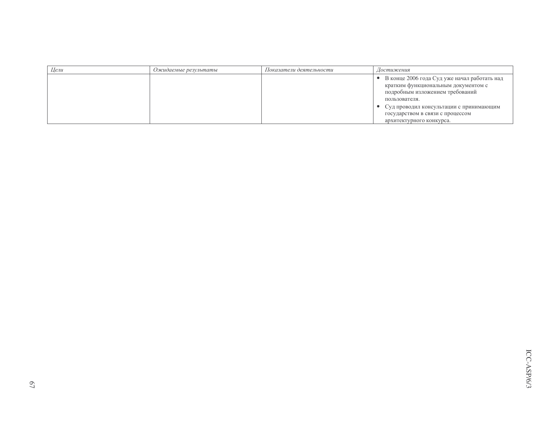| Цели | Ожидаемые результаты | Показатели деятельности | Достижения                                                                                                                                |
|------|----------------------|-------------------------|-------------------------------------------------------------------------------------------------------------------------------------------|
|      |                      |                         | • В конце 2006 года Суд уже начал работать над<br>кратким функциональным документом с<br>подробным изложением требований<br>пользователя. |
|      |                      |                         | • Суд проводил консультации с принимающим<br>государством в связи с процессом<br>архитектурного конкурса.                                 |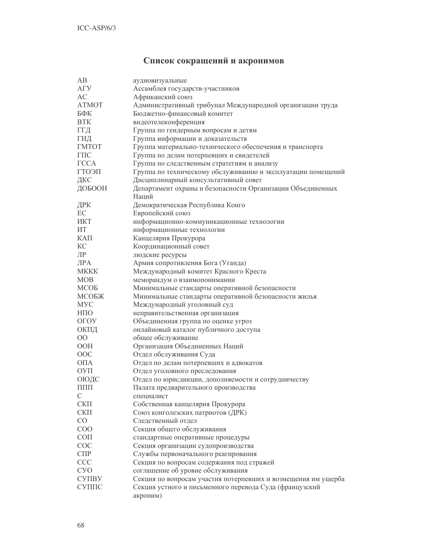# Список сокращений и акронимов

| AB               | аудиовизуальные                                                     |
|------------------|---------------------------------------------------------------------|
| A <sub>ry</sub>  | Ассамблея государств-участников                                     |
| AC               | Африканский союз                                                    |
| <b>ATMOT</b>     | Административный трибунал Международной организации труда           |
| БФК              | Бюджетно-финансовый комитет                                         |
| <b>BTK</b>       | видеотелеконференция                                                |
| ГГД              | Группа по гендерным вопросам и детям                                |
| ГИД              | Группа информации и доказательств                                   |
| <b>TMTOT</b>     | Группа материально-технического обеспечения и транспорта            |
| $\Gamma \Pi C$   | Группа по делам потерпевших и свидетелей                            |
| <b>TCCA</b>      | Группа по следственным стратегиям и анализу                         |
| ГГОЭП            | Группа по техническому обслуживанию и эксплуатации помещений        |
| ДКС              | Дисциплинарный консультативный совет                                |
| ДОБООН           | Департамент охраны и безопасности Организации Объединенных          |
|                  | Наций                                                               |
| ДРК              | Демократическая Республика Конго                                    |
| EC               | Европейский союз                                                    |
| ИКТ              | информационно-коммуникационные технологии                           |
| ИТ               | информационные технологии                                           |
| КАП              | Канцелярия Прокурора                                                |
| KC               | Координационный совет                                               |
| ЛР               | людские ресурсы                                                     |
| $\overline{MPA}$ | Армия сопротивления Бога (Уганда)                                   |
| <b>MKKK</b>      | Международный комитет Красного Креста                               |
| <b>MOB</b>       | меморандум о взаимопонимании                                        |
| МСОБ             | Минимальные стандарты оперативной безопасности                      |
| МСОБЖ            | Минимальные стандарты оперативной безопасности жилья                |
| <b>MYC</b>       | Международный уголовный суд                                         |
| HПO              | неправительственная организация                                     |
| ОГОУ             | Объединенная группа по оценке угроз                                 |
| ОКПД             | онлайновый каталог публичного доступа                               |
| $00\,$           | общее обслуживание                                                  |
| <b>OOH</b>       | Организация Объединенных Наций                                      |
| OOC              | Отдел обслуживания Суда                                             |
| ОПА              |                                                                     |
|                  | Отдел по делам потерпевших и адвокатов                              |
| ОУП              | Отдел уголовного преследования                                      |
| ОЮДС             | Отдел по юрисдикции, дополняемости и сотрудничеству                 |
| $\Pi\Pi\Pi$      | Палата предварительного производства                                |
| C                | специалист                                                          |
| $CK\Pi$          | Собственная канцелярия Прокурора                                    |
| $CK\Pi$          | Союз конголезских патриотов (ДРК)                                   |
| CO               | Следственный отдел                                                  |
| COO              | Секция общего обслуживания                                          |
| $\rm CO \Pi$     | стандартные оперативные процедуры                                   |
| COC              | Секция организации судопроизводства                                 |
| $C\Pi P$         | Службы первоначального реагирования                                 |
| CCC              | Секция по вопросам содержания под стражей                           |
| <b>CYO</b>       | соглашение об уровне обслуживания                                   |
| <b>CYIIBY</b>    | Секция по вопросам участия потерпевших и возмещения им ущерба       |
| СУППС            | Секция устного и письменного перевода Суда (французский<br>акроним) |